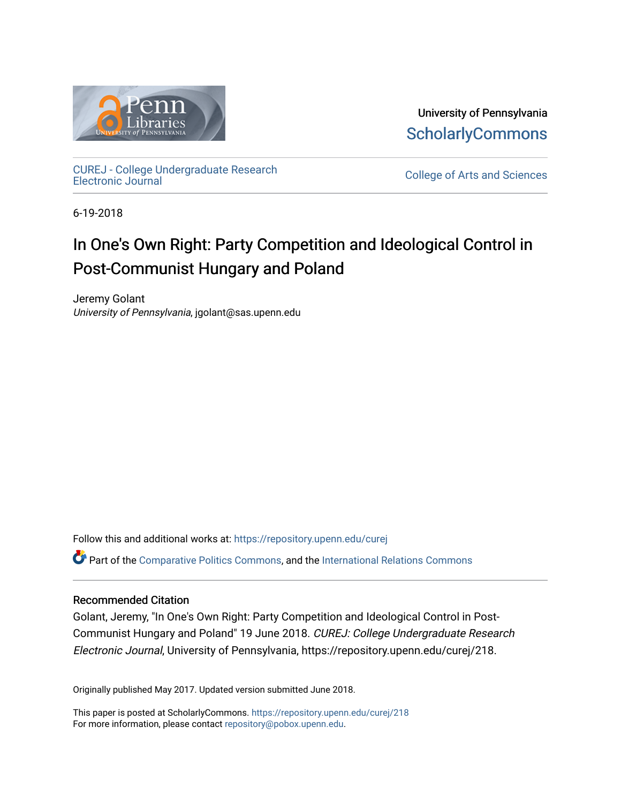

University of Pennsylvania **ScholarlyCommons** 

[CUREJ - College Undergraduate Research](https://repository.upenn.edu/curej) 

College of Arts and Sciences

6-19-2018

## In One's Own Right: Party Competition and Ideological Control in Post-Communist Hungary and Poland

Jeremy Golant University of Pennsylvania, jgolant@sas.upenn.edu

Follow this and additional works at: [https://repository.upenn.edu/curej](https://repository.upenn.edu/curej?utm_source=repository.upenn.edu%2Fcurej%2F218&utm_medium=PDF&utm_campaign=PDFCoverPages)

Part of the [Comparative Politics Commons,](http://network.bepress.com/hgg/discipline/388?utm_source=repository.upenn.edu%2Fcurej%2F218&utm_medium=PDF&utm_campaign=PDFCoverPages) and the [International Relations Commons](http://network.bepress.com/hgg/discipline/389?utm_source=repository.upenn.edu%2Fcurej%2F218&utm_medium=PDF&utm_campaign=PDFCoverPages)

#### Recommended Citation

Golant, Jeremy, "In One's Own Right: Party Competition and Ideological Control in Post-Communist Hungary and Poland" 19 June 2018. CUREJ: College Undergraduate Research Electronic Journal, University of Pennsylvania, https://repository.upenn.edu/curej/218.

Originally published May 2017. Updated version submitted June 2018.

This paper is posted at ScholarlyCommons.<https://repository.upenn.edu/curej/218> For more information, please contact [repository@pobox.upenn.edu.](mailto:repository@pobox.upenn.edu)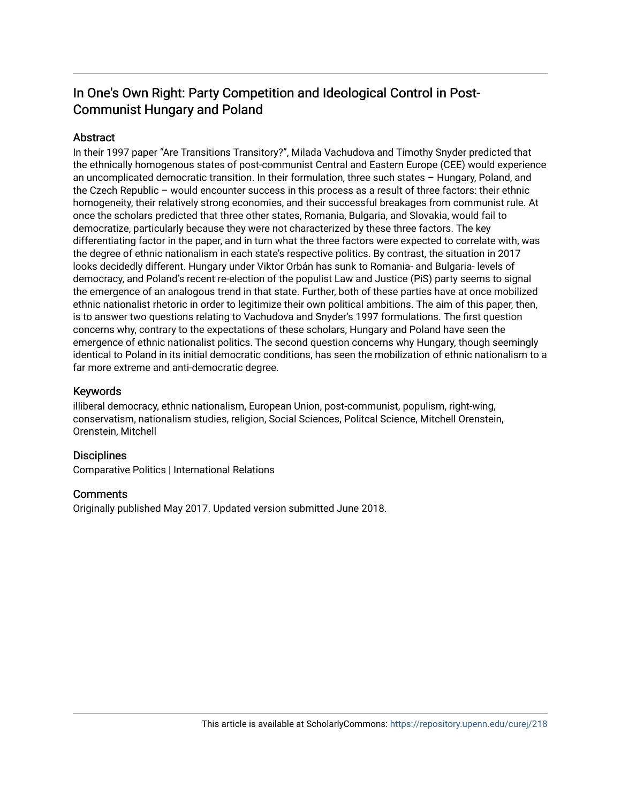## In One's Own Right: Party Competition and Ideological Control in Post-Communist Hungary and Poland

#### Abstract

In their 1997 paper "Are Transitions Transitory?", Milada Vachudova and Timothy Snyder predicted that the ethnically homogenous states of post-communist Central and Eastern Europe (CEE) would experience an uncomplicated democratic transition. In their formulation, three such states – Hungary, Poland, and the Czech Republic – would encounter success in this process as a result of three factors: their ethnic homogeneity, their relatively strong economies, and their successful breakages from communist rule. At once the scholars predicted that three other states, Romania, Bulgaria, and Slovakia, would fail to democratize, particularly because they were not characterized by these three factors. The key differentiating factor in the paper, and in turn what the three factors were expected to correlate with, was the degree of ethnic nationalism in each state's respective politics. By contrast, the situation in 2017 looks decidedly different. Hungary under Viktor Orbán has sunk to Romania- and Bulgaria- levels of democracy, and Poland's recent re-election of the populist Law and Justice (PiS) party seems to signal the emergence of an analogous trend in that state. Further, both of these parties have at once mobilized ethnic nationalist rhetoric in order to legitimize their own political ambitions. The aim of this paper, then, is to answer two questions relating to Vachudova and Snyder's 1997 formulations. The first question concerns why, contrary to the expectations of these scholars, Hungary and Poland have seen the emergence of ethnic nationalist politics. The second question concerns why Hungary, though seemingly identical to Poland in its initial democratic conditions, has seen the mobilization of ethnic nationalism to a far more extreme and anti-democratic degree.

#### Keywords

illiberal democracy, ethnic nationalism, European Union, post-communist, populism, right-wing, conservatism, nationalism studies, religion, Social Sciences, Politcal Science, Mitchell Orenstein, Orenstein, Mitchell

#### **Disciplines**

Comparative Politics | International Relations

#### Comments

Originally published May 2017. Updated version submitted June 2018.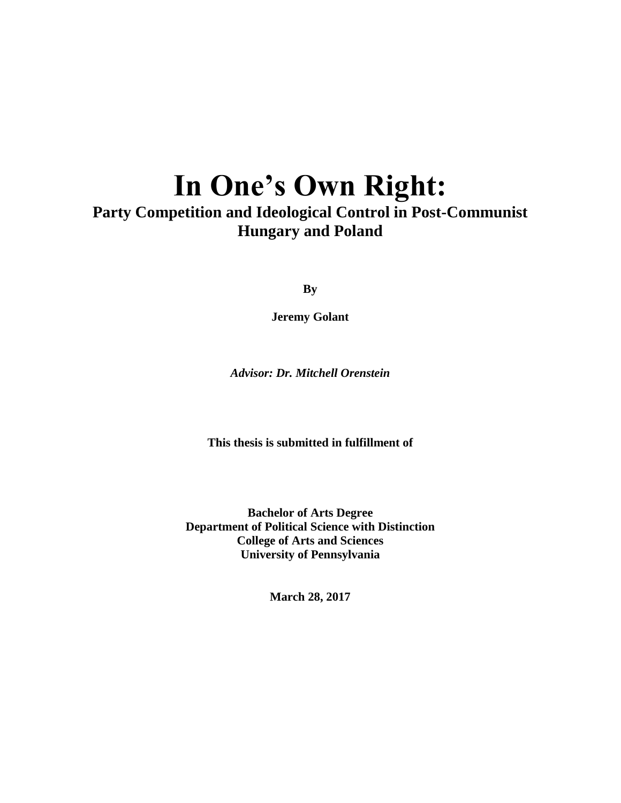# **In One's Own Right:**

## **Party Competition and Ideological Control in Post-Communist Hungary and Poland**

**By**

**Jeremy Golant**

*Advisor: Dr. Mitchell Orenstein*

**This thesis is submitted in fulfillment of** 

**Bachelor of Arts Degree Department of Political Science with Distinction College of Arts and Sciences University of Pennsylvania**

**March 28, 2017**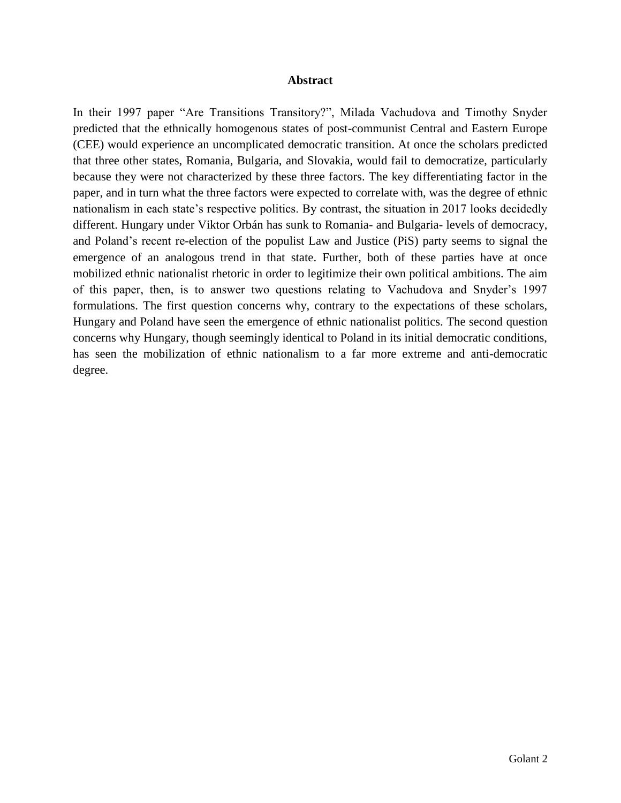#### **Abstract**

In their 1997 paper "Are Transitions Transitory?", Milada Vachudova and Timothy Snyder predicted that the ethnically homogenous states of post-communist Central and Eastern Europe (CEE) would experience an uncomplicated democratic transition. At once the scholars predicted that three other states, Romania, Bulgaria, and Slovakia, would fail to democratize, particularly because they were not characterized by these three factors. The key differentiating factor in the paper, and in turn what the three factors were expected to correlate with, was the degree of ethnic nationalism in each state's respective politics. By contrast, the situation in 2017 looks decidedly different. Hungary under Viktor Orbán has sunk to Romania- and Bulgaria- levels of democracy, and Poland's recent re-election of the populist Law and Justice (PiS) party seems to signal the emergence of an analogous trend in that state. Further, both of these parties have at once mobilized ethnic nationalist rhetoric in order to legitimize their own political ambitions. The aim of this paper, then, is to answer two questions relating to Vachudova and Snyder's 1997 formulations. The first question concerns why, contrary to the expectations of these scholars, Hungary and Poland have seen the emergence of ethnic nationalist politics. The second question concerns why Hungary, though seemingly identical to Poland in its initial democratic conditions, has seen the mobilization of ethnic nationalism to a far more extreme and anti-democratic degree.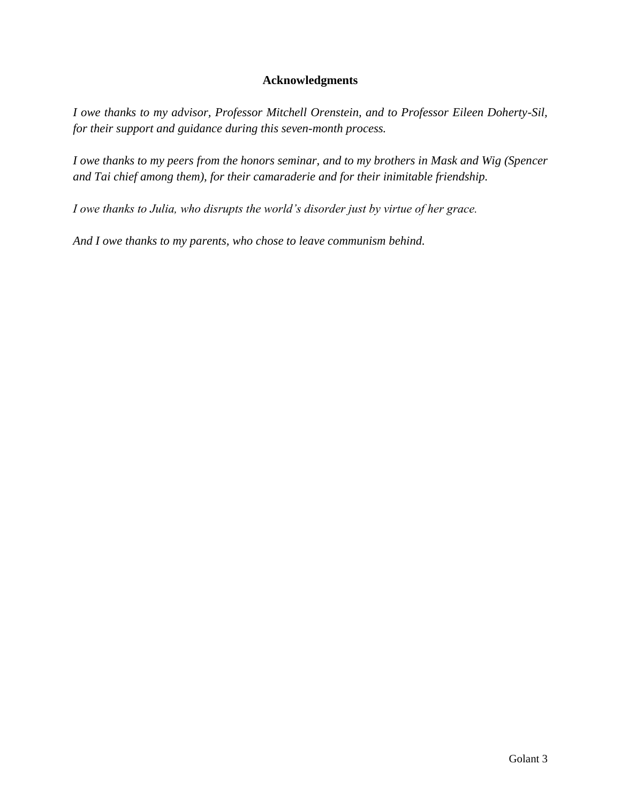#### **Acknowledgments**

*I owe thanks to my advisor, Professor Mitchell Orenstein, and to Professor Eileen Doherty-Sil, for their support and guidance during this seven-month process.*

*I owe thanks to my peers from the honors seminar, and to my brothers in Mask and Wig (Spencer and Tai chief among them), for their camaraderie and for their inimitable friendship.*

*I owe thanks to Julia, who disrupts the world's disorder just by virtue of her grace.*

*And I owe thanks to my parents, who chose to leave communism behind.*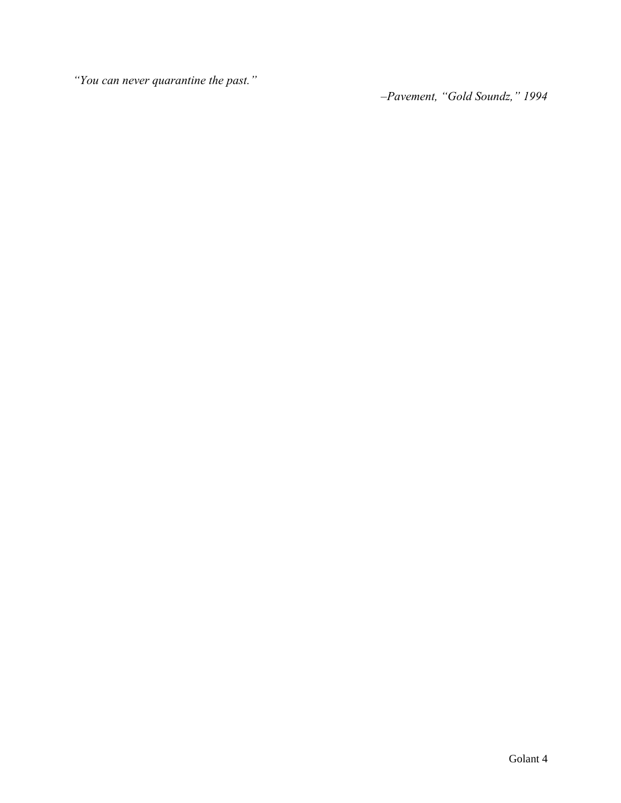*"You can never quarantine the past."*

*–Pavement, "Gold Soundz," 1994*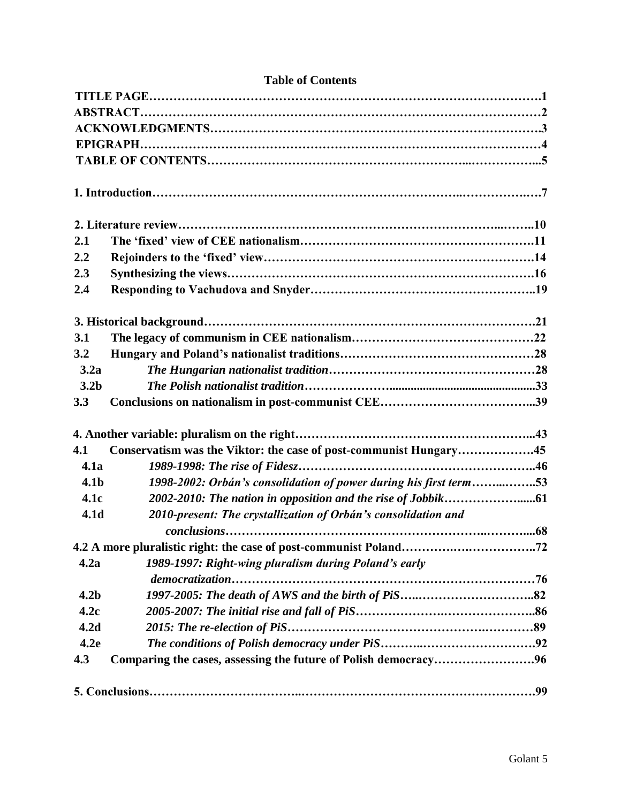| 2.1              |                                                                   |  |
|------------------|-------------------------------------------------------------------|--|
| 2.2              |                                                                   |  |
| 2.3              |                                                                   |  |
| 2.4              |                                                                   |  |
|                  |                                                                   |  |
| 3.1              |                                                                   |  |
| 3.2              |                                                                   |  |
| 3.2a             |                                                                   |  |
| 3.2 <sub>b</sub> |                                                                   |  |
| 3.3              |                                                                   |  |
|                  |                                                                   |  |
| 4.1              | Conservatism was the Viktor: the case of post-communist Hungary45 |  |
| 4.1a             |                                                                   |  |
| 4.1 <sub>b</sub> | 1998-2002: Orbán's consolidation of power during his first term53 |  |
| 4.1c             |                                                                   |  |
| 4.1 <sub>d</sub> | 2010-present: The crystallization of Orbán's consolidation and    |  |
|                  |                                                                   |  |
|                  |                                                                   |  |
| 4.2a             | 1989-1997: Right-wing pluralism during Poland's early             |  |
| 4.2 <sub>b</sub> |                                                                   |  |
| 4.2c             |                                                                   |  |
| 4.2 <sub>d</sub> |                                                                   |  |
| 4.2e             |                                                                   |  |
| 4.3              | Comparing the cases, assessing the future of Polish democracy96   |  |
|                  |                                                                   |  |

### **Table of Contents**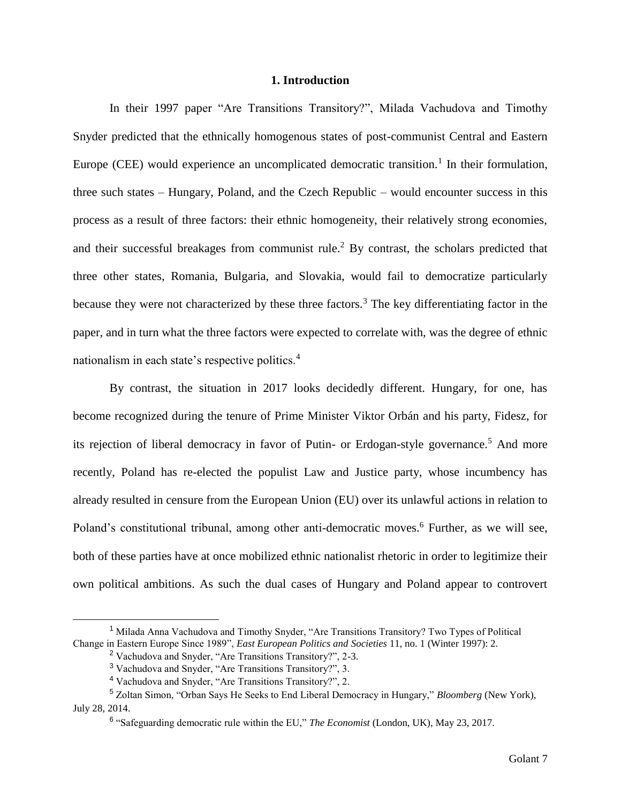#### **1. Introduction**

In their 1997 paper "Are Transitions Transitory?", Milada Vachudova and Timothy Snyder predicted that the ethnically homogenous states of post-communist Central and Eastern Europe (CEE) would experience an uncomplicated democratic transition.<sup>1</sup> In their formulation, three such states – Hungary, Poland, and the Czech Republic – would encounter success in this process as a result of three factors: their ethnic homogeneity, their relatively strong economies, and their successful breakages from communist rule.<sup>2</sup> By contrast, the scholars predicted that three other states, Romania, Bulgaria, and Slovakia, would fail to democratize particularly because they were not characterized by these three factors.<sup>3</sup> The key differentiating factor in the paper, and in turn what the three factors were expected to correlate with, was the degree of ethnic nationalism in each state's respective politics.<sup>4</sup>

By contrast, the situation in 2017 looks decidedly different. Hungary, for one, has become recognized during the tenure of Prime Minister Viktor Orbán and his party, Fidesz, for its rejection of liberal democracy in favor of Putin- or Erdogan-style governance.<sup>5</sup> And more recently, Poland has re-elected the populist Law and Justice party, whose incumbency has already resulted in censure from the European Union (EU) over its unlawful actions in relation to Poland's constitutional tribunal, among other anti-democratic moves.<sup>6</sup> Further, as we will see, both of these parties have at once mobilized ethnic nationalist rhetoric in order to legitimize their own political ambitions. As such the dual cases of Hungary and Poland appear to controvert

<sup>1</sup> Milada Anna Vachudova and Timothy Snyder, "Are Transitions Transitory? Two Types of Political Change in Eastern Europe Since 1989", *East European Politics and Societies* 11, no. 1 (Winter 1997): 2.

<sup>2</sup> Vachudova and Snyder, "Are Transitions Transitory?", 2-3.

<sup>3</sup> Vachudova and Snyder, "Are Transitions Transitory?", 3.

<sup>4</sup> Vachudova and Snyder, "Are Transitions Transitory?", 2.

<sup>5</sup> Zoltan Simon, "Orban Says He Seeks to End Liberal Democracy in Hungary," *Bloomberg* (New York), July 28, 2014.

<sup>6</sup> "Safeguarding democratic rule within the EU," *The Economist* (London, UK), May 23, 2017.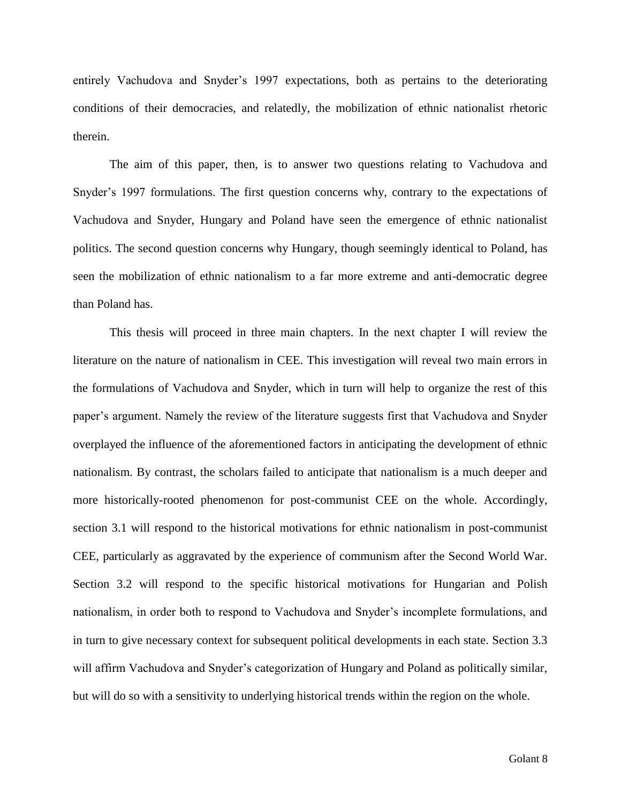entirely Vachudova and Snyder's 1997 expectations, both as pertains to the deteriorating conditions of their democracies, and relatedly, the mobilization of ethnic nationalist rhetoric therein.

The aim of this paper, then, is to answer two questions relating to Vachudova and Snyder's 1997 formulations. The first question concerns why, contrary to the expectations of Vachudova and Snyder, Hungary and Poland have seen the emergence of ethnic nationalist politics. The second question concerns why Hungary, though seemingly identical to Poland, has seen the mobilization of ethnic nationalism to a far more extreme and anti-democratic degree than Poland has.

This thesis will proceed in three main chapters. In the next chapter I will review the literature on the nature of nationalism in CEE. This investigation will reveal two main errors in the formulations of Vachudova and Snyder, which in turn will help to organize the rest of this paper's argument. Namely the review of the literature suggests first that Vachudova and Snyder overplayed the influence of the aforementioned factors in anticipating the development of ethnic nationalism. By contrast, the scholars failed to anticipate that nationalism is a much deeper and more historically-rooted phenomenon for post-communist CEE on the whole. Accordingly, section 3.1 will respond to the historical motivations for ethnic nationalism in post-communist CEE, particularly as aggravated by the experience of communism after the Second World War. Section 3.2 will respond to the specific historical motivations for Hungarian and Polish nationalism, in order both to respond to Vachudova and Snyder's incomplete formulations, and in turn to give necessary context for subsequent political developments in each state. Section 3.3 will affirm Vachudova and Snyder's categorization of Hungary and Poland as politically similar, but will do so with a sensitivity to underlying historical trends within the region on the whole.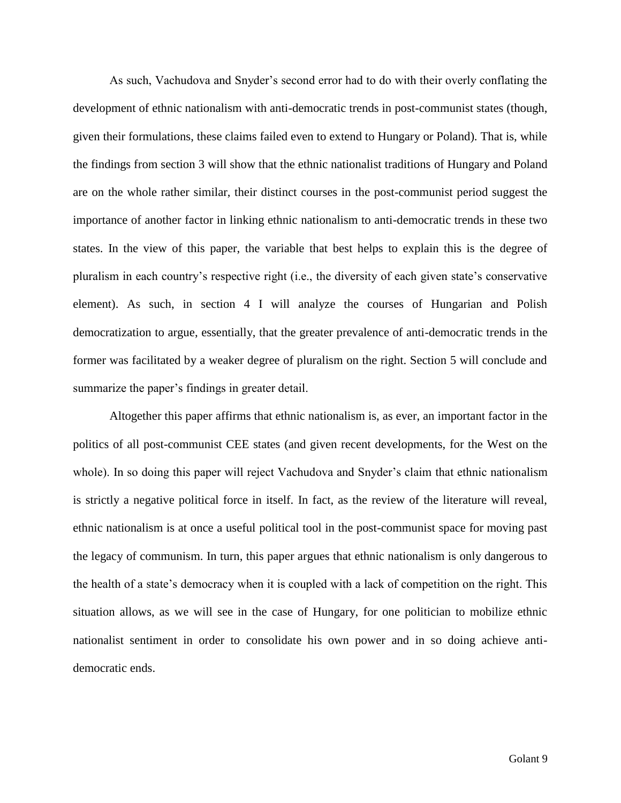As such, Vachudova and Snyder's second error had to do with their overly conflating the development of ethnic nationalism with anti-democratic trends in post-communist states (though, given their formulations, these claims failed even to extend to Hungary or Poland). That is, while the findings from section 3 will show that the ethnic nationalist traditions of Hungary and Poland are on the whole rather similar, their distinct courses in the post-communist period suggest the importance of another factor in linking ethnic nationalism to anti-democratic trends in these two states. In the view of this paper, the variable that best helps to explain this is the degree of pluralism in each country's respective right (i.e., the diversity of each given state's conservative element). As such, in section 4 I will analyze the courses of Hungarian and Polish democratization to argue, essentially, that the greater prevalence of anti-democratic trends in the former was facilitated by a weaker degree of pluralism on the right. Section 5 will conclude and summarize the paper's findings in greater detail.

Altogether this paper affirms that ethnic nationalism is, as ever, an important factor in the politics of all post-communist CEE states (and given recent developments, for the West on the whole). In so doing this paper will reject Vachudova and Snyder's claim that ethnic nationalism is strictly a negative political force in itself. In fact, as the review of the literature will reveal, ethnic nationalism is at once a useful political tool in the post-communist space for moving past the legacy of communism. In turn, this paper argues that ethnic nationalism is only dangerous to the health of a state's democracy when it is coupled with a lack of competition on the right. This situation allows, as we will see in the case of Hungary, for one politician to mobilize ethnic nationalist sentiment in order to consolidate his own power and in so doing achieve antidemocratic ends.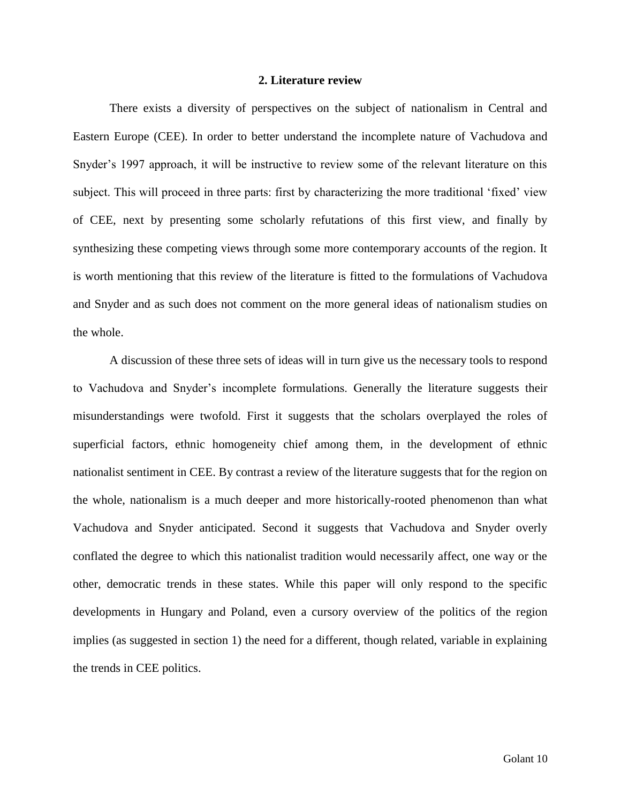#### **2. Literature review**

There exists a diversity of perspectives on the subject of nationalism in Central and Eastern Europe (CEE). In order to better understand the incomplete nature of Vachudova and Snyder's 1997 approach, it will be instructive to review some of the relevant literature on this subject. This will proceed in three parts: first by characterizing the more traditional 'fixed' view of CEE, next by presenting some scholarly refutations of this first view, and finally by synthesizing these competing views through some more contemporary accounts of the region. It is worth mentioning that this review of the literature is fitted to the formulations of Vachudova and Snyder and as such does not comment on the more general ideas of nationalism studies on the whole.

A discussion of these three sets of ideas will in turn give us the necessary tools to respond to Vachudova and Snyder's incomplete formulations. Generally the literature suggests their misunderstandings were twofold. First it suggests that the scholars overplayed the roles of superficial factors, ethnic homogeneity chief among them, in the development of ethnic nationalist sentiment in CEE. By contrast a review of the literature suggests that for the region on the whole, nationalism is a much deeper and more historically-rooted phenomenon than what Vachudova and Snyder anticipated. Second it suggests that Vachudova and Snyder overly conflated the degree to which this nationalist tradition would necessarily affect, one way or the other, democratic trends in these states. While this paper will only respond to the specific developments in Hungary and Poland, even a cursory overview of the politics of the region implies (as suggested in section 1) the need for a different, though related, variable in explaining the trends in CEE politics.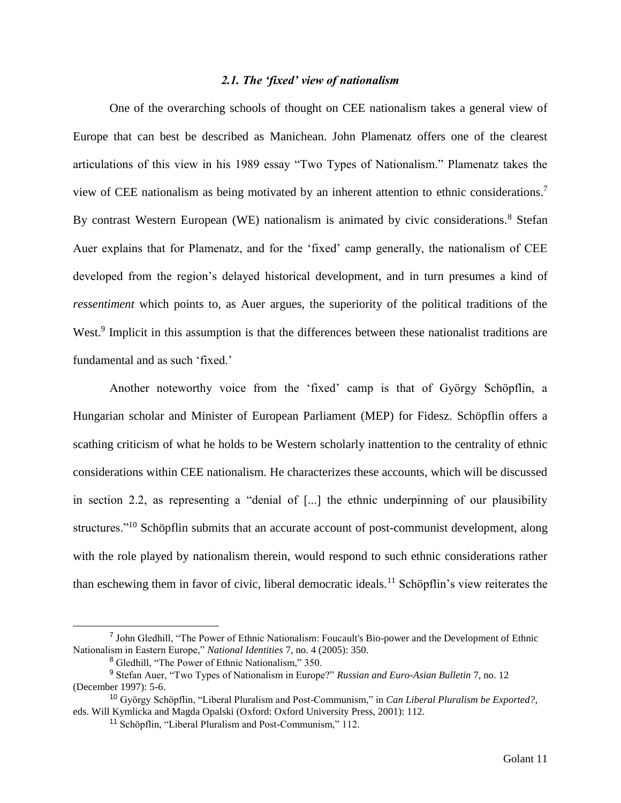#### *2.1. The 'fixed' view of nationalism*

One of the overarching schools of thought on CEE nationalism takes a general view of Europe that can best be described as Manichean. John Plamenatz offers one of the clearest articulations of this view in his 1989 essay "Two Types of Nationalism." Plamenatz takes the view of CEE nationalism as being motivated by an inherent attention to ethnic considerations.<sup>7</sup> By contrast Western European (WE) nationalism is animated by civic considerations.<sup>8</sup> Stefan Auer explains that for Plamenatz, and for the 'fixed' camp generally, the nationalism of CEE developed from the region's delayed historical development, and in turn presumes a kind of *ressentiment* which points to, as Auer argues, the superiority of the political traditions of the West.<sup>9</sup> Implicit in this assumption is that the differences between these nationalist traditions are fundamental and as such 'fixed.'

Another noteworthy voice from the 'fixed' camp is that of György Schöpflin, a Hungarian scholar and Minister of European Parliament (MEP) for Fidesz. Schöpflin offers a scathing criticism of what he holds to be Western scholarly inattention to the centrality of ethnic considerations within CEE nationalism. He characterizes these accounts, which will be discussed in section 2.2, as representing a "denial of [...] the ethnic underpinning of our plausibility structures."<sup>10</sup> Schöpflin submits that an accurate account of post-communist development, along with the role played by nationalism therein, would respond to such ethnic considerations rather than eschewing them in favor of civic, liberal democratic ideals.<sup>11</sup> Schöpflin's view reiterates the

<sup>&</sup>lt;sup>7</sup> John Gledhill, "The Power of Ethnic Nationalism: Foucault's Bio-power and the Development of Ethnic Nationalism in Eastern Europe," *National Identities* 7, no. 4 (2005): 350.

<sup>8</sup> Gledhill, "The Power of Ethnic Nationalism," 350.

<sup>9</sup> Stefan Auer, "Two Types of Nationalism in Europe?" *Russian and Euro-Asian Bulletin* 7, no. 12 (December 1997): 5-6.

<sup>10</sup> György Schöpflin, "Liberal Pluralism and Post-Communism," in *Can Liberal Pluralism be Exported?*, eds. Will Kymlicka and Magda Opalski (Oxford: Oxford University Press, 2001): 112.

<sup>11</sup> Schöpflin, "Liberal Pluralism and Post-Communism," 112.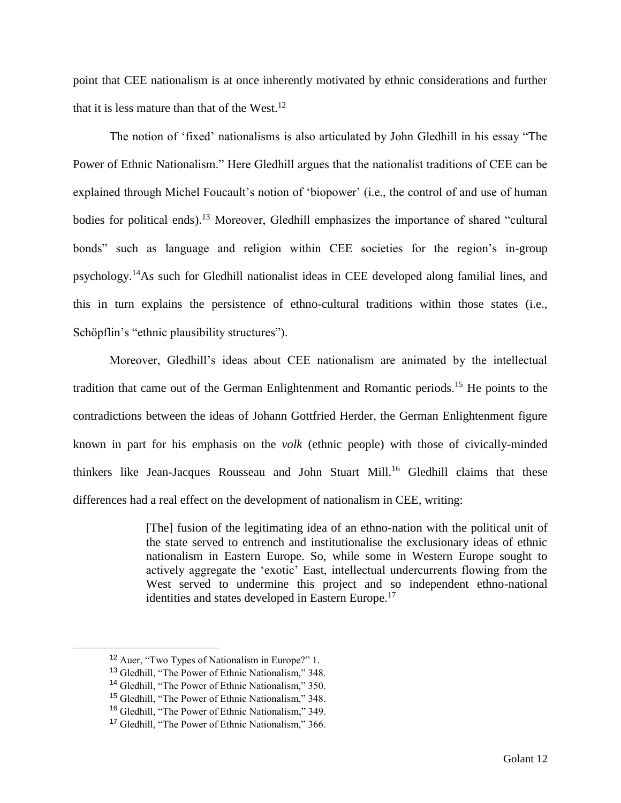point that CEE nationalism is at once inherently motivated by ethnic considerations and further that it is less mature than that of the West.<sup>12</sup>

The notion of 'fixed' nationalisms is also articulated by John Gledhill in his essay "The Power of Ethnic Nationalism." Here Gledhill argues that the nationalist traditions of CEE can be explained through Michel Foucault's notion of 'biopower' (i.e., the control of and use of human bodies for political ends).<sup>13</sup> Moreover, Gledhill emphasizes the importance of shared "cultural" bonds" such as language and religion within CEE societies for the region's in-group psychology.<sup>14</sup>As such for Gledhill nationalist ideas in CEE developed along familial lines, and this in turn explains the persistence of ethno-cultural traditions within those states (i.e., Schöpflin's "ethnic plausibility structures").

Moreover, Gledhill's ideas about CEE nationalism are animated by the intellectual tradition that came out of the German Enlightenment and Romantic periods.<sup>15</sup> He points to the contradictions between the ideas of Johann Gottfried Herder, the German Enlightenment figure known in part for his emphasis on the *volk* (ethnic people) with those of civically-minded thinkers like Jean-Jacques Rousseau and John Stuart Mill.<sup>16</sup> Gledhill claims that these differences had a real effect on the development of nationalism in CEE, writing:

> [The] fusion of the legitimating idea of an ethno-nation with the political unit of the state served to entrench and institutionalise the exclusionary ideas of ethnic nationalism in Eastern Europe. So, while some in Western Europe sought to actively aggregate the 'exotic' East, intellectual undercurrents flowing from the West served to undermine this project and so independent ethno-national identities and states developed in Eastern Europe.<sup>17</sup>

<sup>12</sup> Auer, "Two Types of Nationalism in Europe?" 1.

<sup>13</sup> Gledhill, "The Power of Ethnic Nationalism," 348.

<sup>&</sup>lt;sup>14</sup> Gledhill, "The Power of Ethnic Nationalism," 350.

<sup>15</sup> Gledhill, "The Power of Ethnic Nationalism," 348.

<sup>16</sup> Gledhill, "The Power of Ethnic Nationalism," 349.

<sup>17</sup> Gledhill, "The Power of Ethnic Nationalism," 366.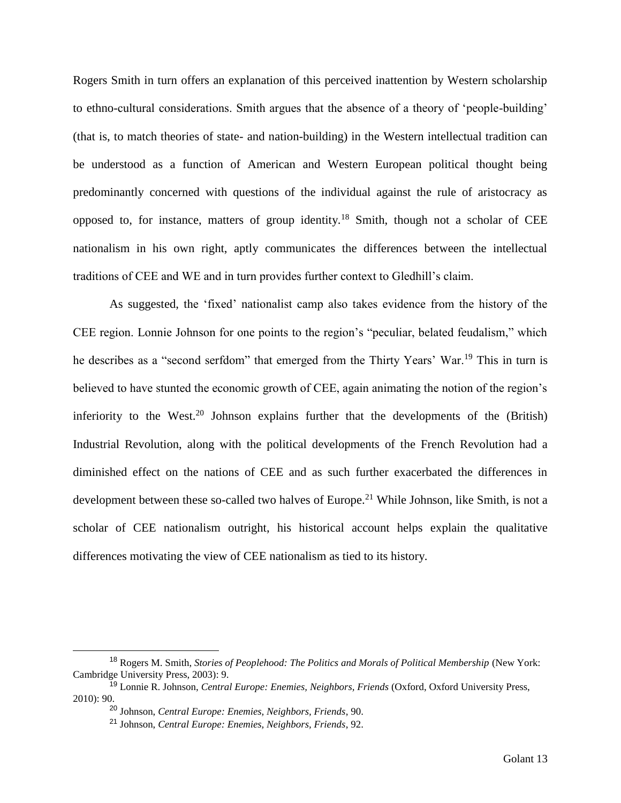Rogers Smith in turn offers an explanation of this perceived inattention by Western scholarship to ethno-cultural considerations. Smith argues that the absence of a theory of 'people-building' (that is, to match theories of state- and nation-building) in the Western intellectual tradition can be understood as a function of American and Western European political thought being predominantly concerned with questions of the individual against the rule of aristocracy as opposed to, for instance, matters of group identity.<sup>18</sup> Smith, though not a scholar of CEE nationalism in his own right, aptly communicates the differences between the intellectual traditions of CEE and WE and in turn provides further context to Gledhill's claim.

As suggested, the 'fixed' nationalist camp also takes evidence from the history of the CEE region. Lonnie Johnson for one points to the region's "peculiar, belated feudalism," which he describes as a "second serfdom" that emerged from the Thirty Years' War.<sup>19</sup> This in turn is believed to have stunted the economic growth of CEE, again animating the notion of the region's inferiority to the West.<sup>20</sup> Johnson explains further that the developments of the (British) Industrial Revolution, along with the political developments of the French Revolution had a diminished effect on the nations of CEE and as such further exacerbated the differences in development between these so-called two halves of Europe.<sup>21</sup> While Johnson, like Smith, is not a scholar of CEE nationalism outright, his historical account helps explain the qualitative differences motivating the view of CEE nationalism as tied to its history.

<sup>18</sup> Rogers M. Smith, *Stories of Peoplehood: The Politics and Morals of Political Membership* (New York: Cambridge University Press, 2003): 9.

<sup>19</sup> Lonnie R. Johnson, *Central Europe: Enemies, Neighbors, Friends* (Oxford, Oxford University Press, 2010): 90.

<sup>20</sup> Johnson, *Central Europe: Enemies, Neighbors, Friends*, 90.

<sup>21</sup> Johnson, *Central Europe: Enemies, Neighbors, Friends*, 92.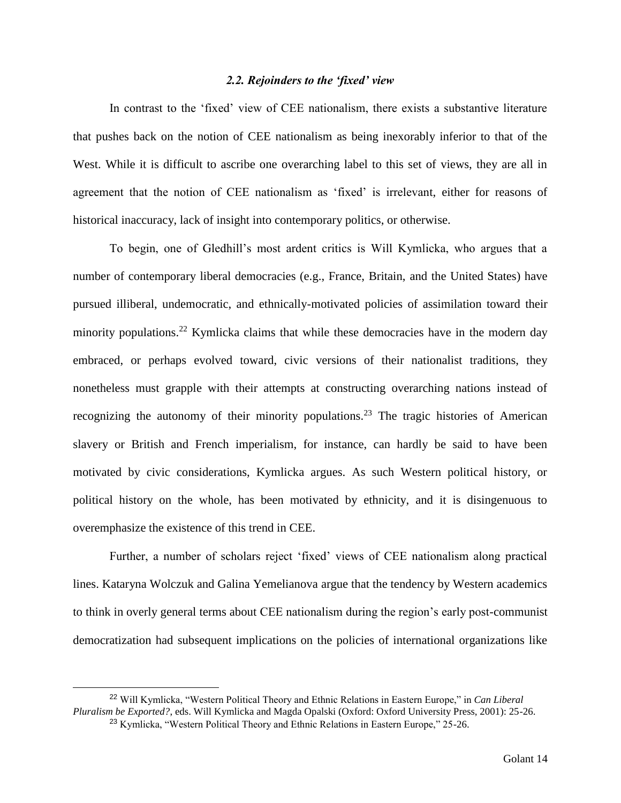#### *2.2. Rejoinders to the 'fixed' view*

In contrast to the 'fixed' view of CEE nationalism, there exists a substantive literature that pushes back on the notion of CEE nationalism as being inexorably inferior to that of the West. While it is difficult to ascribe one overarching label to this set of views, they are all in agreement that the notion of CEE nationalism as 'fixed' is irrelevant, either for reasons of historical inaccuracy, lack of insight into contemporary politics, or otherwise.

To begin, one of Gledhill's most ardent critics is Will Kymlicka, who argues that a number of contemporary liberal democracies (e.g., France, Britain, and the United States) have pursued illiberal, undemocratic, and ethnically-motivated policies of assimilation toward their minority populations.<sup>22</sup> Kymlicka claims that while these democracies have in the modern day embraced, or perhaps evolved toward, civic versions of their nationalist traditions, they nonetheless must grapple with their attempts at constructing overarching nations instead of recognizing the autonomy of their minority populations.<sup>23</sup> The tragic histories of American slavery or British and French imperialism, for instance, can hardly be said to have been motivated by civic considerations, Kymlicka argues. As such Western political history, or political history on the whole, has been motivated by ethnicity, and it is disingenuous to overemphasize the existence of this trend in CEE.

Further, a number of scholars reject 'fixed' views of CEE nationalism along practical lines. Kataryna Wolczuk and Galina Yemelianova argue that the tendency by Western academics to think in overly general terms about CEE nationalism during the region's early post-communist democratization had subsequent implications on the policies of international organizations like

<sup>22</sup> Will Kymlicka, "Western Political Theory and Ethnic Relations in Eastern Europe," in *Can Liberal Pluralism be Exported?*, eds. Will Kymlicka and Magda Opalski (Oxford: Oxford University Press, 2001): 25-26.

<sup>&</sup>lt;sup>23</sup> Kymlicka, "Western Political Theory and Ethnic Relations in Eastern Europe," 25-26.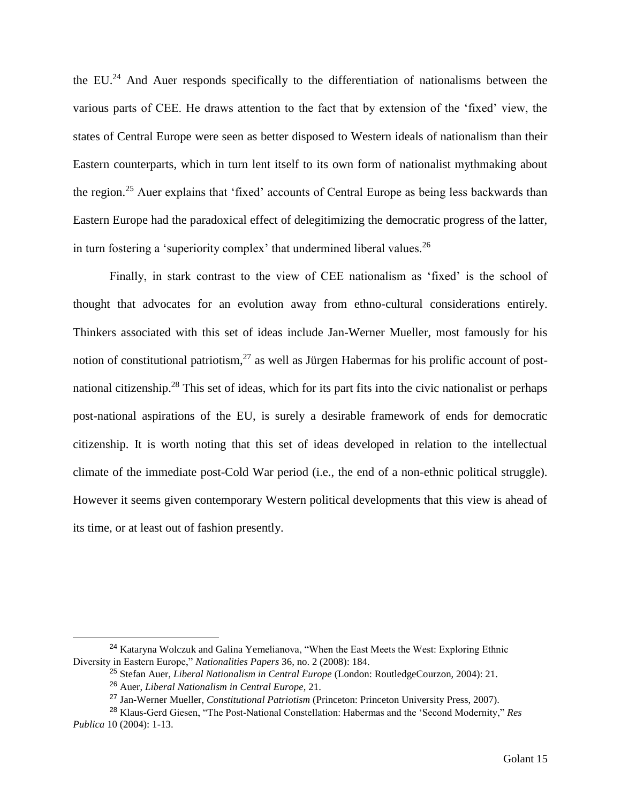the EU. $^{24}$  And Auer responds specifically to the differentiation of nationalisms between the various parts of CEE. He draws attention to the fact that by extension of the 'fixed' view, the states of Central Europe were seen as better disposed to Western ideals of nationalism than their Eastern counterparts, which in turn lent itself to its own form of nationalist mythmaking about the region.<sup>25</sup> Auer explains that 'fixed' accounts of Central Europe as being less backwards than Eastern Europe had the paradoxical effect of delegitimizing the democratic progress of the latter, in turn fostering a 'superiority complex' that undermined liberal values.<sup>26</sup>

Finally, in stark contrast to the view of CEE nationalism as 'fixed' is the school of thought that advocates for an evolution away from ethno-cultural considerations entirely. Thinkers associated with this set of ideas include Jan-Werner Mueller, most famously for his notion of constitutional patriotism,  $27$  as well as Jürgen Habermas for his prolific account of postnational citizenship.<sup>28</sup> This set of ideas, which for its part fits into the civic nationalist or perhaps post-national aspirations of the EU, is surely a desirable framework of ends for democratic citizenship. It is worth noting that this set of ideas developed in relation to the intellectual climate of the immediate post-Cold War period (i.e., the end of a non-ethnic political struggle). However it seems given contemporary Western political developments that this view is ahead of its time, or at least out of fashion presently.

<sup>&</sup>lt;sup>24</sup> Kataryna Wolczuk and Galina Yemelianova, "When the East Meets the West: Exploring Ethnic Diversity in Eastern Europe," *Nationalities Papers* 36, no. 2 (2008): 184.

<sup>25</sup> Stefan Auer, *Liberal Nationalism in Central Europe* (London: RoutledgeCourzon, 2004): 21.

<sup>26</sup> Auer, *Liberal Nationalism in Central Europe*, 21.

<sup>27</sup> Jan-Werner Mueller, *Constitutional Patriotism* (Princeton: Princeton University Press, 2007).

<sup>28</sup> Klaus-Gerd Giesen, "The Post-National Constellation: Habermas and the 'Second Modernity," *Res Publica* 10 (2004): 1-13.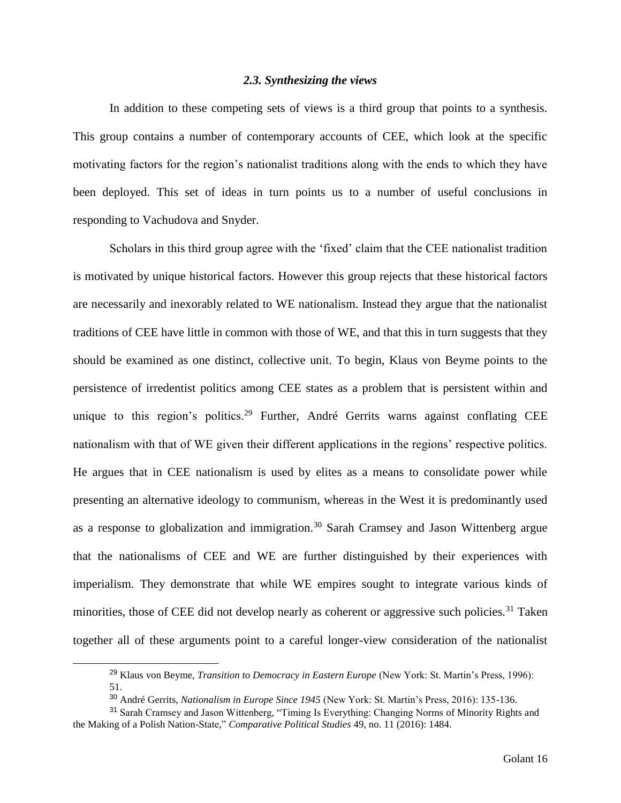#### *2.3. Synthesizing the views*

In addition to these competing sets of views is a third group that points to a synthesis. This group contains a number of contemporary accounts of CEE, which look at the specific motivating factors for the region's nationalist traditions along with the ends to which they have been deployed. This set of ideas in turn points us to a number of useful conclusions in responding to Vachudova and Snyder.

Scholars in this third group agree with the 'fixed' claim that the CEE nationalist tradition is motivated by unique historical factors. However this group rejects that these historical factors are necessarily and inexorably related to WE nationalism. Instead they argue that the nationalist traditions of CEE have little in common with those of WE, and that this in turn suggests that they should be examined as one distinct, collective unit. To begin, Klaus von Beyme points to the persistence of irredentist politics among CEE states as a problem that is persistent within and unique to this region's politics.<sup>29</sup> Further, André Gerrits warns against conflating CEE nationalism with that of WE given their different applications in the regions' respective politics. He argues that in CEE nationalism is used by elites as a means to consolidate power while presenting an alternative ideology to communism, whereas in the West it is predominantly used as a response to globalization and immigration.<sup>30</sup> Sarah Cramsey and Jason Wittenberg argue that the nationalisms of CEE and WE are further distinguished by their experiences with imperialism. They demonstrate that while WE empires sought to integrate various kinds of minorities, those of CEE did not develop nearly as coherent or aggressive such policies.<sup>31</sup> Taken together all of these arguments point to a careful longer-view consideration of the nationalist

<sup>29</sup> Klaus von Beyme, *Transition to Democracy in Eastern Europe* (New York: St. Martin's Press, 1996): 51.

<sup>30</sup> André Gerrits, *Nationalism in Europe Since 1945* (New York: St. Martin's Press, 2016): 135-136.

<sup>&</sup>lt;sup>31</sup> Sarah Cramsey and Jason Wittenberg, "Timing Is Everything: Changing Norms of Minority Rights and the Making of a Polish Nation-State," *Comparative Political Studies* 49, no. 11 (2016): 1484.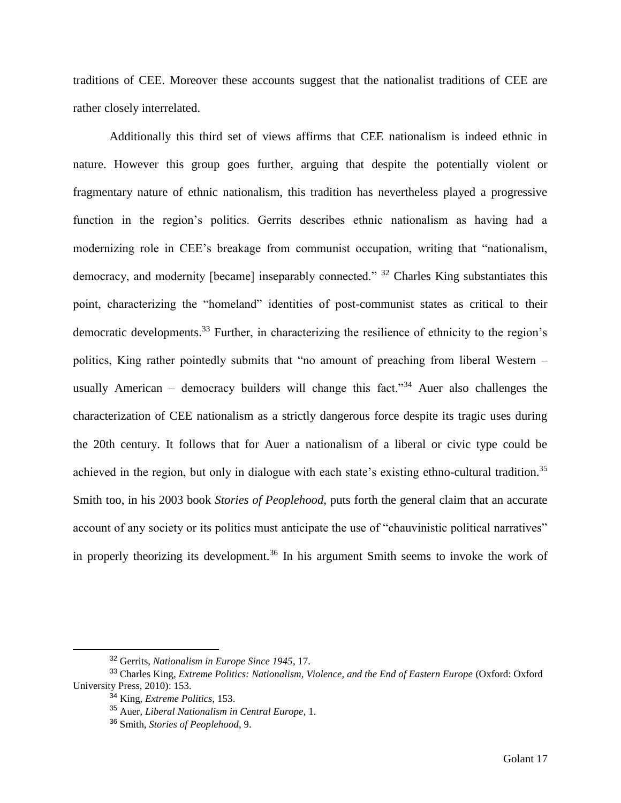traditions of CEE. Moreover these accounts suggest that the nationalist traditions of CEE are rather closely interrelated.

Additionally this third set of views affirms that CEE nationalism is indeed ethnic in nature. However this group goes further, arguing that despite the potentially violent or fragmentary nature of ethnic nationalism, this tradition has nevertheless played a progressive function in the region's politics. Gerrits describes ethnic nationalism as having had a modernizing role in CEE's breakage from communist occupation, writing that "nationalism, democracy, and modernity [became] inseparably connected." <sup>32</sup> Charles King substantiates this point, characterizing the "homeland" identities of post-communist states as critical to their democratic developments.<sup>33</sup> Further, in characterizing the resilience of ethnicity to the region's politics, King rather pointedly submits that "no amount of preaching from liberal Western – usually American – democracy builders will change this fact."<sup>34</sup> Auer also challenges the characterization of CEE nationalism as a strictly dangerous force despite its tragic uses during the 20th century. It follows that for Auer a nationalism of a liberal or civic type could be achieved in the region, but only in dialogue with each state's existing ethno-cultural tradition.<sup>35</sup> Smith too, in his 2003 book *Stories of Peoplehood*, puts forth the general claim that an accurate account of any society or its politics must anticipate the use of "chauvinistic political narratives" in properly theorizing its development.<sup>36</sup> In his argument Smith seems to invoke the work of

<sup>32</sup> Gerrits, *Nationalism in Europe Since 1945*, 17.

<sup>33</sup> Charles King, *Extreme Politics: Nationalism, Violence, and the End of Eastern Europe* (Oxford: Oxford University Press, 2010): 153.

<sup>34</sup> King, *Extreme Politics*, 153.

<sup>35</sup> Auer, *Liberal Nationalism in Central Europe*, 1.

<sup>36</sup> Smith, *Stories of Peoplehood*, 9.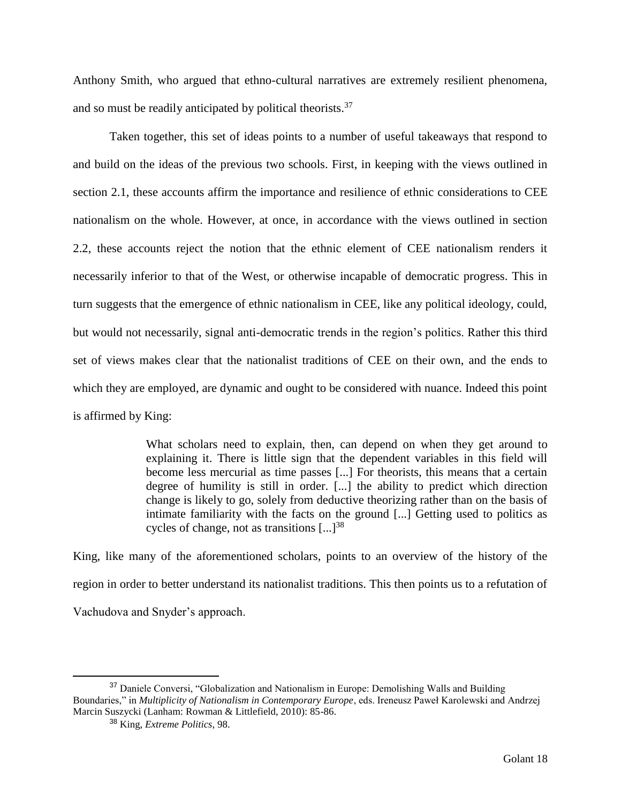Anthony Smith, who argued that ethno-cultural narratives are extremely resilient phenomena, and so must be readily anticipated by political theorists.<sup>37</sup>

Taken together, this set of ideas points to a number of useful takeaways that respond to and build on the ideas of the previous two schools. First, in keeping with the views outlined in section 2.1, these accounts affirm the importance and resilience of ethnic considerations to CEE nationalism on the whole. However, at once, in accordance with the views outlined in section 2.2, these accounts reject the notion that the ethnic element of CEE nationalism renders it necessarily inferior to that of the West, or otherwise incapable of democratic progress. This in turn suggests that the emergence of ethnic nationalism in CEE, like any political ideology, could, but would not necessarily, signal anti-democratic trends in the region's politics. Rather this third set of views makes clear that the nationalist traditions of CEE on their own, and the ends to which they are employed, are dynamic and ought to be considered with nuance. Indeed this point is affirmed by King:

> What scholars need to explain, then, can depend on when they get around to explaining it. There is little sign that the dependent variables in this field will become less mercurial as time passes [...] For theorists, this means that a certain degree of humility is still in order. [...] the ability to predict which direction change is likely to go, solely from deductive theorizing rather than on the basis of intimate familiarity with the facts on the ground [...] Getting used to politics as cycles of change, not as transitions  $\left[ \ldots \right]^{38}$

King, like many of the aforementioned scholars, points to an overview of the history of the region in order to better understand its nationalist traditions. This then points us to a refutation of Vachudova and Snyder's approach.

<sup>37</sup> Daniele Conversi, "Globalization and Nationalism in Europe: Demolishing Walls and Building Boundaries," in *Multiplicity of Nationalism in Contemporary Europe*, eds. Ireneusz Paweł Karolewski and Andrzej Marcin Suszycki (Lanham: Rowman & Littlefield, 2010): 85-86.

<sup>38</sup> King, *Extreme Politics*, 98.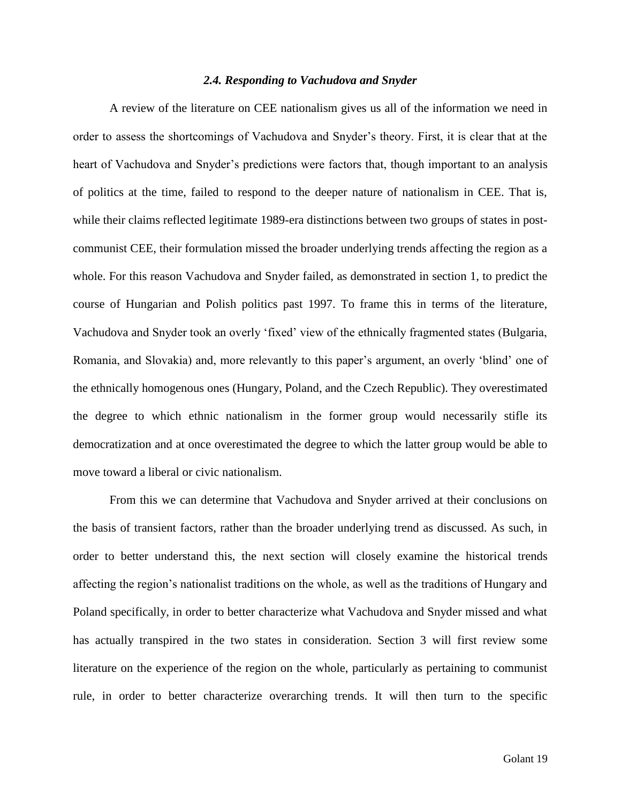#### *2.4. Responding to Vachudova and Snyder*

A review of the literature on CEE nationalism gives us all of the information we need in order to assess the shortcomings of Vachudova and Snyder's theory. First, it is clear that at the heart of Vachudova and Snyder's predictions were factors that, though important to an analysis of politics at the time, failed to respond to the deeper nature of nationalism in CEE. That is, while their claims reflected legitimate 1989-era distinctions between two groups of states in postcommunist CEE, their formulation missed the broader underlying trends affecting the region as a whole. For this reason Vachudova and Snyder failed, as demonstrated in section 1, to predict the course of Hungarian and Polish politics past 1997. To frame this in terms of the literature, Vachudova and Snyder took an overly 'fixed' view of the ethnically fragmented states (Bulgaria, Romania, and Slovakia) and, more relevantly to this paper's argument, an overly 'blind' one of the ethnically homogenous ones (Hungary, Poland, and the Czech Republic). They overestimated the degree to which ethnic nationalism in the former group would necessarily stifle its democratization and at once overestimated the degree to which the latter group would be able to move toward a liberal or civic nationalism.

From this we can determine that Vachudova and Snyder arrived at their conclusions on the basis of transient factors, rather than the broader underlying trend as discussed. As such, in order to better understand this, the next section will closely examine the historical trends affecting the region's nationalist traditions on the whole, as well as the traditions of Hungary and Poland specifically, in order to better characterize what Vachudova and Snyder missed and what has actually transpired in the two states in consideration. Section 3 will first review some literature on the experience of the region on the whole, particularly as pertaining to communist rule, in order to better characterize overarching trends. It will then turn to the specific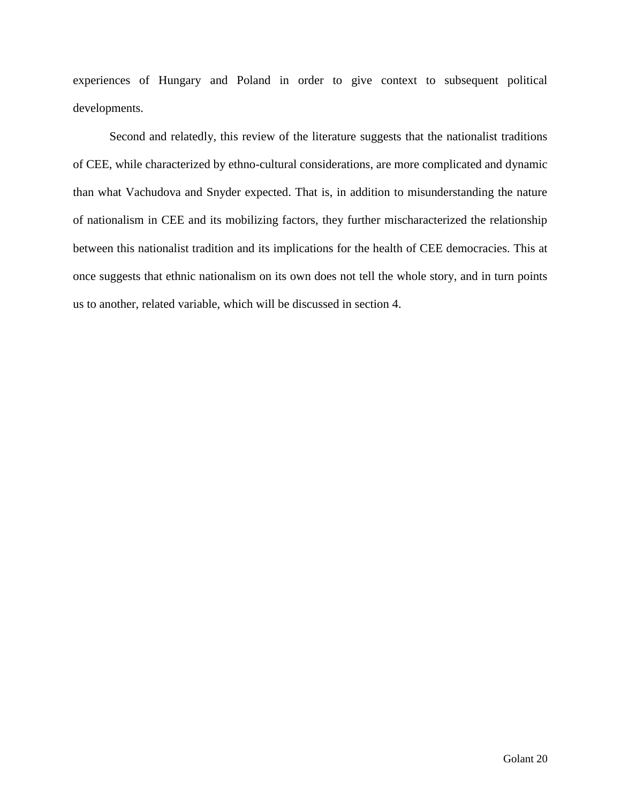experiences of Hungary and Poland in order to give context to subsequent political developments.

Second and relatedly, this review of the literature suggests that the nationalist traditions of CEE, while characterized by ethno-cultural considerations, are more complicated and dynamic than what Vachudova and Snyder expected. That is, in addition to misunderstanding the nature of nationalism in CEE and its mobilizing factors, they further mischaracterized the relationship between this nationalist tradition and its implications for the health of CEE democracies. This at once suggests that ethnic nationalism on its own does not tell the whole story, and in turn points us to another, related variable, which will be discussed in section 4.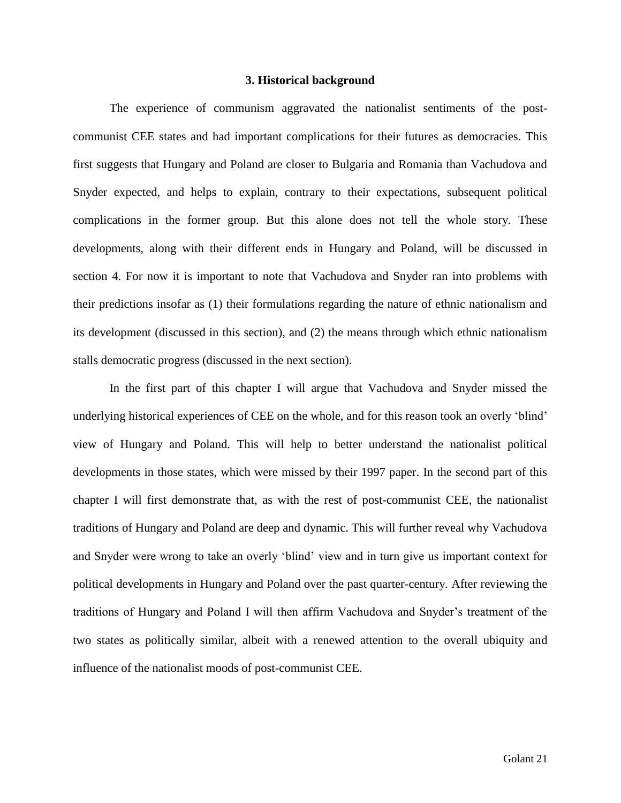#### **3. Historical background**

The experience of communism aggravated the nationalist sentiments of the postcommunist CEE states and had important complications for their futures as democracies. This first suggests that Hungary and Poland are closer to Bulgaria and Romania than Vachudova and Snyder expected, and helps to explain, contrary to their expectations, subsequent political complications in the former group. But this alone does not tell the whole story. These developments, along with their different ends in Hungary and Poland, will be discussed in section 4. For now it is important to note that Vachudova and Snyder ran into problems with their predictions insofar as (1) their formulations regarding the nature of ethnic nationalism and its development (discussed in this section), and (2) the means through which ethnic nationalism stalls democratic progress (discussed in the next section).

In the first part of this chapter I will argue that Vachudova and Snyder missed the underlying historical experiences of CEE on the whole, and for this reason took an overly 'blind' view of Hungary and Poland. This will help to better understand the nationalist political developments in those states, which were missed by their 1997 paper. In the second part of this chapter I will first demonstrate that, as with the rest of post-communist CEE, the nationalist traditions of Hungary and Poland are deep and dynamic. This will further reveal why Vachudova and Snyder were wrong to take an overly 'blind' view and in turn give us important context for political developments in Hungary and Poland over the past quarter-century. After reviewing the traditions of Hungary and Poland I will then affirm Vachudova and Snyder's treatment of the two states as politically similar, albeit with a renewed attention to the overall ubiquity and influence of the nationalist moods of post-communist CEE.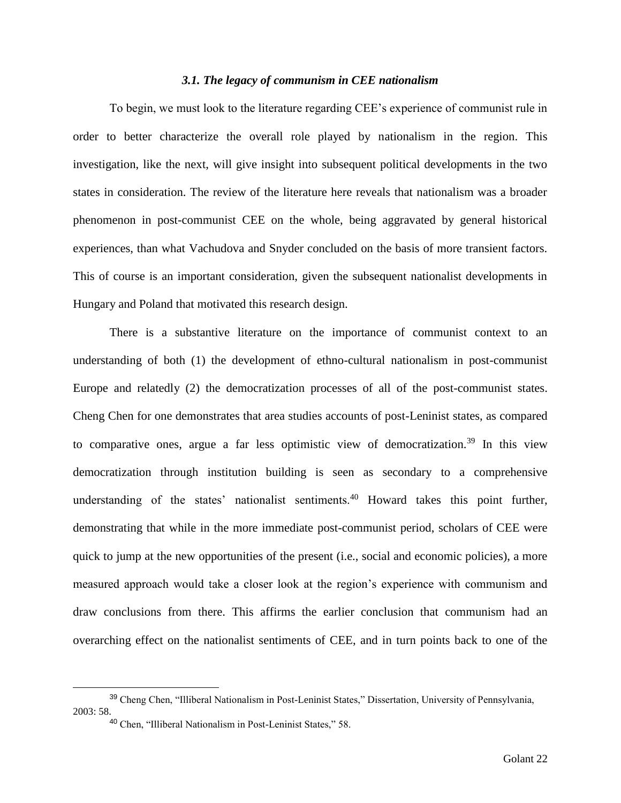#### *3.1. The legacy of communism in CEE nationalism*

To begin, we must look to the literature regarding CEE's experience of communist rule in order to better characterize the overall role played by nationalism in the region. This investigation, like the next, will give insight into subsequent political developments in the two states in consideration. The review of the literature here reveals that nationalism was a broader phenomenon in post-communist CEE on the whole, being aggravated by general historical experiences, than what Vachudova and Snyder concluded on the basis of more transient factors. This of course is an important consideration, given the subsequent nationalist developments in Hungary and Poland that motivated this research design.

There is a substantive literature on the importance of communist context to an understanding of both (1) the development of ethno-cultural nationalism in post-communist Europe and relatedly (2) the democratization processes of all of the post-communist states. Cheng Chen for one demonstrates that area studies accounts of post-Leninist states, as compared to comparative ones, argue a far less optimistic view of democratization.<sup>39</sup> In this view democratization through institution building is seen as secondary to a comprehensive understanding of the states' nationalist sentiments.<sup>40</sup> Howard takes this point further, demonstrating that while in the more immediate post-communist period, scholars of CEE were quick to jump at the new opportunities of the present (i.e., social and economic policies), a more measured approach would take a closer look at the region's experience with communism and draw conclusions from there. This affirms the earlier conclusion that communism had an overarching effect on the nationalist sentiments of CEE, and in turn points back to one of the

<sup>39</sup> Cheng Chen, "Illiberal Nationalism in Post-Leninist States," Dissertation, University of Pennsylvania, 2003: 58.

<sup>40</sup> Chen, "Illiberal Nationalism in Post-Leninist States," 58.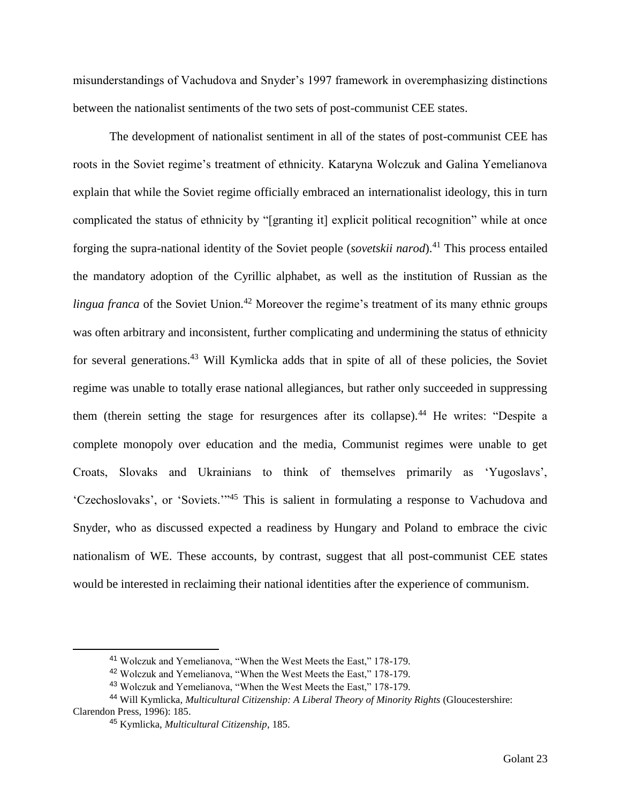misunderstandings of Vachudova and Snyder's 1997 framework in overemphasizing distinctions between the nationalist sentiments of the two sets of post-communist CEE states.

The development of nationalist sentiment in all of the states of post-communist CEE has roots in the Soviet regime's treatment of ethnicity. Kataryna Wolczuk and Galina Yemelianova explain that while the Soviet regime officially embraced an internationalist ideology, this in turn complicated the status of ethnicity by "[granting it] explicit political recognition" while at once forging the supra-national identity of the Soviet people (*sovetskii narod*).<sup>41</sup> This process entailed the mandatory adoption of the Cyrillic alphabet, as well as the institution of Russian as the *lingua franca* of the Soviet Union.<sup>42</sup> Moreover the regime's treatment of its many ethnic groups was often arbitrary and inconsistent, further complicating and undermining the status of ethnicity for several generations.<sup>43</sup> Will Kymlicka adds that in spite of all of these policies, the Soviet regime was unable to totally erase national allegiances, but rather only succeeded in suppressing them (therein setting the stage for resurgences after its collapse).<sup>44</sup> He writes: "Despite a complete monopoly over education and the media, Communist regimes were unable to get Croats, Slovaks and Ukrainians to think of themselves primarily as 'Yugoslavs', 'Czechoslovaks', or 'Soviets.'"<sup>45</sup> This is salient in formulating a response to Vachudova and Snyder, who as discussed expected a readiness by Hungary and Poland to embrace the civic nationalism of WE. These accounts, by contrast, suggest that all post-communist CEE states would be interested in reclaiming their national identities after the experience of communism.

<sup>41</sup> Wolczuk and Yemelianova, "When the West Meets the East," 178-179.

<sup>42</sup> Wolczuk and Yemelianova, "When the West Meets the East," 178-179.

<sup>43</sup> Wolczuk and Yemelianova, "When the West Meets the East," 178-179.

<sup>44</sup> Will Kymlicka, *Multicultural Citizenship: A Liberal Theory of Minority Rights* (Gloucestershire: Clarendon Press, 1996): 185.

<sup>45</sup> Kymlicka, *Multicultural Citizenship*, 185.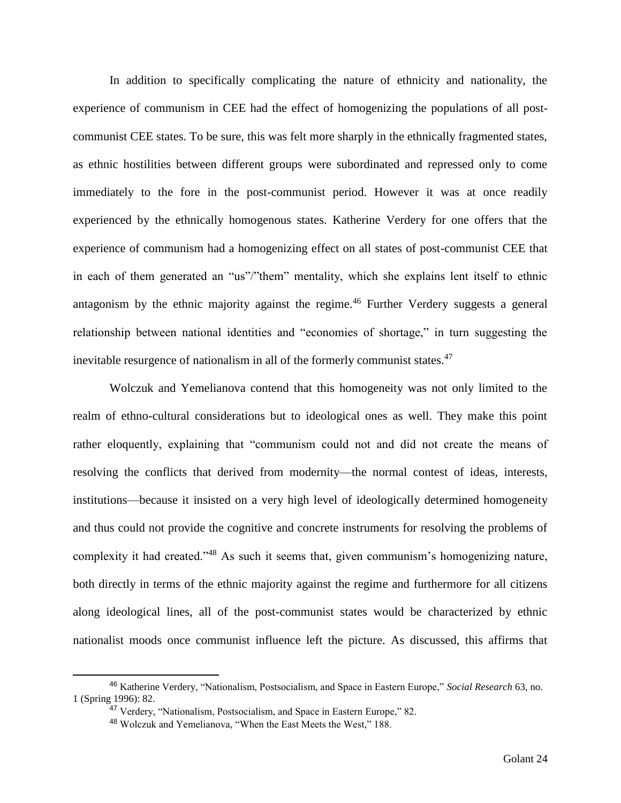In addition to specifically complicating the nature of ethnicity and nationality, the experience of communism in CEE had the effect of homogenizing the populations of all postcommunist CEE states. To be sure, this was felt more sharply in the ethnically fragmented states, as ethnic hostilities between different groups were subordinated and repressed only to come immediately to the fore in the post-communist period. However it was at once readily experienced by the ethnically homogenous states. Katherine Verdery for one offers that the experience of communism had a homogenizing effect on all states of post-communist CEE that in each of them generated an "us"/"them" mentality, which she explains lent itself to ethnic antagonism by the ethnic majority against the regime.<sup>46</sup> Further Verdery suggests a general relationship between national identities and "economies of shortage," in turn suggesting the inevitable resurgence of nationalism in all of the formerly communist states.<sup>47</sup>

Wolczuk and Yemelianova contend that this homogeneity was not only limited to the realm of ethno-cultural considerations but to ideological ones as well. They make this point rather eloquently, explaining that "communism could not and did not create the means of resolving the conflicts that derived from modernity—the normal contest of ideas, interests, institutions—because it insisted on a very high level of ideologically determined homogeneity and thus could not provide the cognitive and concrete instruments for resolving the problems of complexity it had created."<sup>48</sup> As such it seems that, given communism's homogenizing nature, both directly in terms of the ethnic majority against the regime and furthermore for all citizens along ideological lines, all of the post-communist states would be characterized by ethnic nationalist moods once communist influence left the picture. As discussed, this affirms that

<sup>46</sup> Katherine Verdery, "Nationalism, Postsocialism, and Space in Eastern Europe," *Social Research* 63, no. 1 (Spring 1996): 82.

<sup>&</sup>lt;sup>47</sup> Verdery, "Nationalism, Postsocialism, and Space in Eastern Europe," 82.

<sup>48</sup> Wolczuk and Yemelianova, "When the East Meets the West," 188.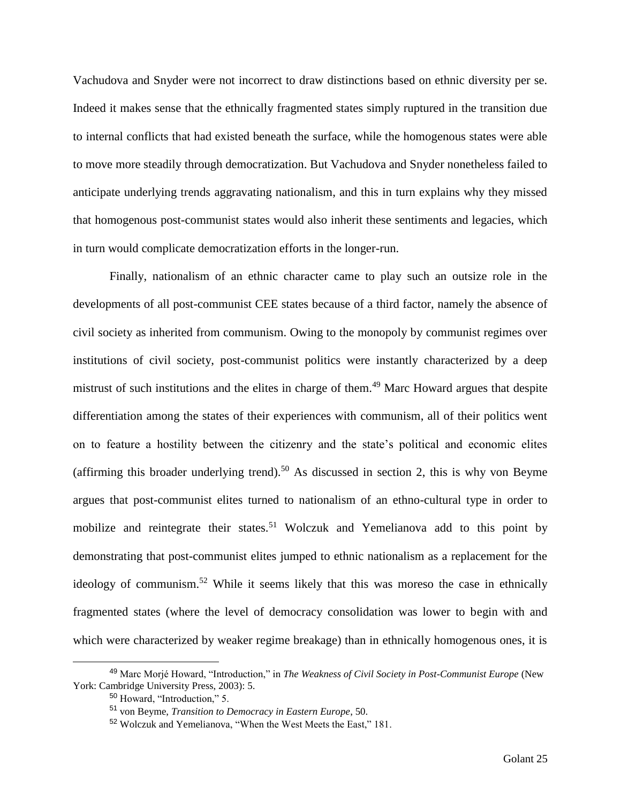Vachudova and Snyder were not incorrect to draw distinctions based on ethnic diversity per se. Indeed it makes sense that the ethnically fragmented states simply ruptured in the transition due to internal conflicts that had existed beneath the surface, while the homogenous states were able to move more steadily through democratization. But Vachudova and Snyder nonetheless failed to anticipate underlying trends aggravating nationalism, and this in turn explains why they missed that homogenous post-communist states would also inherit these sentiments and legacies, which in turn would complicate democratization efforts in the longer-run.

Finally, nationalism of an ethnic character came to play such an outsize role in the developments of all post-communist CEE states because of a third factor, namely the absence of civil society as inherited from communism. Owing to the monopoly by communist regimes over institutions of civil society, post-communist politics were instantly characterized by a deep mistrust of such institutions and the elites in charge of them.<sup>49</sup> Marc Howard argues that despite differentiation among the states of their experiences with communism, all of their politics went on to feature a hostility between the citizenry and the state's political and economic elites (affirming this broader underlying trend).<sup>50</sup> As discussed in section 2, this is why von Beyme argues that post-communist elites turned to nationalism of an ethno-cultural type in order to mobilize and reintegrate their states.<sup>51</sup> Wolczuk and Yemelianova add to this point by demonstrating that post-communist elites jumped to ethnic nationalism as a replacement for the ideology of communism.<sup>52</sup> While it seems likely that this was moreso the case in ethnically fragmented states (where the level of democracy consolidation was lower to begin with and which were characterized by weaker regime breakage) than in ethnically homogenous ones, it is

<sup>49</sup> Marc Morjé Howard, "Introduction," in *The Weakness of Civil Society in Post-Communist Europe* (New York: Cambridge University Press, 2003): 5.

<sup>50</sup> Howard, "Introduction," 5.

<sup>51</sup> von Beyme, *Transition to Democracy in Eastern Europe*, 50.

<sup>52</sup> Wolczuk and Yemelianova, "When the West Meets the East," 181.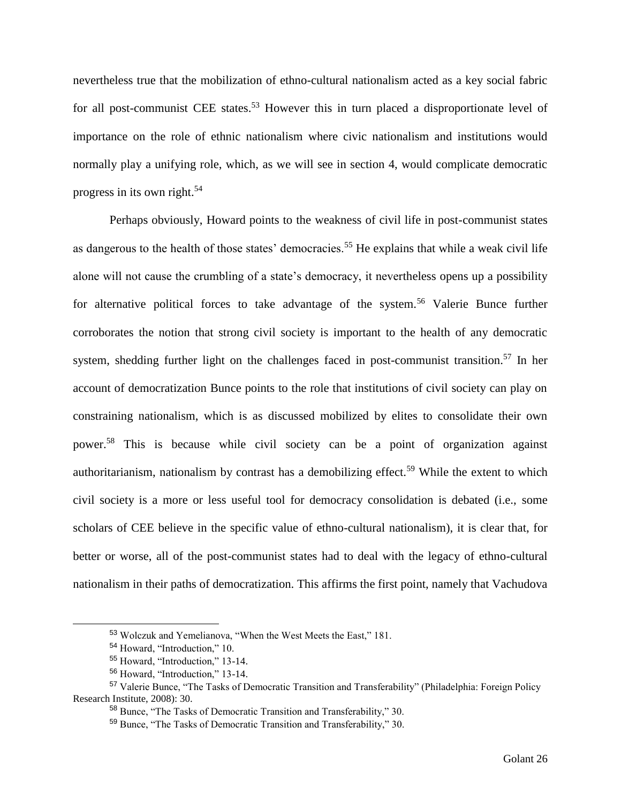nevertheless true that the mobilization of ethno-cultural nationalism acted as a key social fabric for all post-communist CEE states.<sup>53</sup> However this in turn placed a disproportionate level of importance on the role of ethnic nationalism where civic nationalism and institutions would normally play a unifying role, which, as we will see in section 4, would complicate democratic progress in its own right.<sup>54</sup>

Perhaps obviously, Howard points to the weakness of civil life in post-communist states as dangerous to the health of those states' democracies.<sup>55</sup> He explains that while a weak civil life alone will not cause the crumbling of a state's democracy, it nevertheless opens up a possibility for alternative political forces to take advantage of the system.<sup>56</sup> Valerie Bunce further corroborates the notion that strong civil society is important to the health of any democratic system, shedding further light on the challenges faced in post-communist transition.<sup>57</sup> In her account of democratization Bunce points to the role that institutions of civil society can play on constraining nationalism, which is as discussed mobilized by elites to consolidate their own power.<sup>58</sup> This is because while civil society can be a point of organization against authoritarianism, nationalism by contrast has a demobilizing effect.<sup>59</sup> While the extent to which civil society is a more or less useful tool for democracy consolidation is debated (i.e., some scholars of CEE believe in the specific value of ethno-cultural nationalism), it is clear that, for better or worse, all of the post-communist states had to deal with the legacy of ethno-cultural nationalism in their paths of democratization. This affirms the first point, namely that Vachudova

<sup>53</sup> Wolczuk and Yemelianova, "When the West Meets the East," 181.

<sup>54</sup> Howard, "Introduction," 10.

<sup>55</sup> Howard, "Introduction," 13-14.

<sup>56</sup> Howard, "Introduction," 13-14.

<sup>57</sup> Valerie Bunce, "The Tasks of Democratic Transition and Transferability" (Philadelphia: Foreign Policy Research Institute, 2008): 30.

<sup>58</sup> Bunce, "The Tasks of Democratic Transition and Transferability," 30.

<sup>59</sup> Bunce, "The Tasks of Democratic Transition and Transferability," 30.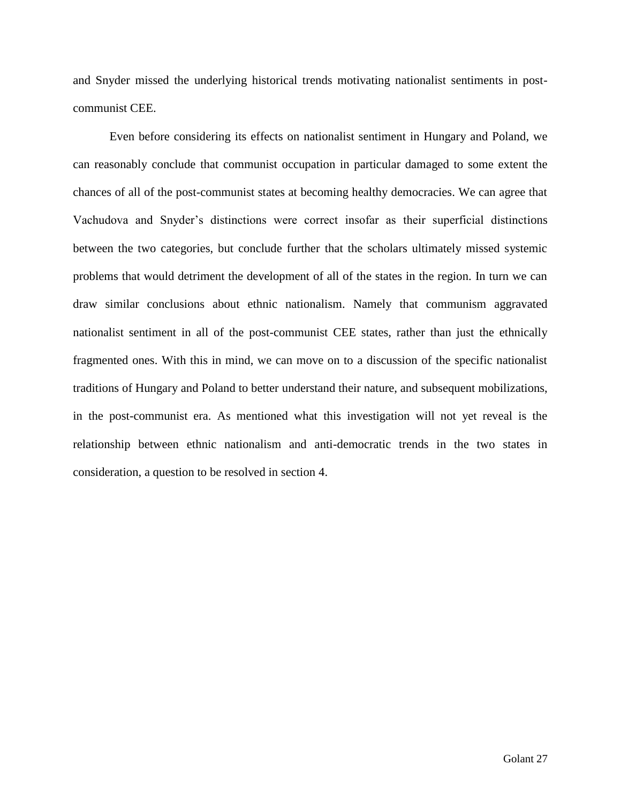and Snyder missed the underlying historical trends motivating nationalist sentiments in postcommunist CEE.

Even before considering its effects on nationalist sentiment in Hungary and Poland, we can reasonably conclude that communist occupation in particular damaged to some extent the chances of all of the post-communist states at becoming healthy democracies. We can agree that Vachudova and Snyder's distinctions were correct insofar as their superficial distinctions between the two categories, but conclude further that the scholars ultimately missed systemic problems that would detriment the development of all of the states in the region. In turn we can draw similar conclusions about ethnic nationalism. Namely that communism aggravated nationalist sentiment in all of the post-communist CEE states, rather than just the ethnically fragmented ones. With this in mind, we can move on to a discussion of the specific nationalist traditions of Hungary and Poland to better understand their nature, and subsequent mobilizations, in the post-communist era. As mentioned what this investigation will not yet reveal is the relationship between ethnic nationalism and anti-democratic trends in the two states in consideration, a question to be resolved in section 4.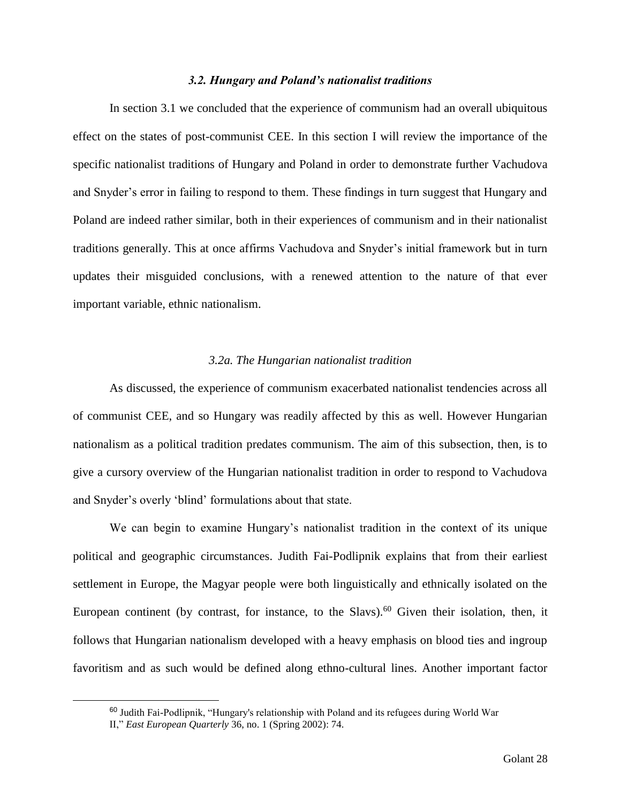#### *3.2. Hungary and Poland's nationalist traditions*

In section 3.1 we concluded that the experience of communism had an overall ubiquitous effect on the states of post-communist CEE. In this section I will review the importance of the specific nationalist traditions of Hungary and Poland in order to demonstrate further Vachudova and Snyder's error in failing to respond to them. These findings in turn suggest that Hungary and Poland are indeed rather similar, both in their experiences of communism and in their nationalist traditions generally. This at once affirms Vachudova and Snyder's initial framework but in turn updates their misguided conclusions, with a renewed attention to the nature of that ever important variable, ethnic nationalism.

#### *3.2a. The Hungarian nationalist tradition*

As discussed, the experience of communism exacerbated nationalist tendencies across all of communist CEE, and so Hungary was readily affected by this as well. However Hungarian nationalism as a political tradition predates communism. The aim of this subsection, then, is to give a cursory overview of the Hungarian nationalist tradition in order to respond to Vachudova and Snyder's overly 'blind' formulations about that state.

We can begin to examine Hungary's nationalist tradition in the context of its unique political and geographic circumstances. Judith Fai-Podlipnik explains that from their earliest settlement in Europe, the Magyar people were both linguistically and ethnically isolated on the European continent (by contrast, for instance, to the Slavs).<sup>60</sup> Given their isolation, then, it follows that Hungarian nationalism developed with a heavy emphasis on blood ties and ingroup favoritism and as such would be defined along ethno-cultural lines. Another important factor

<sup>60</sup> Judith Fai-Podlipnik, "Hungary's relationship with Poland and its refugees during World War

II," *East European Quarterly* 36, no. 1 (Spring 2002): 74.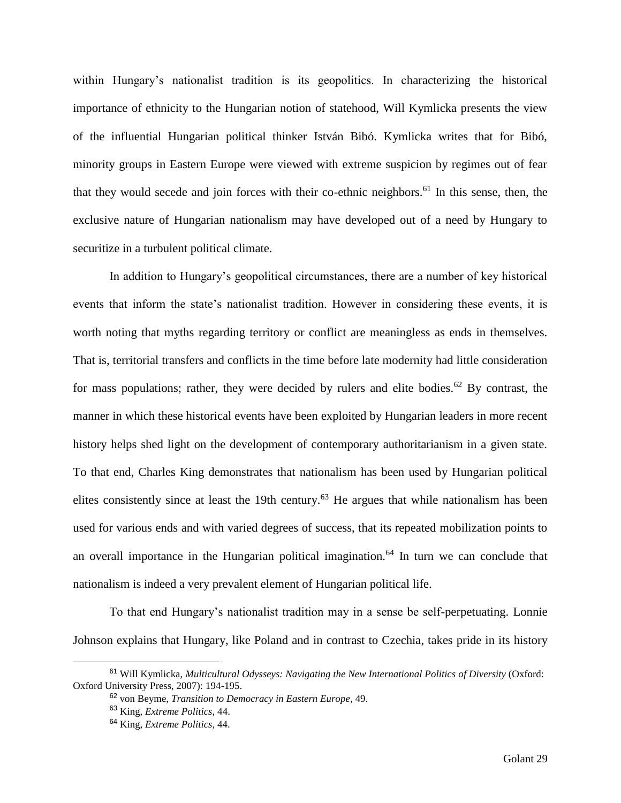within Hungary's nationalist tradition is its geopolitics. In characterizing the historical importance of ethnicity to the Hungarian notion of statehood, Will Kymlicka presents the view of the influential Hungarian political thinker István Bibó. Kymlicka writes that for Bibó, minority groups in Eastern Europe were viewed with extreme suspicion by regimes out of fear that they would secede and join forces with their co-ethnic neighbors.<sup>61</sup> In this sense, then, the exclusive nature of Hungarian nationalism may have developed out of a need by Hungary to securitize in a turbulent political climate.

In addition to Hungary's geopolitical circumstances, there are a number of key historical events that inform the state's nationalist tradition. However in considering these events, it is worth noting that myths regarding territory or conflict are meaningless as ends in themselves. That is, territorial transfers and conflicts in the time before late modernity had little consideration for mass populations; rather, they were decided by rulers and elite bodies.<sup>62</sup> By contrast, the manner in which these historical events have been exploited by Hungarian leaders in more recent history helps shed light on the development of contemporary authoritarianism in a given state. To that end, Charles King demonstrates that nationalism has been used by Hungarian political elites consistently since at least the 19th century.<sup>63</sup> He argues that while nationalism has been used for various ends and with varied degrees of success, that its repeated mobilization points to an overall importance in the Hungarian political imagination.<sup>64</sup> In turn we can conclude that nationalism is indeed a very prevalent element of Hungarian political life.

To that end Hungary's nationalist tradition may in a sense be self-perpetuating. Lonnie Johnson explains that Hungary, like Poland and in contrast to Czechia, takes pride in its history

<sup>61</sup> Will Kymlicka, *Multicultural Odysseys: Navigating the New International Politics of Diversity* (Oxford: Oxford University Press, 2007): 194-195.

<sup>62</sup> von Beyme, *Transition to Democracy in Eastern Europe*, 49.

<sup>63</sup> King, *Extreme Politics,* 44.

<sup>64</sup> King, *Extreme Politics*, 44.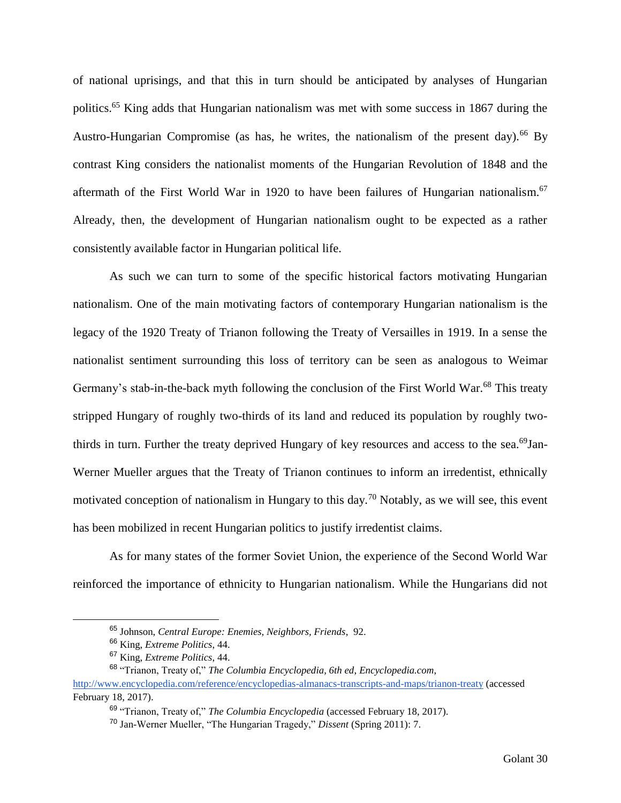of national uprisings, and that this in turn should be anticipated by analyses of Hungarian politics.<sup>65</sup> King adds that Hungarian nationalism was met with some success in 1867 during the Austro-Hungarian Compromise (as has, he writes, the nationalism of the present day).<sup>66</sup> By contrast King considers the nationalist moments of the Hungarian Revolution of 1848 and the aftermath of the First World War in 1920 to have been failures of Hungarian nationalism.<sup>67</sup> Already, then, the development of Hungarian nationalism ought to be expected as a rather consistently available factor in Hungarian political life.

As such we can turn to some of the specific historical factors motivating Hungarian nationalism. One of the main motivating factors of contemporary Hungarian nationalism is the legacy of the 1920 Treaty of Trianon following the Treaty of Versailles in 1919. In a sense the nationalist sentiment surrounding this loss of territory can be seen as analogous to Weimar Germany's stab-in-the-back myth following the conclusion of the First World War.<sup>68</sup> This treaty stripped Hungary of roughly two-thirds of its land and reduced its population by roughly twothirds in turn. Further the treaty deprived Hungary of key resources and access to the sea.<sup>69</sup>Jan-Werner Mueller argues that the Treaty of Trianon continues to inform an irredentist, ethnically motivated conception of nationalism in Hungary to this day.<sup>70</sup> Notably, as we will see, this event has been mobilized in recent Hungarian politics to justify irredentist claims.

As for many states of the former Soviet Union, the experience of the Second World War reinforced the importance of ethnicity to Hungarian nationalism. While the Hungarians did not

<sup>65</sup> Johnson, *Central Europe: Enemies, Neighbors, Friends*, 92.

<sup>66</sup> King, *Extreme Politics*, 44.

<sup>67</sup> King, *Extreme Politics*, 44.

<sup>68</sup> "Trianon, Treaty of," *The Columbia Encyclopedia, 6th ed*, *Encyclopedia.com*,

<http://www.encyclopedia.com/reference/encyclopedias-almanacs-transcripts-and-maps/trianon-treaty> (accessed February 18, 2017).

<sup>69</sup> "Trianon, Treaty of," *The Columbia Encyclopedia* (accessed February 18, 2017).

<sup>70</sup> Jan-Werner Mueller, "The Hungarian Tragedy," *Dissent* (Spring 2011): 7.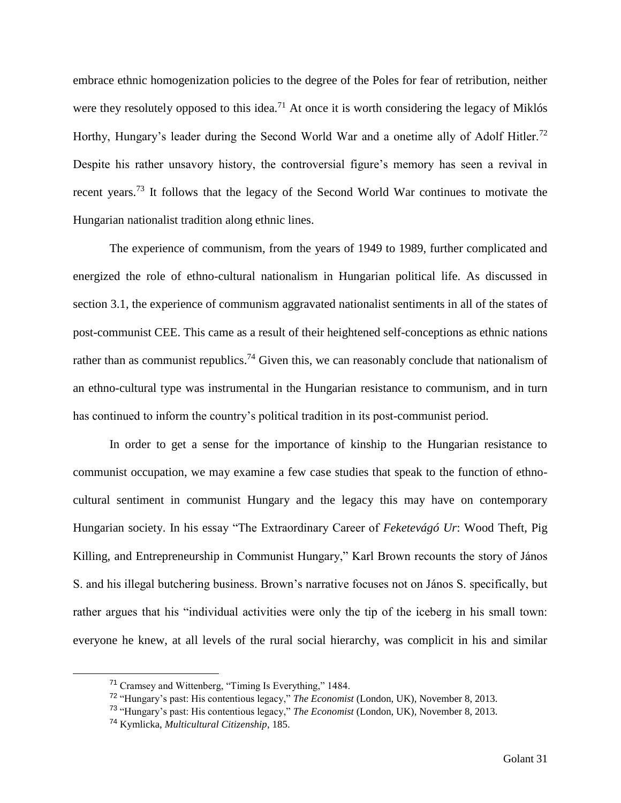embrace ethnic homogenization policies to the degree of the Poles for fear of retribution, neither were they resolutely opposed to this idea.<sup>71</sup> At once it is worth considering the legacy of Miklós Horthy, Hungary's leader during the Second World War and a onetime ally of Adolf Hitler.<sup>72</sup> Despite his rather unsavory history, the controversial figure's memory has seen a revival in recent years.<sup>73</sup> It follows that the legacy of the Second World War continues to motivate the Hungarian nationalist tradition along ethnic lines.

The experience of communism, from the years of 1949 to 1989, further complicated and energized the role of ethno-cultural nationalism in Hungarian political life. As discussed in section 3.1, the experience of communism aggravated nationalist sentiments in all of the states of post-communist CEE. This came as a result of their heightened self-conceptions as ethnic nations rather than as communist republics.<sup>74</sup> Given this, we can reasonably conclude that nationalism of an ethno-cultural type was instrumental in the Hungarian resistance to communism, and in turn has continued to inform the country's political tradition in its post-communist period.

In order to get a sense for the importance of kinship to the Hungarian resistance to communist occupation, we may examine a few case studies that speak to the function of ethnocultural sentiment in communist Hungary and the legacy this may have on contemporary Hungarian society. In his essay "The Extraordinary Career of *Feketevágó Ur*: Wood Theft, Pig Killing, and Entrepreneurship in Communist Hungary," Karl Brown recounts the story of János S. and his illegal butchering business. Brown's narrative focuses not on János S. specifically, but rather argues that his "individual activities were only the tip of the iceberg in his small town: everyone he knew, at all levels of the rural social hierarchy, was complicit in his and similar

<sup>71</sup> Cramsey and Wittenberg, "Timing Is Everything," 1484.

<sup>72</sup> "Hungary's past: His contentious legacy," *The Economist* (London, UK), November 8, 2013.

<sup>73</sup> "Hungary's past: His contentious legacy," *The Economist* (London, UK), November 8, 2013.

<sup>74</sup> Kymlicka, *Multicultural Citizenship*, 185.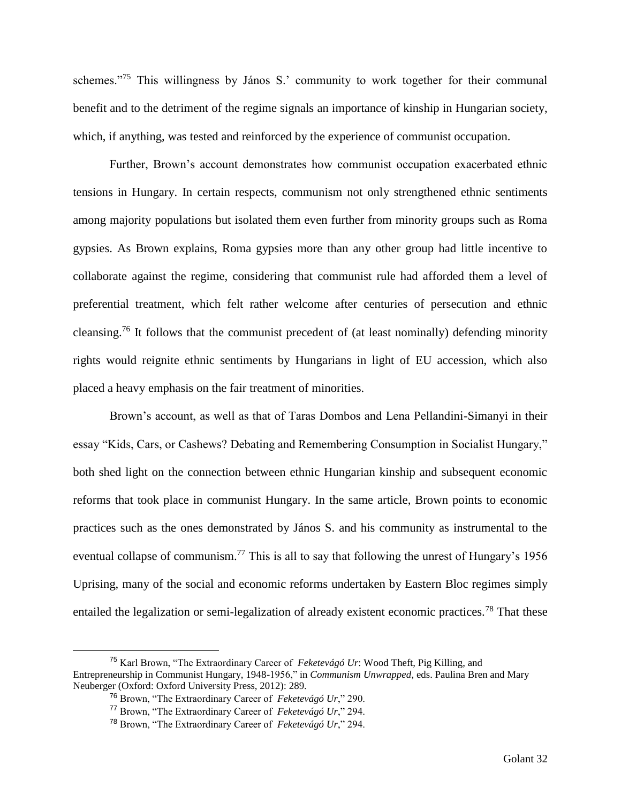schemes."<sup>75</sup> This willingness by János S.' community to work together for their communal benefit and to the detriment of the regime signals an importance of kinship in Hungarian society, which, if anything, was tested and reinforced by the experience of communist occupation.

Further, Brown's account demonstrates how communist occupation exacerbated ethnic tensions in Hungary. In certain respects, communism not only strengthened ethnic sentiments among majority populations but isolated them even further from minority groups such as Roma gypsies. As Brown explains, Roma gypsies more than any other group had little incentive to collaborate against the regime, considering that communist rule had afforded them a level of preferential treatment, which felt rather welcome after centuries of persecution and ethnic cleansing.<sup>76</sup> It follows that the communist precedent of (at least nominally) defending minority rights would reignite ethnic sentiments by Hungarians in light of EU accession, which also placed a heavy emphasis on the fair treatment of minorities.

Brown's account, as well as that of Taras Dombos and Lena Pellandini-Simanyi in their essay "Kids, Cars, or Cashews? Debating and Remembering Consumption in Socialist Hungary," both shed light on the connection between ethnic Hungarian kinship and subsequent economic reforms that took place in communist Hungary. In the same article, Brown points to economic practices such as the ones demonstrated by János S. and his community as instrumental to the eventual collapse of communism.<sup>77</sup> This is all to say that following the unrest of Hungary's 1956 Uprising, many of the social and economic reforms undertaken by Eastern Bloc regimes simply entailed the legalization or semi-legalization of already existent economic practices.<sup>78</sup> That these

<sup>75</sup> Karl Brown, "The Extraordinary Career of *Feketevágó Ur*: Wood Theft, Pig Killing, and Entrepreneurship in Communist Hungary, 1948-1956," in *Communism Unwrapped*, eds. Paulina Bren and Mary Neuberger (Oxford: Oxford University Press, 2012): 289.

<sup>76</sup> Brown, "The Extraordinary Career of *Feketevágó Ur*," 290.

<sup>77</sup> Brown, "The Extraordinary Career of *Feketevágó Ur*," 294.

<sup>78</sup> Brown, "The Extraordinary Career of *Feketevágó Ur*," 294.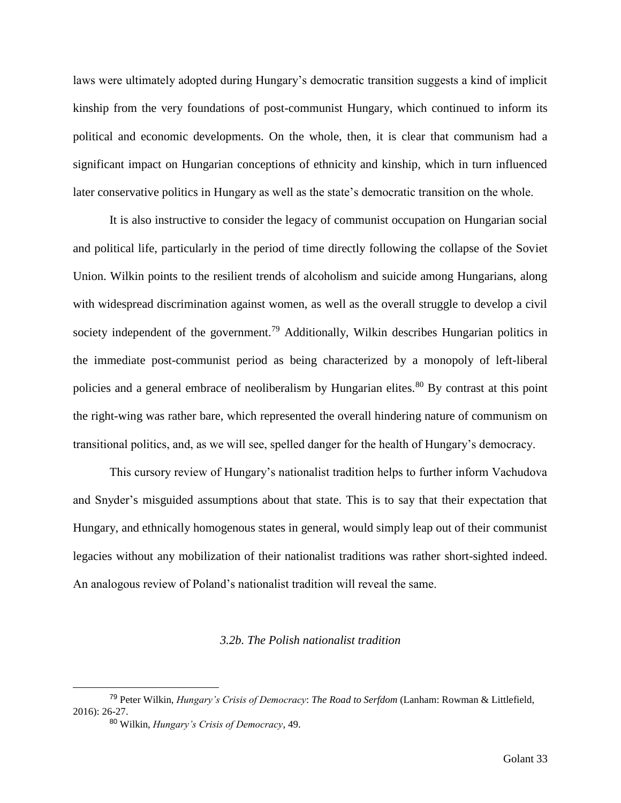laws were ultimately adopted during Hungary's democratic transition suggests a kind of implicit kinship from the very foundations of post-communist Hungary, which continued to inform its political and economic developments. On the whole, then, it is clear that communism had a significant impact on Hungarian conceptions of ethnicity and kinship, which in turn influenced later conservative politics in Hungary as well as the state's democratic transition on the whole.

It is also instructive to consider the legacy of communist occupation on Hungarian social and political life, particularly in the period of time directly following the collapse of the Soviet Union. Wilkin points to the resilient trends of alcoholism and suicide among Hungarians, along with widespread discrimination against women, as well as the overall struggle to develop a civil society independent of the government.<sup>79</sup> Additionally, Wilkin describes Hungarian politics in the immediate post-communist period as being characterized by a monopoly of left-liberal policies and a general embrace of neoliberalism by Hungarian elites.<sup>80</sup> By contrast at this point the right-wing was rather bare, which represented the overall hindering nature of communism on transitional politics, and, as we will see, spelled danger for the health of Hungary's democracy.

This cursory review of Hungary's nationalist tradition helps to further inform Vachudova and Snyder's misguided assumptions about that state. This is to say that their expectation that Hungary, and ethnically homogenous states in general, would simply leap out of their communist legacies without any mobilization of their nationalist traditions was rather short-sighted indeed. An analogous review of Poland's nationalist tradition will reveal the same.

#### *3.2b. The Polish nationalist tradition*

<sup>79</sup> Peter Wilkin, *Hungary's Crisis of Democracy*: *The Road to Serfdom* (Lanham: Rowman & Littlefield, 2016): 26-27.

<sup>80</sup> Wilkin, *Hungary's Crisis of Democracy*, 49.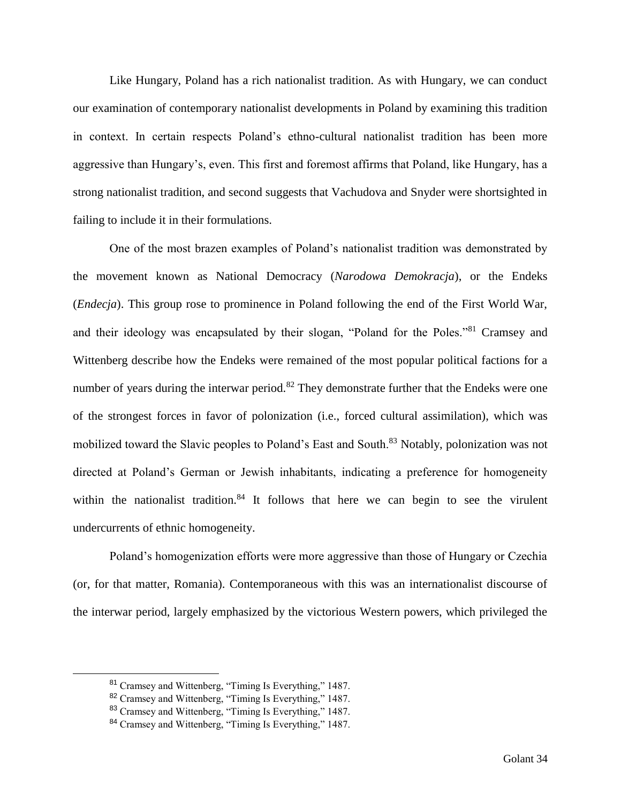Like Hungary, Poland has a rich nationalist tradition. As with Hungary, we can conduct our examination of contemporary nationalist developments in Poland by examining this tradition in context. In certain respects Poland's ethno-cultural nationalist tradition has been more aggressive than Hungary's, even. This first and foremost affirms that Poland, like Hungary, has a strong nationalist tradition, and second suggests that Vachudova and Snyder were shortsighted in failing to include it in their formulations.

One of the most brazen examples of Poland's nationalist tradition was demonstrated by the movement known as National Democracy (*Narodowa Demokracja*), or the Endeks (*Endecja*). This group rose to prominence in Poland following the end of the First World War, and their ideology was encapsulated by their slogan, "Poland for the Poles."<sup>81</sup> Cramsey and Wittenberg describe how the Endeks were remained of the most popular political factions for a number of years during the interwar period.<sup>82</sup> They demonstrate further that the Endeks were one of the strongest forces in favor of polonization (i.e., forced cultural assimilation), which was mobilized toward the Slavic peoples to Poland's East and South.<sup>83</sup> Notably, polonization was not directed at Poland's German or Jewish inhabitants, indicating a preference for homogeneity within the nationalist tradition.<sup>84</sup> It follows that here we can begin to see the virulent undercurrents of ethnic homogeneity.

Poland's homogenization efforts were more aggressive than those of Hungary or Czechia (or, for that matter, Romania). Contemporaneous with this was an internationalist discourse of the interwar period, largely emphasized by the victorious Western powers, which privileged the

<sup>81</sup> Cramsey and Wittenberg, "Timing Is Everything," 1487.

<sup>82</sup> Cramsey and Wittenberg, "Timing Is Everything," 1487.

<sup>83</sup> Cramsey and Wittenberg, "Timing Is Everything," 1487.

<sup>84</sup> Cramsey and Wittenberg, "Timing Is Everything," 1487.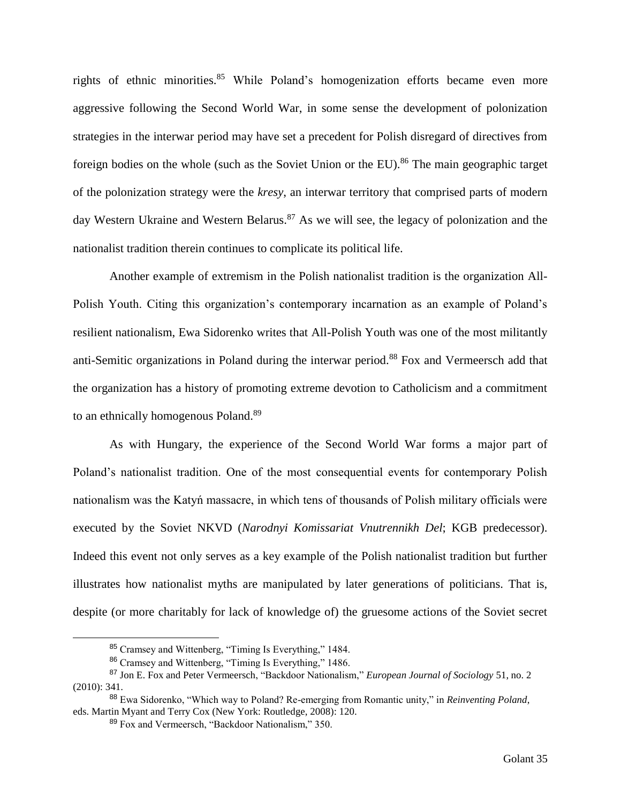rights of ethnic minorities.<sup>85</sup> While Poland's homogenization efforts became even more aggressive following the Second World War, in some sense the development of polonization strategies in the interwar period may have set a precedent for Polish disregard of directives from foreign bodies on the whole (such as the Soviet Union or the EU).<sup>86</sup> The main geographic target of the polonization strategy were the *kresy*, an interwar territory that comprised parts of modern day Western Ukraine and Western Belarus.<sup>87</sup> As we will see, the legacy of polonization and the nationalist tradition therein continues to complicate its political life.

Another example of extremism in the Polish nationalist tradition is the organization All-Polish Youth. Citing this organization's contemporary incarnation as an example of Poland's resilient nationalism, Ewa Sidorenko writes that All-Polish Youth was one of the most militantly anti-Semitic organizations in Poland during the interwar period.<sup>88</sup> Fox and Vermeersch add that the organization has a history of promoting extreme devotion to Catholicism and a commitment to an ethnically homogenous Poland.<sup>89</sup>

As with Hungary, the experience of the Second World War forms a major part of Poland's nationalist tradition. One of the most consequential events for contemporary Polish nationalism was the Katyń massacre, in which tens of thousands of Polish military officials were executed by the Soviet NKVD (*Narodnyi Komissariat Vnutrennikh Del*; KGB predecessor). Indeed this event not only serves as a key example of the Polish nationalist tradition but further illustrates how nationalist myths are manipulated by later generations of politicians. That is, despite (or more charitably for lack of knowledge of) the gruesome actions of the Soviet secret

<sup>85</sup> Cramsey and Wittenberg, "Timing Is Everything," 1484.

<sup>86</sup> Cramsey and Wittenberg, "Timing Is Everything," 1486.

<sup>87</sup> Jon E. Fox and Peter Vermeersch, "Backdoor Nationalism," *European Journal of Sociology* 51, no. 2 (2010): 341.

<sup>88</sup> Ewa Sidorenko, "Which way to Poland? Re-emerging from Romantic unity," in *Reinventing Poland*, eds. Martin Myant and Terry Cox (New York: Routledge, 2008): 120.

<sup>89</sup> Fox and Vermeersch, "Backdoor Nationalism," 350.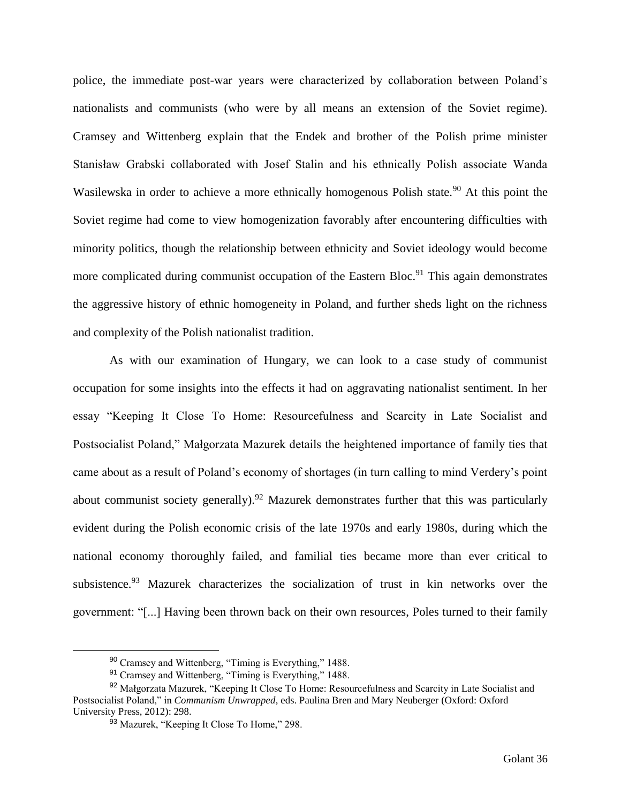police, the immediate post-war years were characterized by collaboration between Poland's nationalists and communists (who were by all means an extension of the Soviet regime). Cramsey and Wittenberg explain that the Endek and brother of the Polish prime minister Stanisław Grabski collaborated with Josef Stalin and his ethnically Polish associate Wanda Wasilewska in order to achieve a more ethnically homogenous Polish state.<sup>90</sup> At this point the Soviet regime had come to view homogenization favorably after encountering difficulties with minority politics, though the relationship between ethnicity and Soviet ideology would become more complicated during communist occupation of the Eastern Bloc.<sup>91</sup> This again demonstrates the aggressive history of ethnic homogeneity in Poland, and further sheds light on the richness and complexity of the Polish nationalist tradition.

As with our examination of Hungary, we can look to a case study of communist occupation for some insights into the effects it had on aggravating nationalist sentiment. In her essay "Keeping It Close To Home: Resourcefulness and Scarcity in Late Socialist and Postsocialist Poland," Małgorzata Mazurek details the heightened importance of family ties that came about as a result of Poland's economy of shortages (in turn calling to mind Verdery's point about communist society generally).<sup>92</sup> Mazurek demonstrates further that this was particularly evident during the Polish economic crisis of the late 1970s and early 1980s, during which the national economy thoroughly failed, and familial ties became more than ever critical to subsistence.<sup>93</sup> Mazurek characterizes the socialization of trust in kin networks over the government: "[...] Having been thrown back on their own resources, Poles turned to their family

<sup>90</sup> Cramsey and Wittenberg, "Timing is Everything," 1488.

<sup>91</sup> Cramsey and Wittenberg, "Timing is Everything," 1488.

<sup>92</sup> Małgorzata Mazurek, "Keeping It Close To Home: Resourcefulness and Scarcity in Late Socialist and Postsocialist Poland," in *Communism Unwrapped*, eds. Paulina Bren and Mary Neuberger (Oxford: Oxford University Press, 2012): 298.

<sup>93</sup> Mazurek, "Keeping It Close To Home," 298.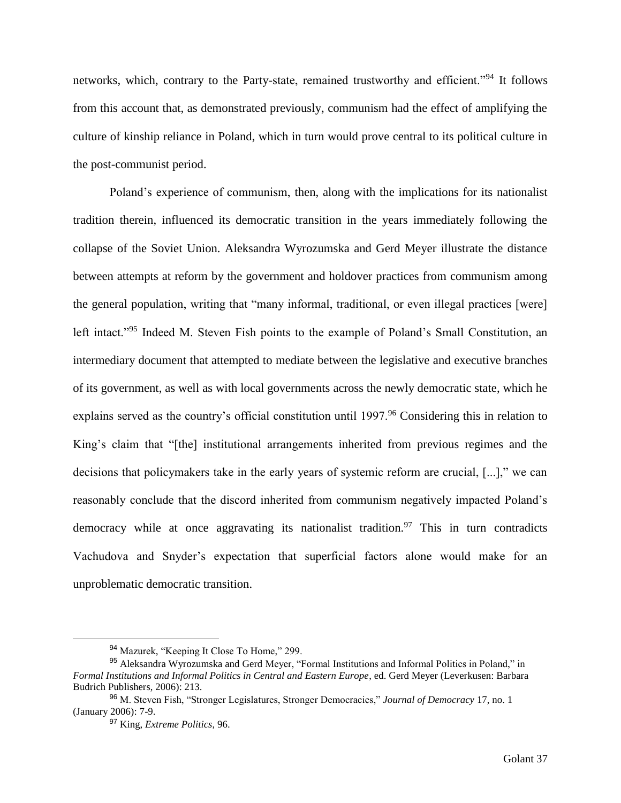networks, which, contrary to the Party-state, remained trustworthy and efficient."<sup>94</sup> It follows from this account that, as demonstrated previously, communism had the effect of amplifying the culture of kinship reliance in Poland, which in turn would prove central to its political culture in the post-communist period.

Poland's experience of communism, then, along with the implications for its nationalist tradition therein, influenced its democratic transition in the years immediately following the collapse of the Soviet Union. Aleksandra Wyrozumska and Gerd Meyer illustrate the distance between attempts at reform by the government and holdover practices from communism among the general population, writing that "many informal, traditional, or even illegal practices [were] left intact."<sup>95</sup> Indeed M. Steven Fish points to the example of Poland's Small Constitution, an intermediary document that attempted to mediate between the legislative and executive branches of its government, as well as with local governments across the newly democratic state, which he explains served as the country's official constitution until 1997.<sup>96</sup> Considering this in relation to King's claim that "[the] institutional arrangements inherited from previous regimes and the decisions that policymakers take in the early years of systemic reform are crucial, [...]," we can reasonably conclude that the discord inherited from communism negatively impacted Poland's democracy while at once aggravating its nationalist tradition.<sup>97</sup> This in turn contradicts Vachudova and Snyder's expectation that superficial factors alone would make for an unproblematic democratic transition.

<sup>&</sup>lt;sup>94</sup> Mazurek, "Keeping It Close To Home," 299.

<sup>95</sup> Aleksandra Wyrozumska and Gerd Meyer, "Formal Institutions and Informal Politics in Poland," in *Formal Institutions and Informal Politics in Central and Eastern Europe*, ed. Gerd Meyer (Leverkusen: Barbara Budrich Publishers, 2006): 213.

<sup>96</sup> M. Steven Fish, "Stronger Legislatures, Stronger Democracies," *Journal of Democracy* 17, no. 1 (January 2006): 7-9.

<sup>97</sup> King, *Extreme Politics*, 96.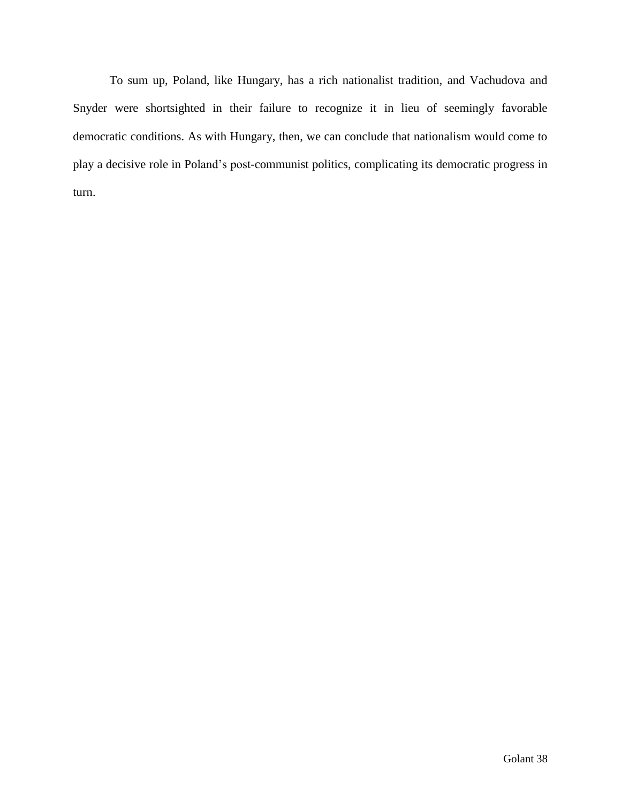To sum up, Poland, like Hungary, has a rich nationalist tradition, and Vachudova and Snyder were shortsighted in their failure to recognize it in lieu of seemingly favorable democratic conditions. As with Hungary, then, we can conclude that nationalism would come to play a decisive role in Poland's post-communist politics, complicating its democratic progress in turn.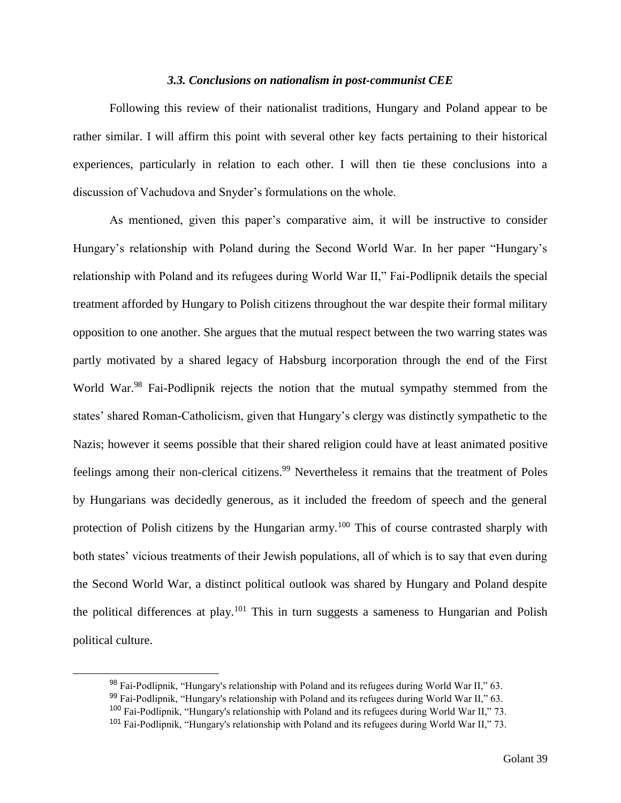#### *3.3. Conclusions on nationalism in post-communist CEE*

Following this review of their nationalist traditions, Hungary and Poland appear to be rather similar. I will affirm this point with several other key facts pertaining to their historical experiences, particularly in relation to each other. I will then tie these conclusions into a discussion of Vachudova and Snyder's formulations on the whole.

As mentioned, given this paper's comparative aim, it will be instructive to consider Hungary's relationship with Poland during the Second World War. In her paper "Hungary's relationship with Poland and its refugees during World War II," Fai-Podlipnik details the special treatment afforded by Hungary to Polish citizens throughout the war despite their formal military opposition to one another. She argues that the mutual respect between the two warring states was partly motivated by a shared legacy of Habsburg incorporation through the end of the First World War.<sup>98</sup> Fai-Podlipnik rejects the notion that the mutual sympathy stemmed from the states' shared Roman-Catholicism, given that Hungary's clergy was distinctly sympathetic to the Nazis; however it seems possible that their shared religion could have at least animated positive feelings among their non-clerical citizens.<sup>99</sup> Nevertheless it remains that the treatment of Poles by Hungarians was decidedly generous, as it included the freedom of speech and the general protection of Polish citizens by the Hungarian army.<sup>100</sup> This of course contrasted sharply with both states' vicious treatments of their Jewish populations, all of which is to say that even during the Second World War, a distinct political outlook was shared by Hungary and Poland despite the political differences at play.<sup>101</sup> This in turn suggests a sameness to Hungarian and Polish political culture.

<sup>98</sup> Fai-Podlipnik, "Hungary's relationship with Poland and its refugees during World War II," 63.

<sup>99</sup> Fai-Podlipnik, "Hungary's relationship with Poland and its refugees during World War II," 63.

<sup>100</sup> Fai-Podlipnik, "Hungary's relationship with Poland and its refugees during World War II," 73.

<sup>101</sup> Fai-Podlipnik, "Hungary's relationship with Poland and its refugees during World War II," 73.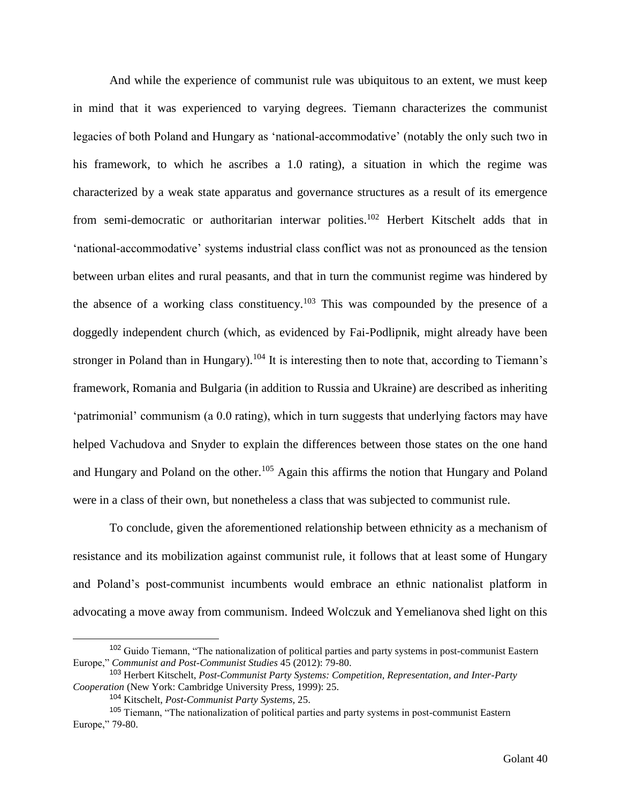And while the experience of communist rule was ubiquitous to an extent, we must keep in mind that it was experienced to varying degrees. Tiemann characterizes the communist legacies of both Poland and Hungary as 'national-accommodative' (notably the only such two in his framework, to which he ascribes a 1.0 rating), a situation in which the regime was characterized by a weak state apparatus and governance structures as a result of its emergence from semi-democratic or authoritarian interwar polities.<sup>102</sup> Herbert Kitschelt adds that in 'national-accommodative' systems industrial class conflict was not as pronounced as the tension between urban elites and rural peasants, and that in turn the communist regime was hindered by the absence of a working class constituency.<sup>103</sup> This was compounded by the presence of a doggedly independent church (which, as evidenced by Fai-Podlipnik, might already have been stronger in Poland than in Hungary).<sup>104</sup> It is interesting then to note that, according to Tiemann's framework, Romania and Bulgaria (in addition to Russia and Ukraine) are described as inheriting 'patrimonial' communism (a 0.0 rating), which in turn suggests that underlying factors may have helped Vachudova and Snyder to explain the differences between those states on the one hand and Hungary and Poland on the other.<sup>105</sup> Again this affirms the notion that Hungary and Poland were in a class of their own, but nonetheless a class that was subjected to communist rule.

To conclude, given the aforementioned relationship between ethnicity as a mechanism of resistance and its mobilization against communist rule, it follows that at least some of Hungary and Poland's post-communist incumbents would embrace an ethnic nationalist platform in advocating a move away from communism. Indeed Wolczuk and Yemelianova shed light on this

<sup>&</sup>lt;sup>102</sup> Guido Tiemann, "The nationalization of political parties and party systems in post-communist Eastern Europe," *Communist and Post-Communist Studies* 45 (2012): 79-80.

<sup>103</sup> Herbert Kitschelt, *Post-Communist Party Systems: Competition, Representation, and Inter-Party Cooperation* (New York: Cambridge University Press, 1999): 25.

<sup>104</sup> Kitschelt, *Post-Communist Party Systems,* 25.

<sup>105</sup> Tiemann, "The nationalization of political parties and party systems in post-communist Eastern Europe," 79-80.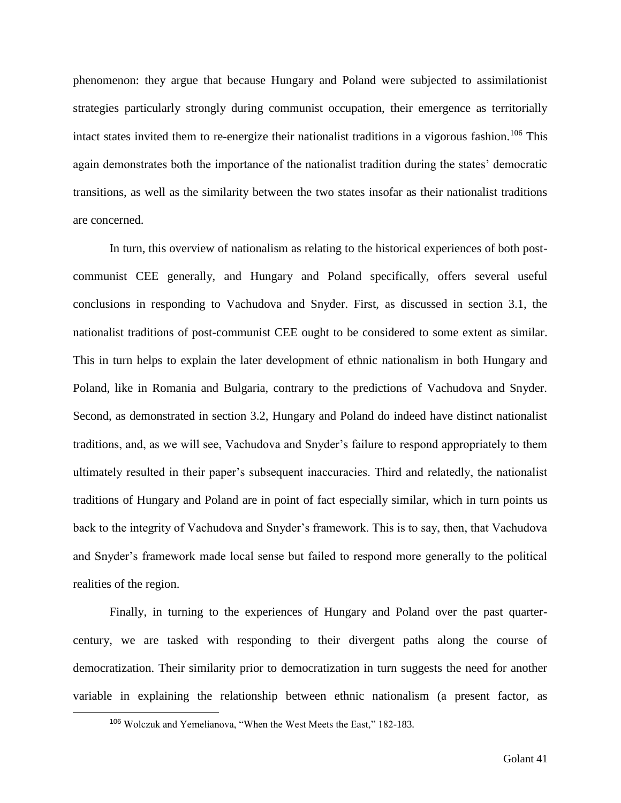phenomenon: they argue that because Hungary and Poland were subjected to assimilationist strategies particularly strongly during communist occupation, their emergence as territorially intact states invited them to re-energize their nationalist traditions in a vigorous fashion.<sup>106</sup> This again demonstrates both the importance of the nationalist tradition during the states' democratic transitions, as well as the similarity between the two states insofar as their nationalist traditions are concerned.

In turn, this overview of nationalism as relating to the historical experiences of both postcommunist CEE generally, and Hungary and Poland specifically, offers several useful conclusions in responding to Vachudova and Snyder. First, as discussed in section 3.1, the nationalist traditions of post-communist CEE ought to be considered to some extent as similar. This in turn helps to explain the later development of ethnic nationalism in both Hungary and Poland, like in Romania and Bulgaria, contrary to the predictions of Vachudova and Snyder. Second, as demonstrated in section 3.2, Hungary and Poland do indeed have distinct nationalist traditions, and, as we will see, Vachudova and Snyder's failure to respond appropriately to them ultimately resulted in their paper's subsequent inaccuracies. Third and relatedly, the nationalist traditions of Hungary and Poland are in point of fact especially similar, which in turn points us back to the integrity of Vachudova and Snyder's framework. This is to say, then, that Vachudova and Snyder's framework made local sense but failed to respond more generally to the political realities of the region.

Finally, in turning to the experiences of Hungary and Poland over the past quartercentury, we are tasked with responding to their divergent paths along the course of democratization. Their similarity prior to democratization in turn suggests the need for another variable in explaining the relationship between ethnic nationalism (a present factor, as

<sup>106</sup> Wolczuk and Yemelianova, "When the West Meets the East," 182-183.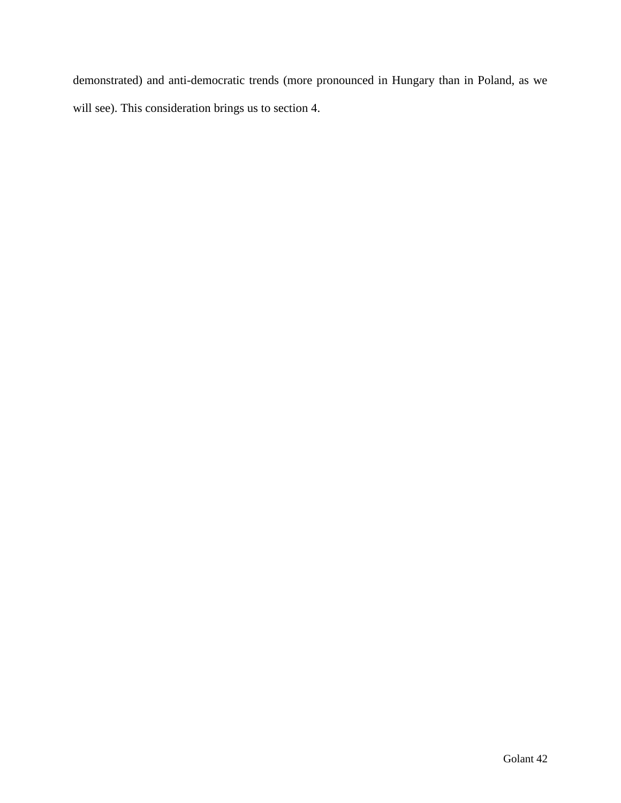demonstrated) and anti-democratic trends (more pronounced in Hungary than in Poland, as we will see). This consideration brings us to section 4.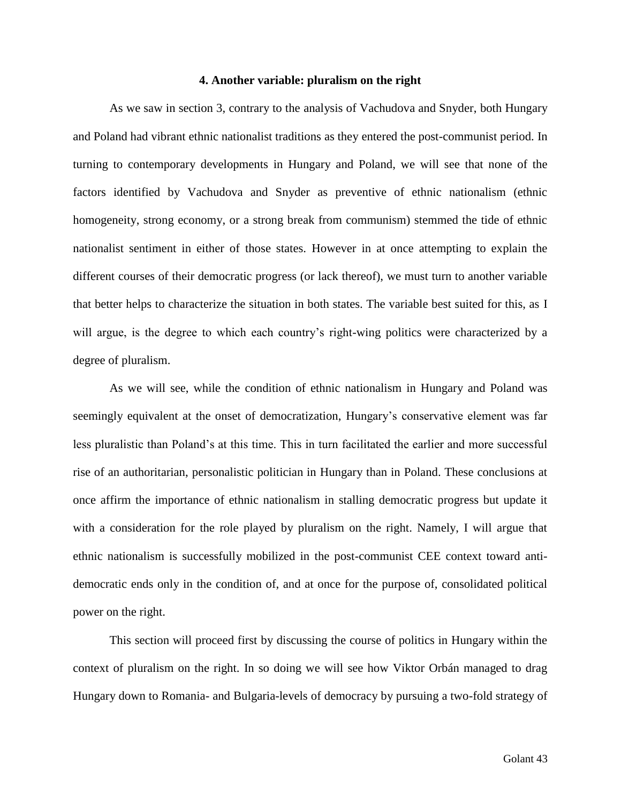#### **4. Another variable: pluralism on the right**

As we saw in section 3, contrary to the analysis of Vachudova and Snyder, both Hungary and Poland had vibrant ethnic nationalist traditions as they entered the post-communist period. In turning to contemporary developments in Hungary and Poland, we will see that none of the factors identified by Vachudova and Snyder as preventive of ethnic nationalism (ethnic homogeneity, strong economy, or a strong break from communism) stemmed the tide of ethnic nationalist sentiment in either of those states. However in at once attempting to explain the different courses of their democratic progress (or lack thereof), we must turn to another variable that better helps to characterize the situation in both states. The variable best suited for this, as I will argue, is the degree to which each country's right-wing politics were characterized by a degree of pluralism.

As we will see, while the condition of ethnic nationalism in Hungary and Poland was seemingly equivalent at the onset of democratization, Hungary's conservative element was far less pluralistic than Poland's at this time. This in turn facilitated the earlier and more successful rise of an authoritarian, personalistic politician in Hungary than in Poland. These conclusions at once affirm the importance of ethnic nationalism in stalling democratic progress but update it with a consideration for the role played by pluralism on the right. Namely, I will argue that ethnic nationalism is successfully mobilized in the post-communist CEE context toward antidemocratic ends only in the condition of, and at once for the purpose of, consolidated political power on the right.

This section will proceed first by discussing the course of politics in Hungary within the context of pluralism on the right. In so doing we will see how Viktor Orbán managed to drag Hungary down to Romania- and Bulgaria-levels of democracy by pursuing a two-fold strategy of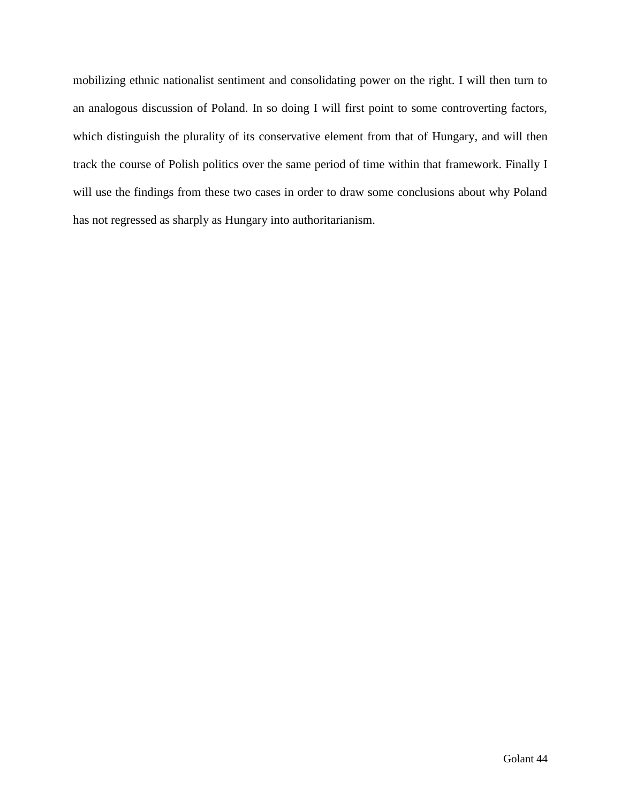mobilizing ethnic nationalist sentiment and consolidating power on the right. I will then turn to an analogous discussion of Poland. In so doing I will first point to some controverting factors, which distinguish the plurality of its conservative element from that of Hungary, and will then track the course of Polish politics over the same period of time within that framework. Finally I will use the findings from these two cases in order to draw some conclusions about why Poland has not regressed as sharply as Hungary into authoritarianism.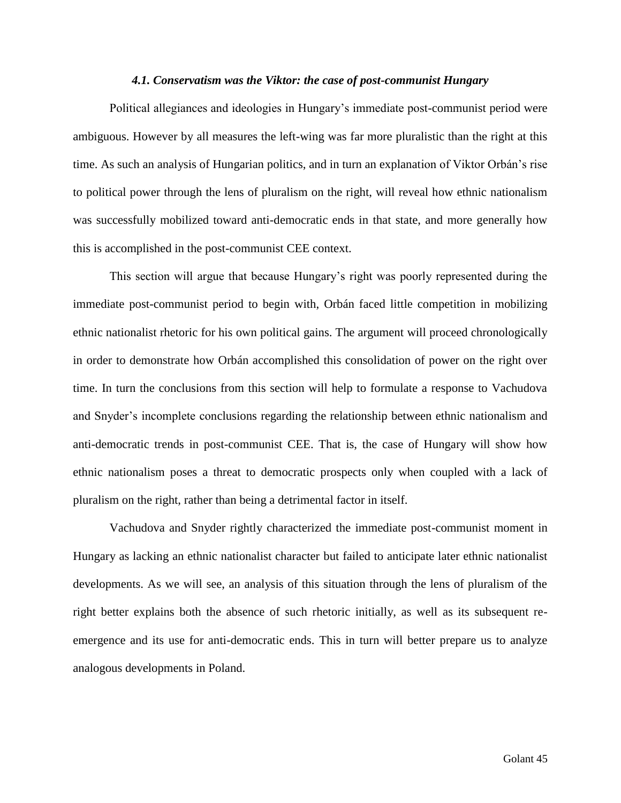#### *4.1. Conservatism was the Viktor: the case of post-communist Hungary*

Political allegiances and ideologies in Hungary's immediate post-communist period were ambiguous. However by all measures the left-wing was far more pluralistic than the right at this time. As such an analysis of Hungarian politics, and in turn an explanation of Viktor Orbán's rise to political power through the lens of pluralism on the right, will reveal how ethnic nationalism was successfully mobilized toward anti-democratic ends in that state, and more generally how this is accomplished in the post-communist CEE context.

This section will argue that because Hungary's right was poorly represented during the immediate post-communist period to begin with, Orbán faced little competition in mobilizing ethnic nationalist rhetoric for his own political gains. The argument will proceed chronologically in order to demonstrate how Orbán accomplished this consolidation of power on the right over time. In turn the conclusions from this section will help to formulate a response to Vachudova and Snyder's incomplete conclusions regarding the relationship between ethnic nationalism and anti-democratic trends in post-communist CEE. That is, the case of Hungary will show how ethnic nationalism poses a threat to democratic prospects only when coupled with a lack of pluralism on the right, rather than being a detrimental factor in itself.

Vachudova and Snyder rightly characterized the immediate post-communist moment in Hungary as lacking an ethnic nationalist character but failed to anticipate later ethnic nationalist developments. As we will see, an analysis of this situation through the lens of pluralism of the right better explains both the absence of such rhetoric initially, as well as its subsequent reemergence and its use for anti-democratic ends. This in turn will better prepare us to analyze analogous developments in Poland.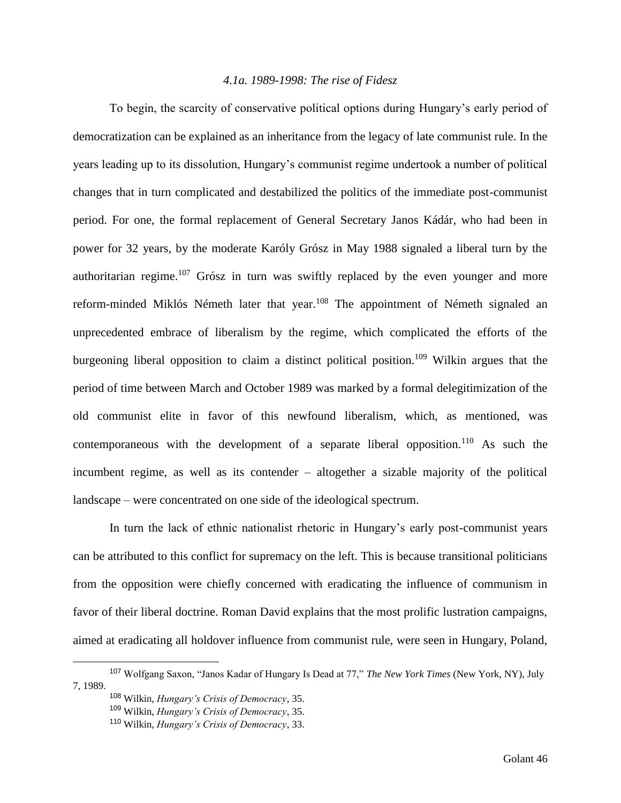## *4.1a. 1989-1998: The rise of Fidesz*

To begin, the scarcity of conservative political options during Hungary's early period of democratization can be explained as an inheritance from the legacy of late communist rule. In the years leading up to its dissolution, Hungary's communist regime undertook a number of political changes that in turn complicated and destabilized the politics of the immediate post-communist period. For one, the formal replacement of General Secretary Janos Kádár, who had been in power for 32 years, by the moderate Karóly Grósz in May 1988 signaled a liberal turn by the authoritarian regime.<sup>107</sup> Grósz in turn was swiftly replaced by the even younger and more reform-minded Miklós Németh later that year.<sup>108</sup> The appointment of Németh signaled an unprecedented embrace of liberalism by the regime, which complicated the efforts of the burgeoning liberal opposition to claim a distinct political position.<sup>109</sup> Wilkin argues that the period of time between March and October 1989 was marked by a formal delegitimization of the old communist elite in favor of this newfound liberalism, which, as mentioned, was contemporaneous with the development of a separate liberal opposition.<sup>110</sup> As such the incumbent regime, as well as its contender – altogether a sizable majority of the political landscape – were concentrated on one side of the ideological spectrum.

In turn the lack of ethnic nationalist rhetoric in Hungary's early post-communist years can be attributed to this conflict for supremacy on the left. This is because transitional politicians from the opposition were chiefly concerned with eradicating the influence of communism in favor of their liberal doctrine. Roman David explains that the most prolific lustration campaigns, aimed at eradicating all holdover influence from communist rule, were seen in Hungary, Poland,

<sup>107</sup> Wolfgang Saxon, "Janos Kadar of Hungary Is Dead at 77," *The New York Times* (New York, NY), July 7, 1989.

<sup>108</sup> Wilkin, *Hungary's Crisis of Democracy*, 35.

<sup>109</sup> Wilkin, *Hungary's Crisis of Democracy*, 35.

<sup>110</sup> Wilkin, *Hungary's Crisis of Democracy*, 33.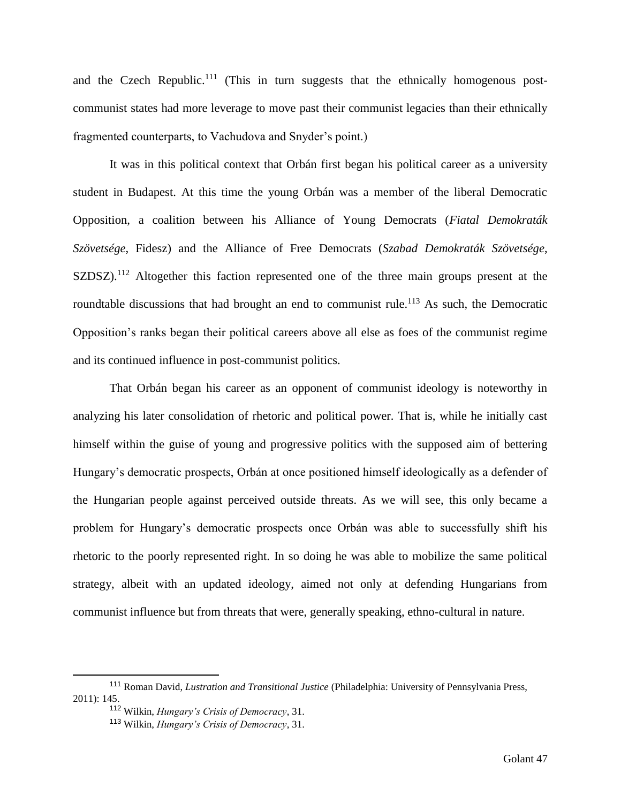and the Czech Republic.<sup>111</sup> (This in turn suggests that the ethnically homogenous postcommunist states had more leverage to move past their communist legacies than their ethnically fragmented counterparts, to Vachudova and Snyder's point.)

It was in this political context that Orbán first began his political career as a university student in Budapest. At this time the young Orbán was a member of the liberal Democratic Opposition, a coalition between his Alliance of Young Democrats (*Fiatal Demokraták Szövetsége*, Fidesz) and the Alliance of Free Democrats (*Szabad Demokraták Szövetsége*, SZDSZ).<sup>112</sup> Altogether this faction represented one of the three main groups present at the roundtable discussions that had brought an end to communist rule.<sup>113</sup> As such, the Democratic Opposition's ranks began their political careers above all else as foes of the communist regime and its continued influence in post-communist politics.

That Orbán began his career as an opponent of communist ideology is noteworthy in analyzing his later consolidation of rhetoric and political power. That is, while he initially cast himself within the guise of young and progressive politics with the supposed aim of bettering Hungary's democratic prospects, Orbán at once positioned himself ideologically as a defender of the Hungarian people against perceived outside threats. As we will see, this only became a problem for Hungary's democratic prospects once Orbán was able to successfully shift his rhetoric to the poorly represented right. In so doing he was able to mobilize the same political strategy, albeit with an updated ideology, aimed not only at defending Hungarians from communist influence but from threats that were, generally speaking, ethno-cultural in nature.

<sup>111</sup> Roman David, *Lustration and Transitional Justice* (Philadelphia: University of Pennsylvania Press, 2011): 145.

<sup>112</sup> Wilkin, *Hungary's Crisis of Democracy*, 31.

<sup>113</sup> Wilkin, *Hungary's Crisis of Democracy*, 31.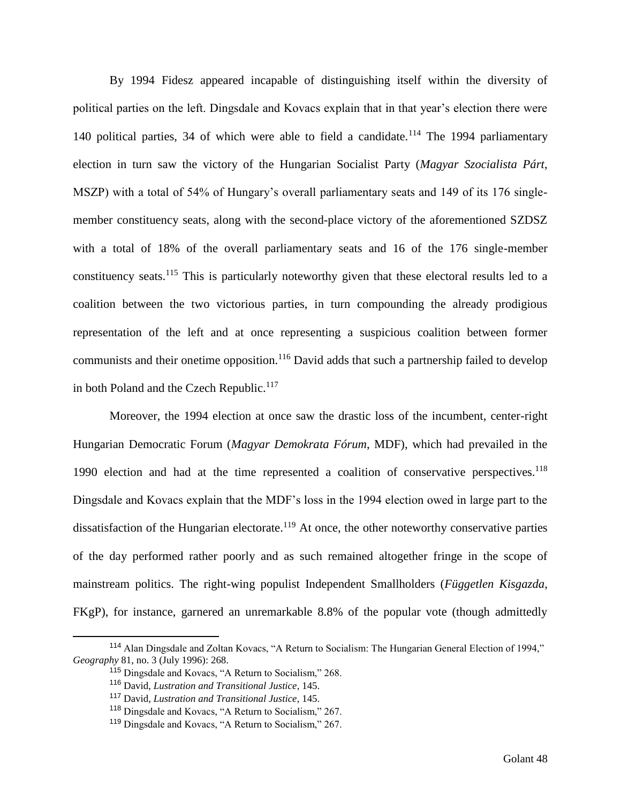By 1994 Fidesz appeared incapable of distinguishing itself within the diversity of political parties on the left. Dingsdale and Kovacs explain that in that year's election there were 140 political parties, 34 of which were able to field a candidate.<sup>114</sup> The 1994 parliamentary election in turn saw the victory of the Hungarian Socialist Party (*Magyar Szocialista Párt*, MSZP) with a total of 54% of Hungary's overall parliamentary seats and 149 of its 176 singlemember constituency seats, along with the second-place victory of the aforementioned SZDSZ with a total of 18% of the overall parliamentary seats and 16 of the 176 single-member constituency seats.<sup>115</sup> This is particularly noteworthy given that these electoral results led to a coalition between the two victorious parties, in turn compounding the already prodigious representation of the left and at once representing a suspicious coalition between former communists and their onetime opposition.<sup>116</sup> David adds that such a partnership failed to develop in both Poland and the Czech Republic.<sup>117</sup>

Moreover, the 1994 election at once saw the drastic loss of the incumbent, center-right Hungarian Democratic Forum (*Magyar Demokrata Fórum*, MDF), which had prevailed in the 1990 election and had at the time represented a coalition of conservative perspectives.<sup>118</sup> Dingsdale and Kovacs explain that the MDF's loss in the 1994 election owed in large part to the dissatisfaction of the Hungarian electorate.<sup>119</sup> At once, the other noteworthy conservative parties of the day performed rather poorly and as such remained altogether fringe in the scope of mainstream politics. The right-wing populist Independent Smallholders (*Független Kisgazda*, FKgP), for instance, garnered an unremarkable 8.8% of the popular vote (though admittedly

<sup>114</sup> Alan Dingsdale and Zoltan Kovacs, "A Return to Socialism: The Hungarian General Election of 1994," *Geography* 81, no. 3 (July 1996): 268.

<sup>115</sup> Dingsdale and Kovacs, "A Return to Socialism," 268.

<sup>116</sup> David, *Lustration and Transitional Justice*, 145.

<sup>117</sup> David, *Lustration and Transitional Justice*, 145.

<sup>118</sup> Dingsdale and Kovacs, "A Return to Socialism," 267.

<sup>119</sup> Dingsdale and Kovacs, "A Return to Socialism," 267.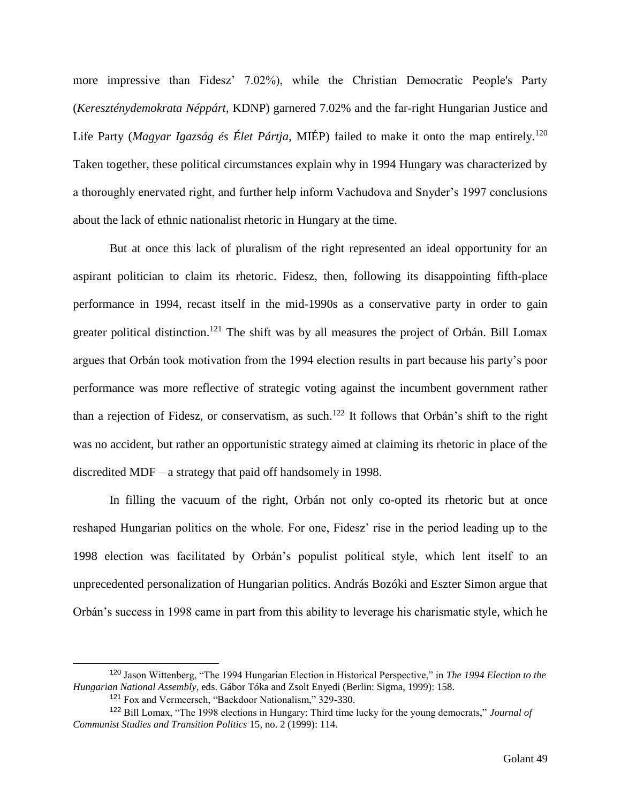more impressive than Fidesz' 7.02%), while the Christian Democratic People's Party (*Kereszténydemokrata Néppárt*, KDNP) garnered 7.02% and the far-right Hungarian Justice and Life Party (*Magyar Igazság és Élet Pártja*, MIÉP) failed to make it onto the map entirely.<sup>120</sup> Taken together, these political circumstances explain why in 1994 Hungary was characterized by a thoroughly enervated right, and further help inform Vachudova and Snyder's 1997 conclusions about the lack of ethnic nationalist rhetoric in Hungary at the time.

But at once this lack of pluralism of the right represented an ideal opportunity for an aspirant politician to claim its rhetoric. Fidesz, then, following its disappointing fifth-place performance in 1994, recast itself in the mid-1990s as a conservative party in order to gain greater political distinction.<sup>121</sup> The shift was by all measures the project of Orbán. Bill Lomax argues that Orbán took motivation from the 1994 election results in part because his party's poor performance was more reflective of strategic voting against the incumbent government rather than a rejection of Fidesz, or conservatism, as such.<sup>122</sup> It follows that Orbán's shift to the right was no accident, but rather an opportunistic strategy aimed at claiming its rhetoric in place of the discredited MDF – a strategy that paid off handsomely in 1998.

In filling the vacuum of the right, Orbán not only co-opted its rhetoric but at once reshaped Hungarian politics on the whole. For one, Fidesz' rise in the period leading up to the 1998 election was facilitated by Orbán's populist political style, which lent itself to an unprecedented personalization of Hungarian politics. András Bozóki and Eszter Simon argue that Orbán's success in 1998 came in part from this ability to leverage his charismatic style, which he

<sup>120</sup> Jason Wittenberg, "The 1994 Hungarian Election in Historical Perspective," in *The 1994 Election to the Hungarian National Assembly*, eds. Gábor Tóka and Zsolt Enyedi (Berlin: Sigma, 1999): 158.

<sup>121</sup> Fox and Vermeersch, "Backdoor Nationalism," 329-330.

<sup>122</sup> Bill Lomax, "The 1998 elections in Hungary: Third time lucky for the young democrats," *Journal of Communist Studies and Transition Politics* 15, no. 2 (1999): 114.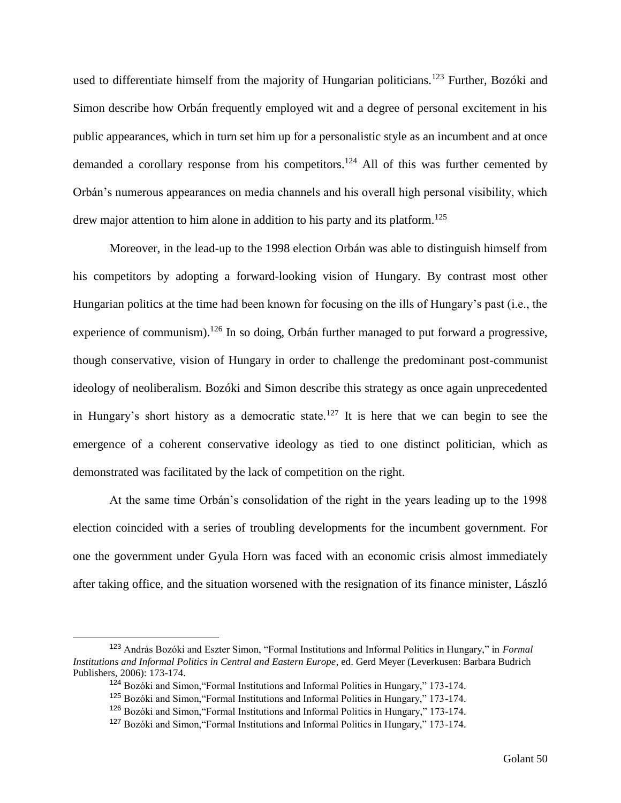used to differentiate himself from the majority of Hungarian politicians.<sup>123</sup> Further, Bozóki and Simon describe how Orbán frequently employed wit and a degree of personal excitement in his public appearances, which in turn set him up for a personalistic style as an incumbent and at once demanded a corollary response from his competitors.<sup>124</sup> All of this was further cemented by Orbán's numerous appearances on media channels and his overall high personal visibility, which drew major attention to him alone in addition to his party and its platform.<sup>125</sup>

Moreover, in the lead-up to the 1998 election Orbán was able to distinguish himself from his competitors by adopting a forward-looking vision of Hungary. By contrast most other Hungarian politics at the time had been known for focusing on the ills of Hungary's past (i.e., the experience of communism).<sup>126</sup> In so doing, Orbán further managed to put forward a progressive, though conservative, vision of Hungary in order to challenge the predominant post-communist ideology of neoliberalism. Bozóki and Simon describe this strategy as once again unprecedented in Hungary's short history as a democratic state.<sup>127</sup> It is here that we can begin to see the emergence of a coherent conservative ideology as tied to one distinct politician, which as demonstrated was facilitated by the lack of competition on the right.

At the same time Orbán's consolidation of the right in the years leading up to the 1998 election coincided with a series of troubling developments for the incumbent government. For one the government under Gyula Horn was faced with an economic crisis almost immediately after taking office, and the situation worsened with the resignation of its finance minister, László

<sup>123</sup> András Bozóki and Eszter Simon, "Formal Institutions and Informal Politics in Hungary," in *Formal Institutions and Informal Politics in Central and Eastern Europe*, ed. Gerd Meyer (Leverkusen: Barbara Budrich Publishers, 2006): 173-174.

<sup>124</sup> Bozóki and Simon,"Formal Institutions and Informal Politics in Hungary," 173-174.

<sup>125</sup> Bozóki and Simon,"Formal Institutions and Informal Politics in Hungary," 173-174.

<sup>126</sup> Bozóki and Simon,"Formal Institutions and Informal Politics in Hungary," 173-174.

<sup>127</sup> Bozóki and Simon,"Formal Institutions and Informal Politics in Hungary," 173-174.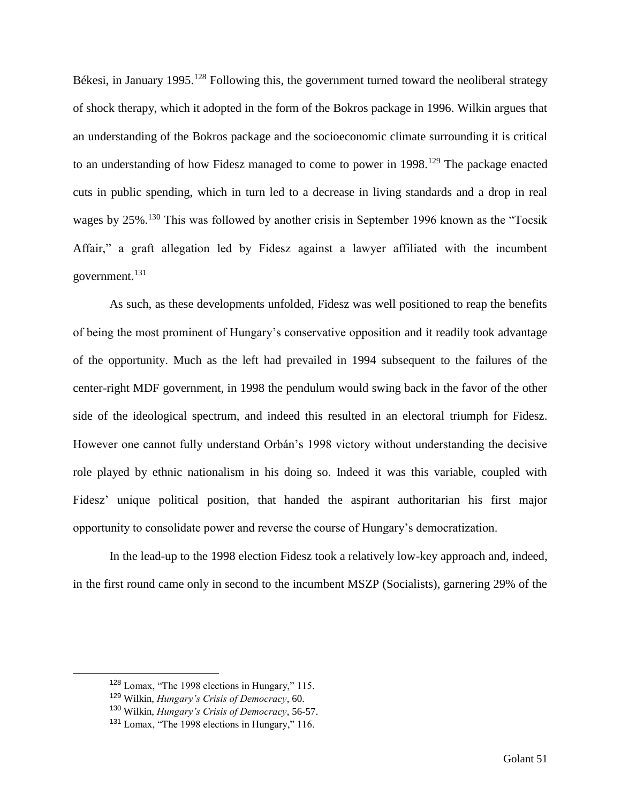Békesi, in January 1995.<sup>128</sup> Following this, the government turned toward the neoliberal strategy of shock therapy, which it adopted in the form of the Bokros package in 1996. Wilkin argues that an understanding of the Bokros package and the socioeconomic climate surrounding it is critical to an understanding of how Fidesz managed to come to power in 1998.<sup>129</sup> The package enacted cuts in public spending, which in turn led to a decrease in living standards and a drop in real wages by 25%.<sup>130</sup> This was followed by another crisis in September 1996 known as the "Tocsik" Affair," a graft allegation led by Fidesz against a lawyer affiliated with the incumbent government.<sup>131</sup>

As such, as these developments unfolded, Fidesz was well positioned to reap the benefits of being the most prominent of Hungary's conservative opposition and it readily took advantage of the opportunity. Much as the left had prevailed in 1994 subsequent to the failures of the center-right MDF government, in 1998 the pendulum would swing back in the favor of the other side of the ideological spectrum, and indeed this resulted in an electoral triumph for Fidesz. However one cannot fully understand Orbán's 1998 victory without understanding the decisive role played by ethnic nationalism in his doing so. Indeed it was this variable, coupled with Fidesz' unique political position, that handed the aspirant authoritarian his first major opportunity to consolidate power and reverse the course of Hungary's democratization.

In the lead-up to the 1998 election Fidesz took a relatively low-key approach and, indeed, in the first round came only in second to the incumbent MSZP (Socialists), garnering 29% of the

<sup>128</sup> Lomax, "The 1998 elections in Hungary," 115.

<sup>129</sup> Wilkin, *Hungary's Crisis of Democracy*, 60.

<sup>130</sup> Wilkin, *Hungary's Crisis of Democracy*, 56-57.

<sup>131</sup> Lomax, "The 1998 elections in Hungary," 116.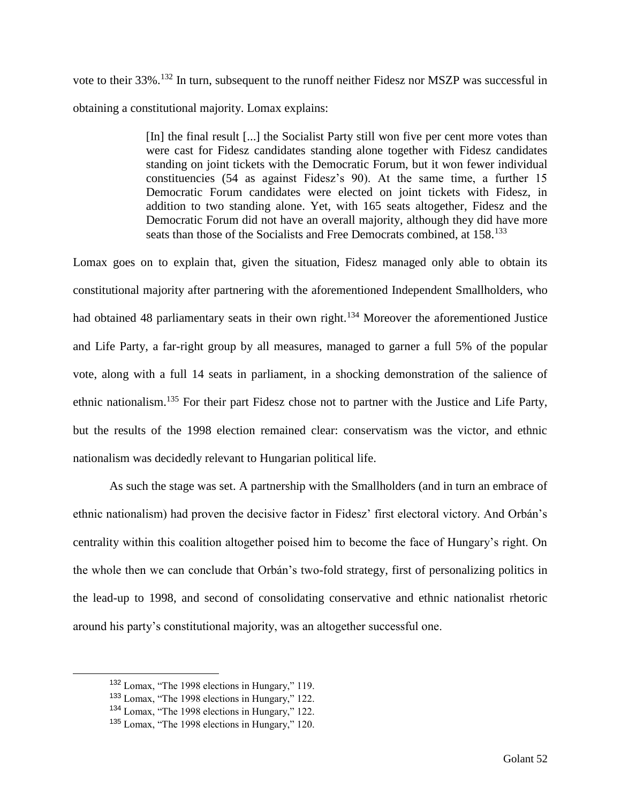vote to their 33%.<sup>132</sup> In turn, subsequent to the runoff neither Fidesz nor MSZP was successful in obtaining a constitutional majority. Lomax explains:

> [In] the final result [...] the Socialist Party still won five per cent more votes than were cast for Fidesz candidates standing alone together with Fidesz candidates standing on joint tickets with the Democratic Forum, but it won fewer individual constituencies (54 as against Fidesz's 90). At the same time, a further 15 Democratic Forum candidates were elected on joint tickets with Fidesz, in addition to two standing alone. Yet, with 165 seats altogether, Fidesz and the Democratic Forum did not have an overall majority, although they did have more seats than those of the Socialists and Free Democrats combined, at 158.<sup>133</sup>

Lomax goes on to explain that, given the situation, Fidesz managed only able to obtain its constitutional majority after partnering with the aforementioned Independent Smallholders, who had obtained 48 parliamentary seats in their own right.<sup>134</sup> Moreover the aforementioned Justice and Life Party, a far-right group by all measures, managed to garner a full 5% of the popular vote, along with a full 14 seats in parliament, in a shocking demonstration of the salience of ethnic nationalism.<sup>135</sup> For their part Fidesz chose not to partner with the Justice and Life Party, but the results of the 1998 election remained clear: conservatism was the victor, and ethnic nationalism was decidedly relevant to Hungarian political life.

As such the stage was set. A partnership with the Smallholders (and in turn an embrace of ethnic nationalism) had proven the decisive factor in Fidesz' first electoral victory. And Orbán's centrality within this coalition altogether poised him to become the face of Hungary's right. On the whole then we can conclude that Orbán's two-fold strategy, first of personalizing politics in the lead-up to 1998, and second of consolidating conservative and ethnic nationalist rhetoric around his party's constitutional majority, was an altogether successful one.

<sup>132</sup> Lomax, "The 1998 elections in Hungary," 119.

<sup>133</sup> Lomax, "The 1998 elections in Hungary," 122.

<sup>134</sup> Lomax, "The 1998 elections in Hungary," 122.

<sup>135</sup> Lomax, "The 1998 elections in Hungary," 120.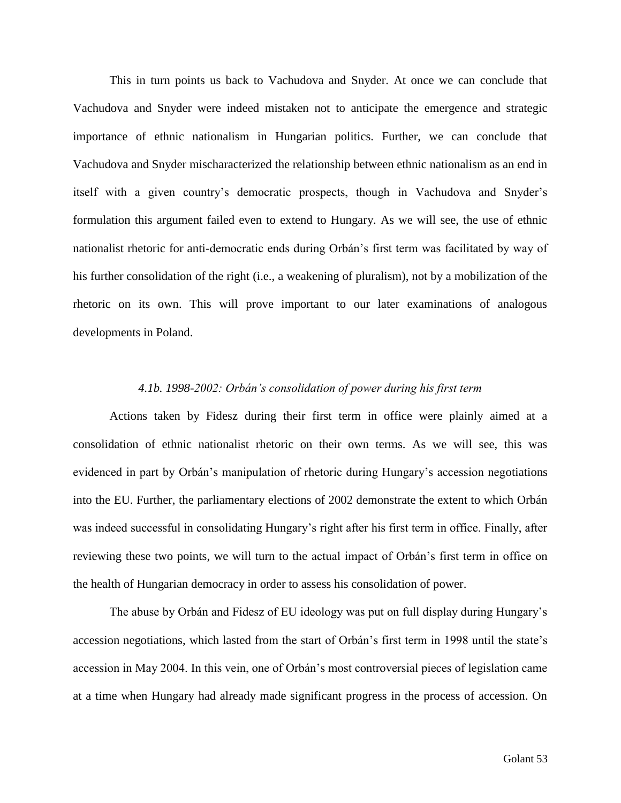This in turn points us back to Vachudova and Snyder. At once we can conclude that Vachudova and Snyder were indeed mistaken not to anticipate the emergence and strategic importance of ethnic nationalism in Hungarian politics. Further, we can conclude that Vachudova and Snyder mischaracterized the relationship between ethnic nationalism as an end in itself with a given country's democratic prospects, though in Vachudova and Snyder's formulation this argument failed even to extend to Hungary. As we will see, the use of ethnic nationalist rhetoric for anti-democratic ends during Orbán's first term was facilitated by way of his further consolidation of the right (i.e., a weakening of pluralism), not by a mobilization of the rhetoric on its own. This will prove important to our later examinations of analogous developments in Poland.

## *4.1b. 1998-2002: Orbán's consolidation of power during his first term*

Actions taken by Fidesz during their first term in office were plainly aimed at a consolidation of ethnic nationalist rhetoric on their own terms. As we will see, this was evidenced in part by Orbán's manipulation of rhetoric during Hungary's accession negotiations into the EU. Further, the parliamentary elections of 2002 demonstrate the extent to which Orbán was indeed successful in consolidating Hungary's right after his first term in office. Finally, after reviewing these two points, we will turn to the actual impact of Orbán's first term in office on the health of Hungarian democracy in order to assess his consolidation of power.

The abuse by Orbán and Fidesz of EU ideology was put on full display during Hungary's accession negotiations, which lasted from the start of Orbán's first term in 1998 until the state's accession in May 2004. In this vein, one of Orbán's most controversial pieces of legislation came at a time when Hungary had already made significant progress in the process of accession. On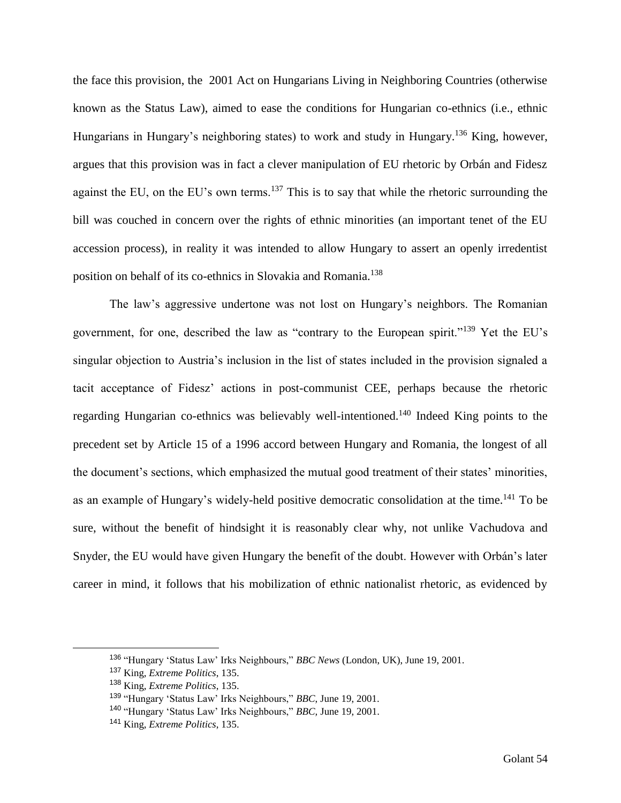the face this provision, the 2001 Act on Hungarians Living in Neighboring Countries (otherwise known as the Status Law), aimed to ease the conditions for Hungarian co-ethnics (i.e., ethnic Hungarians in Hungary's neighboring states) to work and study in Hungary.<sup>136</sup> King, however, argues that this provision was in fact a clever manipulation of EU rhetoric by Orbán and Fidesz against the EU, on the EU's own terms.<sup>137</sup> This is to say that while the rhetoric surrounding the bill was couched in concern over the rights of ethnic minorities (an important tenet of the EU accession process), in reality it was intended to allow Hungary to assert an openly irredentist position on behalf of its co-ethnics in Slovakia and Romania.<sup>138</sup>

The law's aggressive undertone was not lost on Hungary's neighbors. The Romanian government, for one, described the law as "contrary to the European spirit."<sup>139</sup> Yet the EU's singular objection to Austria's inclusion in the list of states included in the provision signaled a tacit acceptance of Fidesz' actions in post-communist CEE, perhaps because the rhetoric regarding Hungarian co-ethnics was believably well-intentioned.<sup>140</sup> Indeed King points to the precedent set by Article 15 of a 1996 accord between Hungary and Romania, the longest of all the document's sections, which emphasized the mutual good treatment of their states' minorities, as an example of Hungary's widely-held positive democratic consolidation at the time.<sup>141</sup> To be sure, without the benefit of hindsight it is reasonably clear why, not unlike Vachudova and Snyder, the EU would have given Hungary the benefit of the doubt. However with Orbán's later career in mind, it follows that his mobilization of ethnic nationalist rhetoric, as evidenced by

<sup>136</sup> "Hungary 'Status Law' Irks Neighbours," *BBC News* (London, UK), June 19, 2001.

<sup>137</sup> King, *Extreme Politics*, 135.

<sup>138</sup> King, *Extreme Politics*, 135.

<sup>139</sup> "Hungary 'Status Law' Irks Neighbours," *BBC*, June 19, 2001.

<sup>140</sup> "Hungary 'Status Law' Irks Neighbours," *BBC,* June 19, 2001.

<sup>141</sup> King, *Extreme Politics*, 135.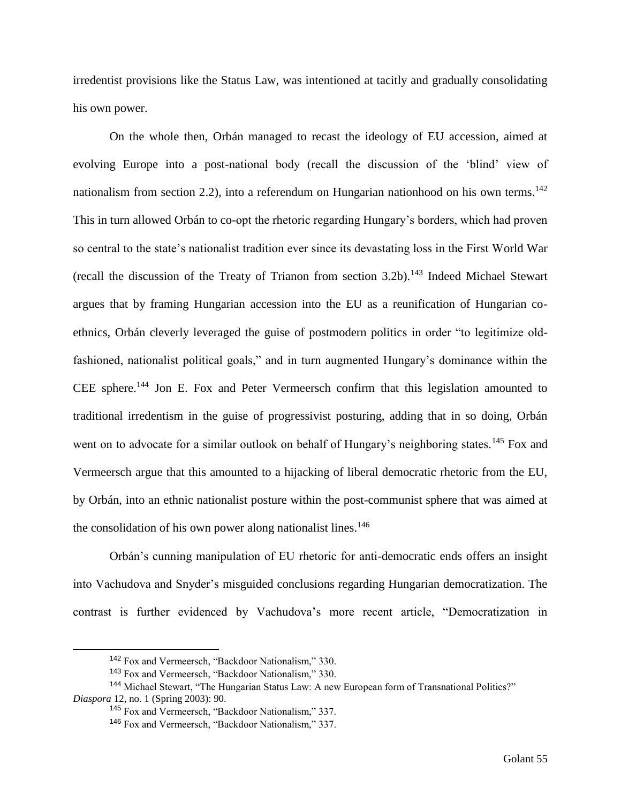irredentist provisions like the Status Law, was intentioned at tacitly and gradually consolidating his own power.

On the whole then, Orbán managed to recast the ideology of EU accession, aimed at evolving Europe into a post-national body (recall the discussion of the 'blind' view of nationalism from section 2.2), into a referendum on Hungarian nationhood on his own terms.<sup>142</sup> This in turn allowed Orbán to co-opt the rhetoric regarding Hungary's borders, which had proven so central to the state's nationalist tradition ever since its devastating loss in the First World War (recall the discussion of the Treaty of Trianon from section 3.2b).<sup>143</sup> Indeed Michael Stewart argues that by framing Hungarian accession into the EU as a reunification of Hungarian coethnics, Orbán cleverly leveraged the guise of postmodern politics in order "to legitimize oldfashioned, nationalist political goals," and in turn augmented Hungary's dominance within the CEE sphere.<sup>144</sup> Jon E. Fox and Peter Vermeersch confirm that this legislation amounted to traditional irredentism in the guise of progressivist posturing, adding that in so doing, Orbán went on to advocate for a similar outlook on behalf of Hungary's neighboring states.<sup>145</sup> Fox and Vermeersch argue that this amounted to a hijacking of liberal democratic rhetoric from the EU, by Orbán, into an ethnic nationalist posture within the post-communist sphere that was aimed at the consolidation of his own power along nationalist lines.<sup>146</sup>

Orbán's cunning manipulation of EU rhetoric for anti-democratic ends offers an insight into Vachudova and Snyder's misguided conclusions regarding Hungarian democratization. The contrast is further evidenced by Vachudova's more recent article, "Democratization in

<sup>142</sup> Fox and Vermeersch, "Backdoor Nationalism," 330.

<sup>143</sup> Fox and Vermeersch, "Backdoor Nationalism," 330.

<sup>144</sup> Michael Stewart, "The Hungarian Status Law: A new European form of Transnational Politics?" *Diaspora* 12, no. 1 (Spring 2003): 90.

<sup>145</sup> Fox and Vermeersch, "Backdoor Nationalism," 337.

<sup>146</sup> Fox and Vermeersch, "Backdoor Nationalism," 337.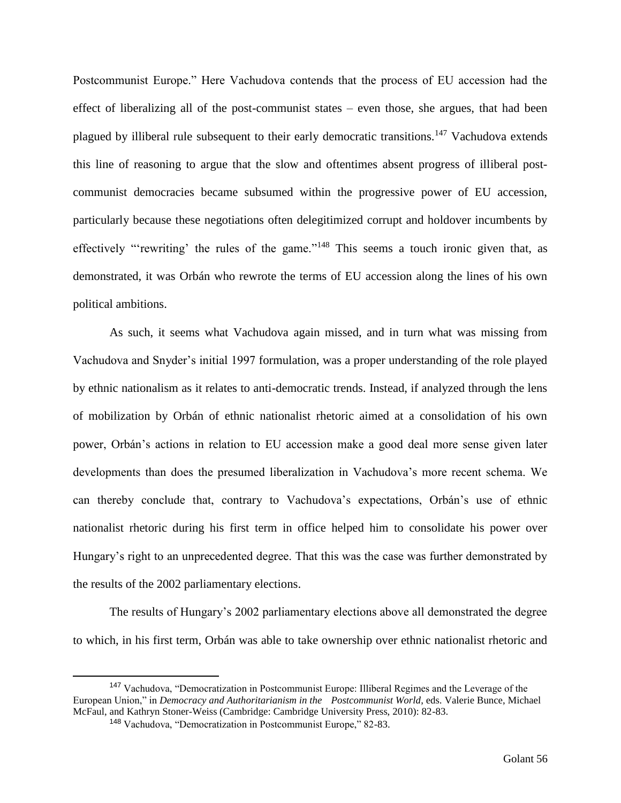Postcommunist Europe." Here Vachudova contends that the process of EU accession had the effect of liberalizing all of the post-communist states – even those, she argues, that had been plagued by illiberal rule subsequent to their early democratic transitions.<sup>147</sup> Vachudova extends this line of reasoning to argue that the slow and oftentimes absent progress of illiberal postcommunist democracies became subsumed within the progressive power of EU accession, particularly because these negotiations often delegitimized corrupt and holdover incumbents by effectively "'rewriting' the rules of the game."<sup>148</sup> This seems a touch ironic given that, as demonstrated, it was Orbán who rewrote the terms of EU accession along the lines of his own political ambitions.

As such, it seems what Vachudova again missed, and in turn what was missing from Vachudova and Snyder's initial 1997 formulation, was a proper understanding of the role played by ethnic nationalism as it relates to anti-democratic trends. Instead, if analyzed through the lens of mobilization by Orbán of ethnic nationalist rhetoric aimed at a consolidation of his own power, Orbán's actions in relation to EU accession make a good deal more sense given later developments than does the presumed liberalization in Vachudova's more recent schema. We can thereby conclude that, contrary to Vachudova's expectations, Orbán's use of ethnic nationalist rhetoric during his first term in office helped him to consolidate his power over Hungary's right to an unprecedented degree. That this was the case was further demonstrated by the results of the 2002 parliamentary elections.

The results of Hungary's 2002 parliamentary elections above all demonstrated the degree to which, in his first term, Orbán was able to take ownership over ethnic nationalist rhetoric and

<sup>147</sup> Vachudova, "Democratization in Postcommunist Europe: Illiberal Regimes and the Leverage of the European Union," in *Democracy and Authoritarianism in the Postcommunist World*, eds. Valerie Bunce, Michael McFaul, and Kathryn Stoner-Weiss (Cambridge: Cambridge University Press, 2010): 82-83.

<sup>148</sup> Vachudova, "Democratization in Postcommunist Europe," 82-83.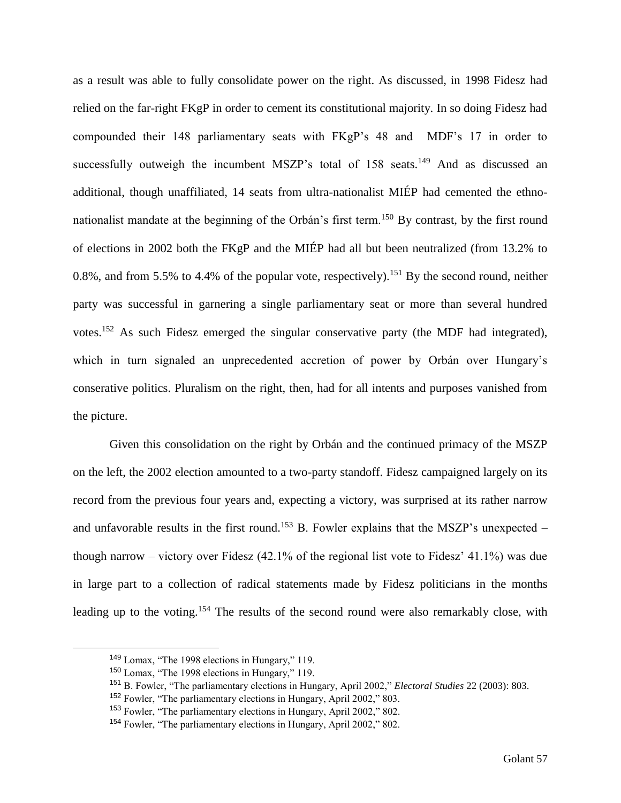as a result was able to fully consolidate power on the right. As discussed, in 1998 Fidesz had relied on the far-right FKgP in order to cement its constitutional majority. In so doing Fidesz had compounded their 148 parliamentary seats with FKgP's 48 and MDF's 17 in order to successfully outweigh the incumbent MSZP's total of 158 seats.<sup>149</sup> And as discussed an additional, though unaffiliated, 14 seats from ultra-nationalist MIÉP had cemented the ethnonationalist mandate at the beginning of the Orbán's first term.<sup>150</sup> By contrast, by the first round of elections in 2002 both the FKgP and the MIÉP had all but been neutralized (from 13.2% to 0.8%, and from 5.5% to 4.4% of the popular vote, respectively).<sup>151</sup> By the second round, neither party was successful in garnering a single parliamentary seat or more than several hundred votes.<sup>152</sup> As such Fidesz emerged the singular conservative party (the MDF had integrated), which in turn signaled an unprecedented accretion of power by Orbán over Hungary's conserative politics. Pluralism on the right, then, had for all intents and purposes vanished from the picture.

Given this consolidation on the right by Orbán and the continued primacy of the MSZP on the left, the 2002 election amounted to a two-party standoff. Fidesz campaigned largely on its record from the previous four years and, expecting a victory, was surprised at its rather narrow and unfavorable results in the first round.<sup>153</sup> B. Fowler explains that the MSZP's unexpected – though narrow – victory over Fidesz (42.1% of the regional list vote to Fidesz' 41.1%) was due in large part to a collection of radical statements made by Fidesz politicians in the months leading up to the voting.<sup>154</sup> The results of the second round were also remarkably close, with

<sup>149</sup> Lomax, "The 1998 elections in Hungary," 119.

<sup>150</sup> Lomax, "The 1998 elections in Hungary," 119.

<sup>151</sup> B. Fowler, "The parliamentary elections in Hungary, April 2002," *Electoral Studies* 22 (2003): 803.

<sup>152</sup> Fowler, "The parliamentary elections in Hungary, April 2002," 803.

<sup>153</sup> Fowler, "The parliamentary elections in Hungary, April 2002," 802.

<sup>154</sup> Fowler, "The parliamentary elections in Hungary, April 2002," 802.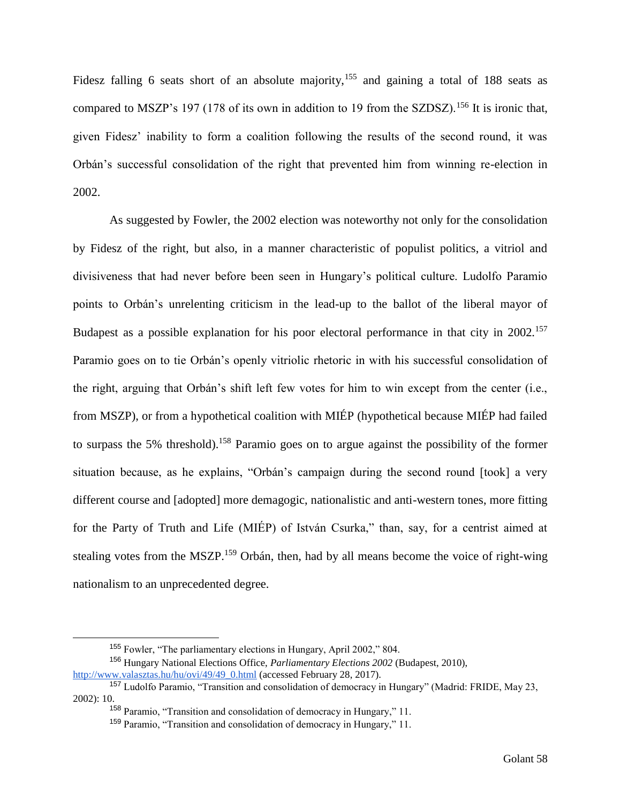Fidesz falling 6 seats short of an absolute majority,<sup>155</sup> and gaining a total of 188 seats as compared to MSZP's 197 (178 of its own in addition to 19 from the SZDSZ).<sup>156</sup> It is ironic that, given Fidesz' inability to form a coalition following the results of the second round, it was Orbán's successful consolidation of the right that prevented him from winning re-election in 2002.

As suggested by Fowler, the 2002 election was noteworthy not only for the consolidation by Fidesz of the right, but also, in a manner characteristic of populist politics, a vitriol and divisiveness that had never before been seen in Hungary's political culture. Ludolfo Paramio points to Orbán's unrelenting criticism in the lead-up to the ballot of the liberal mayor of Budapest as a possible explanation for his poor electoral performance in that city in 2002.<sup>157</sup> Paramio goes on to tie Orbán's openly vitriolic rhetoric in with his successful consolidation of the right, arguing that Orbán's shift left few votes for him to win except from the center (i.e., from MSZP), or from a hypothetical coalition with MIÉP (hypothetical because MIÉP had failed to surpass the 5% threshold).<sup>158</sup> Paramio goes on to argue against the possibility of the former situation because, as he explains, "Orbán's campaign during the second round [took] a very different course and [adopted] more demagogic, nationalistic and anti-western tones, more fitting for the Party of Truth and Life (MIÉP) of István Csurka," than, say, for a centrist aimed at stealing votes from the MSZP.<sup>159</sup> Orbán, then, had by all means become the voice of right-wing nationalism to an unprecedented degree.

<sup>155</sup> Fowler, "The parliamentary elections in Hungary, April 2002," 804.

<sup>156</sup> Hungary National Elections Office, *Parliamentary Elections 2002* (Budapest, 2010), [http://www.valasztas.hu/hu/ovi/49/49\\_0.html](http://www.valasztas.hu/hu/ovi/49/49_0.html) (accessed February 28, 2017).

<sup>157</sup> Ludolfo Paramio, "Transition and consolidation of democracy in Hungary" (Madrid: FRIDE, May 23, 2002): 10.

<sup>158</sup> Paramio, "Transition and consolidation of democracy in Hungary," 11.

<sup>159</sup> Paramio, "Transition and consolidation of democracy in Hungary," 11.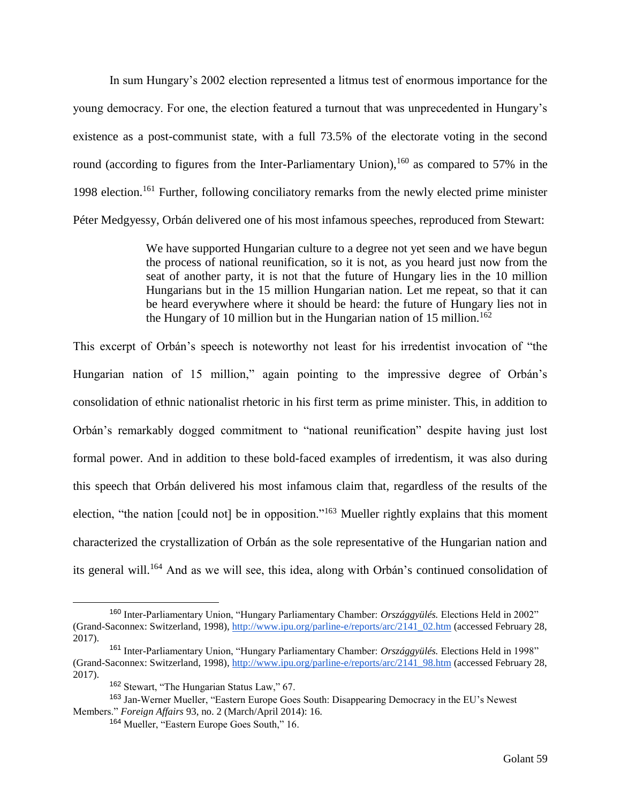In sum Hungary's 2002 election represented a litmus test of enormous importance for the young democracy. For one, the election featured a turnout that was unprecedented in Hungary's existence as a post-communist state, with a full 73.5% of the electorate voting in the second round (according to figures from the Inter-Parliamentary Union),  $160$  as compared to 57% in the 1998 election.<sup>161</sup> Further, following conciliatory remarks from the newly elected prime minister Péter Medgyessy, Orbán delivered one of his most infamous speeches, reproduced from Stewart:

> We have supported Hungarian culture to a degree not yet seen and we have begun the process of national reunification, so it is not, as you heard just now from the seat of another party, it is not that the future of Hungary lies in the 10 million Hungarians but in the 15 million Hungarian nation. Let me repeat, so that it can be heard everywhere where it should be heard: the future of Hungary lies not in the Hungary of 10 million but in the Hungarian nation of 15 million.<sup>162</sup>

This excerpt of Orbán's speech is noteworthy not least for his irredentist invocation of "the Hungarian nation of 15 million," again pointing to the impressive degree of Orbán's consolidation of ethnic nationalist rhetoric in his first term as prime minister. This, in addition to Orbán's remarkably dogged commitment to "national reunification" despite having just lost formal power. And in addition to these bold-faced examples of irredentism, it was also during this speech that Orbán delivered his most infamous claim that, regardless of the results of the election, "the nation [could not] be in opposition."<sup>163</sup> Mueller rightly explains that this moment characterized the crystallization of Orbán as the sole representative of the Hungarian nation and its general will.<sup>164</sup> And as we will see, this idea, along with Orbán's continued consolidation of

<sup>160</sup> Inter-Parliamentary Union, "Hungary Parliamentary Chamber: *Országgyülés.* Elections Held in 2002" (Grand-Saconnex: Switzerland, 1998), [http://www.ipu.org/parline-e/reports/arc/2141\\_02.htm](http://www.ipu.org/parline-e/reports/arc/2141_02.htm) (accessed February 28, 2017).

<sup>161</sup> Inter-Parliamentary Union, "Hungary Parliamentary Chamber: *Országgyülés.* Elections Held in 1998" (Grand-Saconnex: Switzerland, 1998), [http://www.ipu.org/parline-e/reports/arc/2141\\_98.htm](http://www.ipu.org/parline-e/reports/arc/2141_98.htm) (accessed February 28, 2017).

<sup>162</sup> Stewart, "The Hungarian Status Law," 67.

<sup>163</sup> Jan-Werner Mueller, "Eastern Europe Goes South: Disappearing Democracy in the EU's Newest Members." *Foreign Affairs* 93, no. 2 (March/April 2014): 16.

<sup>164</sup> Mueller, "Eastern Europe Goes South," 16.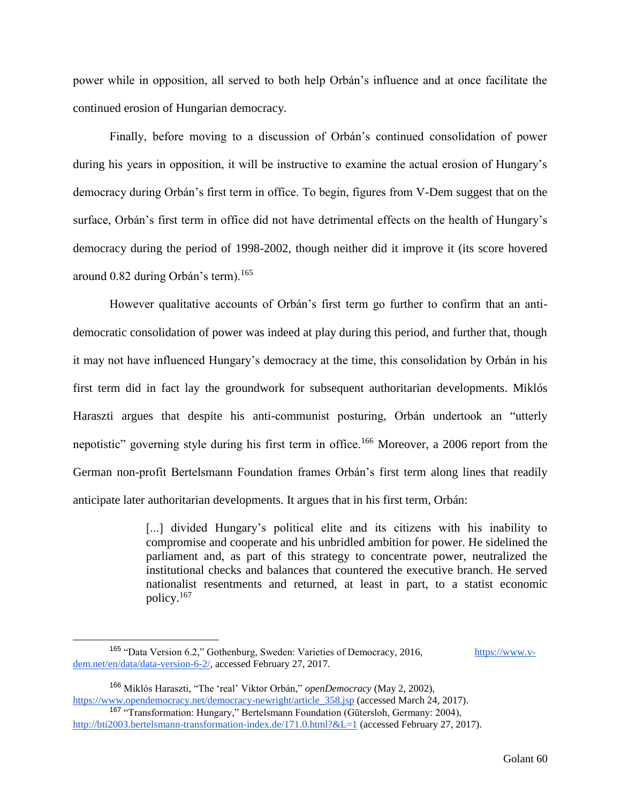power while in opposition, all served to both help Orbán's influence and at once facilitate the continued erosion of Hungarian democracy.

Finally, before moving to a discussion of Orbán's continued consolidation of power during his years in opposition, it will be instructive to examine the actual erosion of Hungary's democracy during Orbán's first term in office. To begin, figures from V-Dem suggest that on the surface, Orbán's first term in office did not have detrimental effects on the health of Hungary's democracy during the period of 1998-2002, though neither did it improve it (its score hovered around 0.82 during Orbán's term).<sup>165</sup>

However qualitative accounts of Orbán's first term go further to confirm that an antidemocratic consolidation of power was indeed at play during this period, and further that, though it may not have influenced Hungary's democracy at the time, this consolidation by Orbán in his first term did in fact lay the groundwork for subsequent authoritarian developments. Miklós Haraszti argues that despite his anti-communist posturing, Orbán undertook an "utterly nepotistic" governing style during his first term in office.<sup>166</sup> Moreover, a 2006 report from the German non-profit Bertelsmann Foundation frames Orbán's first term along lines that readily anticipate later authoritarian developments. It argues that in his first term, Orbán:

> [...] divided Hungary's political elite and its citizens with his inability to compromise and cooperate and his unbridled ambition for power. He sidelined the parliament and, as part of this strategy to concentrate power, neutralized the institutional checks and balances that countered the executive branch. He served nationalist resentments and returned, at least in part, to a statist economic policy.<sup>167</sup>

<sup>&</sup>lt;sup>165</sup> "Data Version 6.2," Gothenburg, Sweden: Varieties of Democracy, 2016, [https://www.v](https://www.v-dem.net/en/data/data-version-6-2/)[dem.net/en/data/data-version-6-2/,](https://www.v-dem.net/en/data/data-version-6-2/) accessed February 27, 2017.

<sup>166</sup> Miklós Haraszti, "The 'real' Viktor Orbán," *openDemocracy* (May 2, 2002), [https://www.opendemocracy.net/democracy-newright/article\\_358.jsp](https://www.opendemocracy.net/democracy-newright/article_358.jsp) (accessed March 24, 2017). <sup>167</sup> "Transformation: Hungary," Bertelsmann Foundation (Gütersloh, Germany: 2004),

<http://bti2003.bertelsmann-transformation-index.de/171.0.html?&L=1> (accessed February 27, 2017).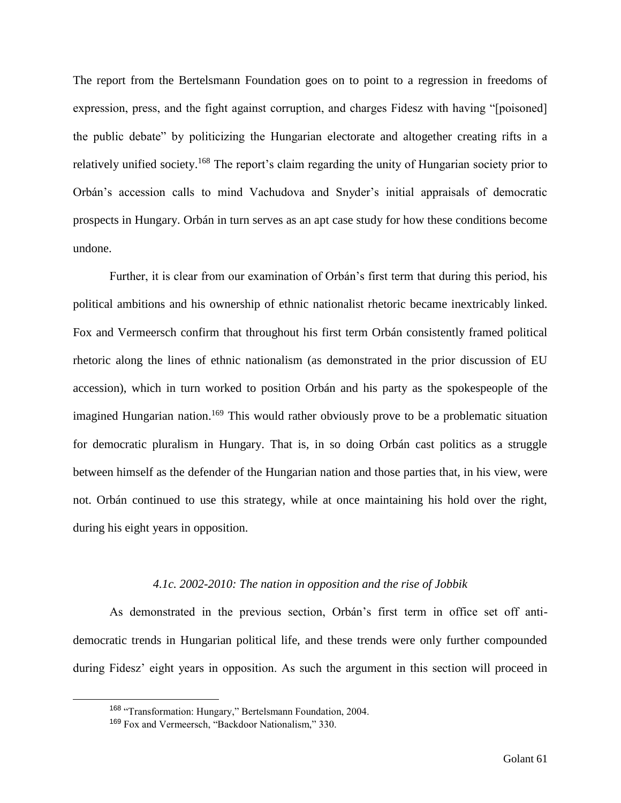The report from the Bertelsmann Foundation goes on to point to a regression in freedoms of expression, press, and the fight against corruption, and charges Fidesz with having "[poisoned] the public debate" by politicizing the Hungarian electorate and altogether creating rifts in a relatively unified society.<sup>168</sup> The report's claim regarding the unity of Hungarian society prior to Orbán's accession calls to mind Vachudova and Snyder's initial appraisals of democratic prospects in Hungary. Orbán in turn serves as an apt case study for how these conditions become undone.

Further, it is clear from our examination of Orbán's first term that during this period, his political ambitions and his ownership of ethnic nationalist rhetoric became inextricably linked. Fox and Vermeersch confirm that throughout his first term Orbán consistently framed political rhetoric along the lines of ethnic nationalism (as demonstrated in the prior discussion of EU accession), which in turn worked to position Orbán and his party as the spokespeople of the imagined Hungarian nation.<sup>169</sup> This would rather obviously prove to be a problematic situation for democratic pluralism in Hungary. That is, in so doing Orbán cast politics as a struggle between himself as the defender of the Hungarian nation and those parties that, in his view, were not. Orbán continued to use this strategy, while at once maintaining his hold over the right, during his eight years in opposition.

# *4.1c. 2002-2010: The nation in opposition and the rise of Jobbik*

As demonstrated in the previous section, Orbán's first term in office set off antidemocratic trends in Hungarian political life, and these trends were only further compounded during Fidesz' eight years in opposition. As such the argument in this section will proceed in

<sup>168</sup> "Transformation: Hungary," Bertelsmann Foundation, 2004.

<sup>169</sup> Fox and Vermeersch, "Backdoor Nationalism," 330.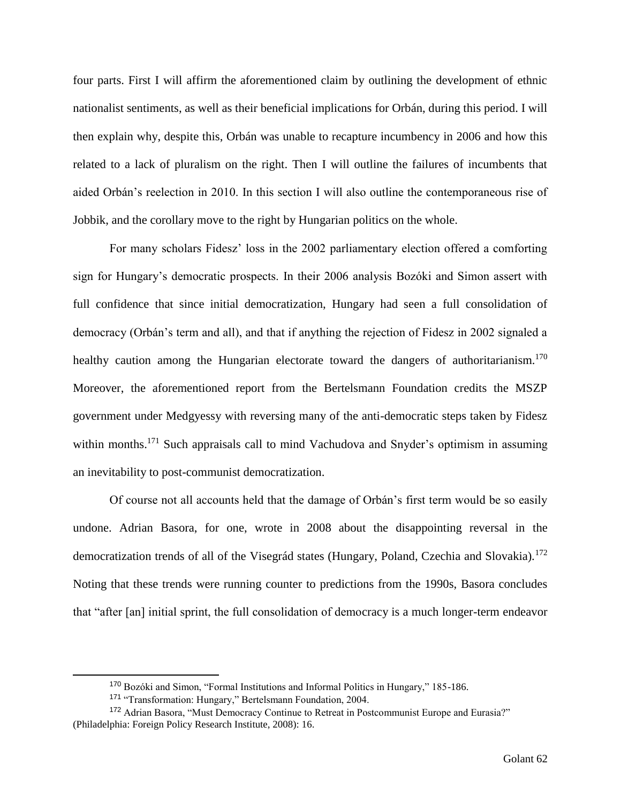four parts. First I will affirm the aforementioned claim by outlining the development of ethnic nationalist sentiments, as well as their beneficial implications for Orbán, during this period. I will then explain why, despite this, Orbán was unable to recapture incumbency in 2006 and how this related to a lack of pluralism on the right. Then I will outline the failures of incumbents that aided Orbán's reelection in 2010. In this section I will also outline the contemporaneous rise of Jobbik, and the corollary move to the right by Hungarian politics on the whole.

For many scholars Fidesz' loss in the 2002 parliamentary election offered a comforting sign for Hungary's democratic prospects. In their 2006 analysis Bozóki and Simon assert with full confidence that since initial democratization, Hungary had seen a full consolidation of democracy (Orbán's term and all), and that if anything the rejection of Fidesz in 2002 signaled a healthy caution among the Hungarian electorate toward the dangers of authoritarianism.<sup>170</sup> Moreover, the aforementioned report from the Bertelsmann Foundation credits the MSZP government under Medgyessy with reversing many of the anti-democratic steps taken by Fidesz within months.<sup>171</sup> Such appraisals call to mind Vachudova and Snyder's optimism in assuming an inevitability to post-communist democratization.

Of course not all accounts held that the damage of Orbán's first term would be so easily undone. Adrian Basora, for one, wrote in 2008 about the disappointing reversal in the democratization trends of all of the Visegrád states (Hungary, Poland, Czechia and Slovakia).<sup>172</sup> Noting that these trends were running counter to predictions from the 1990s, Basora concludes that "after [an] initial sprint, the full consolidation of democracy is a much longer-term endeavor

<sup>170</sup> Bozóki and Simon, "Formal Institutions and Informal Politics in Hungary," 185-186.

<sup>171 &</sup>quot;Transformation: Hungary," Bertelsmann Foundation, 2004.

<sup>&</sup>lt;sup>172</sup> Adrian Basora, "Must Democracy Continue to Retreat in Postcommunist Europe and Eurasia?" (Philadelphia: Foreign Policy Research Institute, 2008): 16.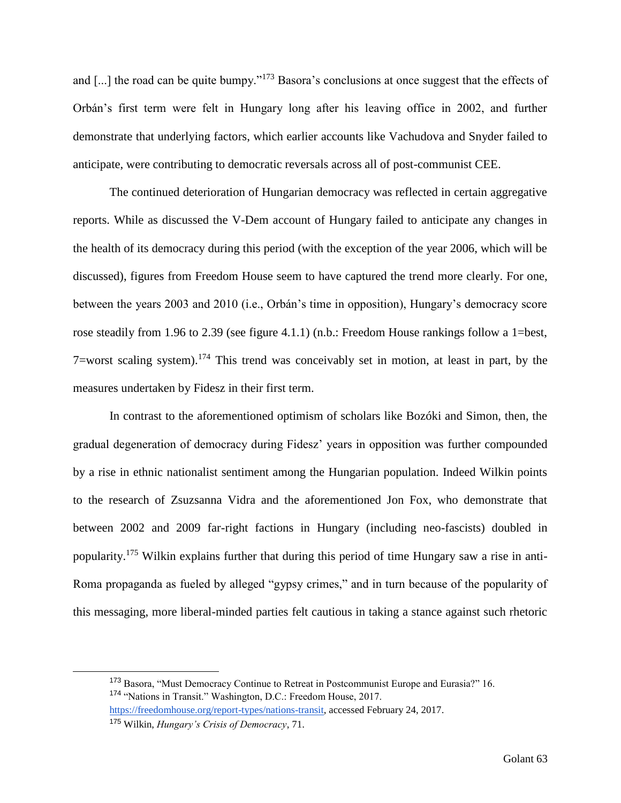and [...] the road can be quite bumpy."<sup>173</sup> Basora's conclusions at once suggest that the effects of Orbán's first term were felt in Hungary long after his leaving office in 2002, and further demonstrate that underlying factors, which earlier accounts like Vachudova and Snyder failed to anticipate, were contributing to democratic reversals across all of post-communist CEE.

The continued deterioration of Hungarian democracy was reflected in certain aggregative reports. While as discussed the V-Dem account of Hungary failed to anticipate any changes in the health of its democracy during this period (with the exception of the year 2006, which will be discussed), figures from Freedom House seem to have captured the trend more clearly. For one, between the years 2003 and 2010 (i.e., Orbán's time in opposition), Hungary's democracy score rose steadily from 1.96 to 2.39 (see figure 4.1.1) (n.b.: Freedom House rankings follow a 1=best, 7=worst scaling system).<sup>174</sup> This trend was conceivably set in motion, at least in part, by the measures undertaken by Fidesz in their first term.

In contrast to the aforementioned optimism of scholars like Bozóki and Simon, then, the gradual degeneration of democracy during Fidesz' years in opposition was further compounded by a rise in ethnic nationalist sentiment among the Hungarian population. Indeed Wilkin points to the research of Zsuzsanna Vidra and the aforementioned Jon Fox, who demonstrate that between 2002 and 2009 far-right factions in Hungary (including neo-fascists) doubled in popularity.<sup>175</sup> Wilkin explains further that during this period of time Hungary saw a rise in anti-Roma propaganda as fueled by alleged "gypsy crimes," and in turn because of the popularity of this messaging, more liberal-minded parties felt cautious in taking a stance against such rhetoric

<sup>173</sup> Basora, "Must Democracy Continue to Retreat in Postcommunist Europe and Eurasia?" 16. <sup>174</sup> "Nations in Transit." Washington, D.C.: Freedom House, 2017.

[https://freedomhouse.org/report-types/nations-transit,](https://freedomhouse.org/report-types/nations-transit) accessed February 24, 2017.

<sup>175</sup> Wilkin, *Hungary's Crisis of Democracy*, 71.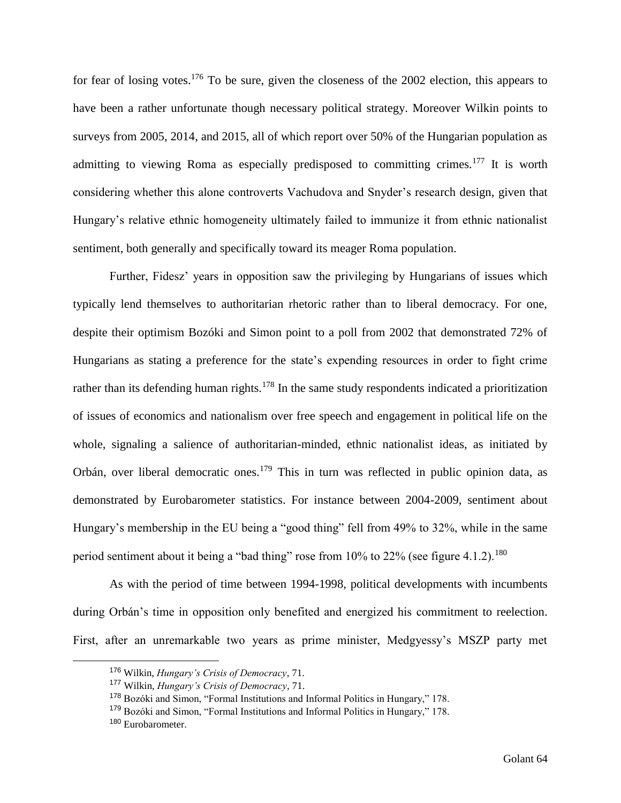for fear of losing votes.<sup>176</sup> To be sure, given the closeness of the 2002 election, this appears to have been a rather unfortunate though necessary political strategy. Moreover Wilkin points to surveys from 2005, 2014, and 2015, all of which report over 50% of the Hungarian population as admitting to viewing Roma as especially predisposed to committing crimes.<sup>177</sup> It is worth considering whether this alone controverts Vachudova and Snyder's research design, given that Hungary's relative ethnic homogeneity ultimately failed to immunize it from ethnic nationalist sentiment, both generally and specifically toward its meager Roma population.

Further, Fidesz' years in opposition saw the privileging by Hungarians of issues which typically lend themselves to authoritarian rhetoric rather than to liberal democracy. For one, despite their optimism Bozóki and Simon point to a poll from 2002 that demonstrated 72% of Hungarians as stating a preference for the state's expending resources in order to fight crime rather than its defending human rights.<sup>178</sup> In the same study respondents indicated a prioritization of issues of economics and nationalism over free speech and engagement in political life on the whole, signaling a salience of authoritarian-minded, ethnic nationalist ideas, as initiated by Orbán, over liberal democratic ones.<sup>179</sup> This in turn was reflected in public opinion data, as demonstrated by Eurobarometer statistics. For instance between 2004-2009, sentiment about Hungary's membership in the EU being a "good thing" fell from 49% to 32%, while in the same period sentiment about it being a "bad thing" rose from  $10\%$  to  $22\%$  (see figure 4.1.2).<sup>180</sup>

As with the period of time between 1994-1998, political developments with incumbents during Orbán's time in opposition only benefited and energized his commitment to reelection. First, after an unremarkable two years as prime minister, Medgyessy's MSZP party met

<sup>176</sup> Wilkin, *Hungary's Crisis of Democracy*, 71.

<sup>177</sup> Wilkin, *Hungary's Crisis of Democracy*, 71.

<sup>178</sup> Bozóki and Simon, "Formal Institutions and Informal Politics in Hungary," 178.

<sup>179</sup> Bozóki and Simon, "Formal Institutions and Informal Politics in Hungary," 178.

<sup>180</sup> Eurobarometer.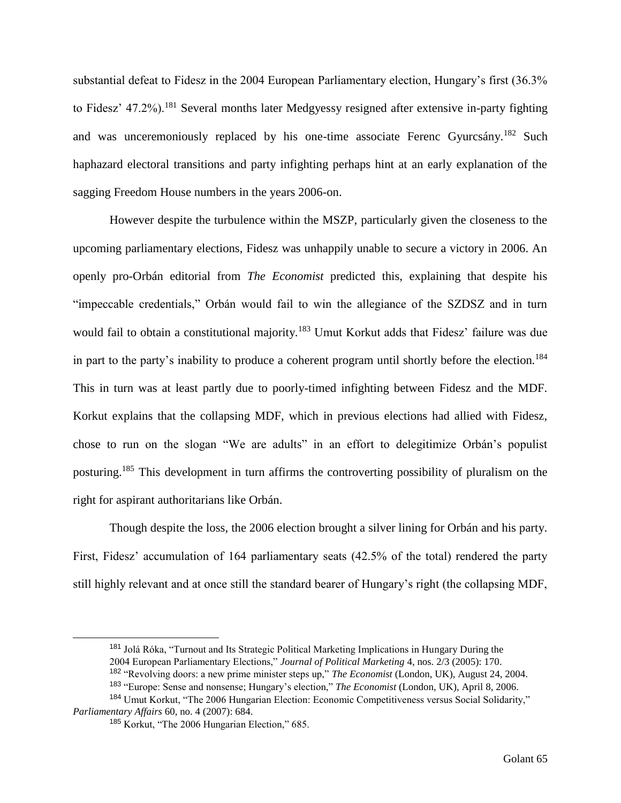substantial defeat to Fidesz in the 2004 European Parliamentary election, Hungary's first (36.3% to Fidesz' 47.2%).<sup>181</sup> Several months later Medgyessy resigned after extensive in-party fighting and was unceremoniously replaced by his one-time associate Ferenc Gyurcsány.<sup>182</sup> Such haphazard electoral transitions and party infighting perhaps hint at an early explanation of the sagging Freedom House numbers in the years 2006-on.

However despite the turbulence within the MSZP, particularly given the closeness to the upcoming parliamentary elections, Fidesz was unhappily unable to secure a victory in 2006. An openly pro-Orbán editorial from *The Economist* predicted this, explaining that despite his "impeccable credentials," Orbán would fail to win the allegiance of the SZDSZ and in turn would fail to obtain a constitutional majority.<sup>183</sup> Umut Korkut adds that Fidesz' failure was due in part to the party's inability to produce a coherent program until shortly before the election.<sup>184</sup> This in turn was at least partly due to poorly-timed infighting between Fidesz and the MDF. Korkut explains that the collapsing MDF, which in previous elections had allied with Fidesz, chose to run on the slogan "We are adults" in an effort to delegitimize Orbán's populist posturing.<sup>185</sup> This development in turn affirms the controverting possibility of pluralism on the right for aspirant authoritarians like Orbán.

Though despite the loss, the 2006 election brought a silver lining for Orbán and his party. First, Fidesz' accumulation of 164 parliamentary seats (42.5% of the total) rendered the party still highly relevant and at once still the standard bearer of Hungary's right (the collapsing MDF,

<sup>181</sup> Jolá Róka, "Turnout and Its Strategic Political Marketing Implications in Hungary During the 2004 European Parliamentary Elections," *Journal of Political Marketing* 4, nos. 2/3 (2005): 170. <sup>182</sup> "Revolving doors: a new prime minister steps up," *The Economist* (London, UK), August 24, 2004. <sup>183</sup> "Europe: Sense and nonsense; Hungary's election," *The Economist* (London, UK), April 8, 2006.

<sup>&</sup>lt;sup>184</sup> Umut Korkut, "The 2006 Hungarian Election: Economic Competitiveness versus Social Solidarity," *Parliamentary Affairs* 60, no. 4 (2007): 684.

<sup>185</sup> Korkut, "The 2006 Hungarian Election," 685.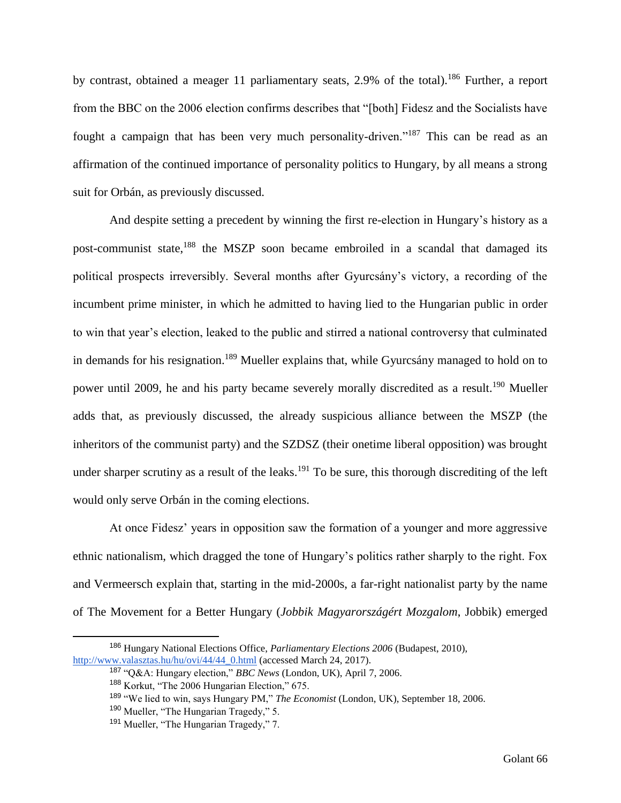by contrast, obtained a meager 11 parliamentary seats, 2.9% of the total).<sup>186</sup> Further, a report from the BBC on the 2006 election confirms describes that "[both] Fidesz and the Socialists have fought a campaign that has been very much personality-driven."<sup>187</sup> This can be read as an affirmation of the continued importance of personality politics to Hungary, by all means a strong suit for Orbán, as previously discussed.

And despite setting a precedent by winning the first re-election in Hungary's history as a post-communist state,<sup>188</sup> the MSZP soon became embroiled in a scandal that damaged its political prospects irreversibly. Several months after Gyurcsány's victory, a recording of the incumbent prime minister, in which he admitted to having lied to the Hungarian public in order to win that year's election, leaked to the public and stirred a national controversy that culminated in demands for his resignation.<sup>189</sup> Mueller explains that, while Gyurcsány managed to hold on to power until 2009, he and his party became severely morally discredited as a result.<sup>190</sup> Mueller adds that, as previously discussed, the already suspicious alliance between the MSZP (the inheritors of the communist party) and the SZDSZ (their onetime liberal opposition) was brought under sharper scrutiny as a result of the leaks.<sup>191</sup> To be sure, this thorough discrediting of the left would only serve Orbán in the coming elections.

At once Fidesz' years in opposition saw the formation of a younger and more aggressive ethnic nationalism, which dragged the tone of Hungary's politics rather sharply to the right. Fox and Vermeersch explain that, starting in the mid-2000s, a far-right nationalist party by the name of The Movement for a Better Hungary (*Jobbik Magyarországért Mozgalom*, Jobbik) emerged

<sup>186</sup> Hungary National Elections Office, *Parliamentary Elections 2006* (Budapest, 2010), [http://www.valasztas.hu/hu/ovi/44/44\\_0.html](http://www.valasztas.hu/hu/ovi/44/44_0.html) (accessed March 24, 2017).

<sup>187</sup> "Q&A: Hungary election," *BBC News* (London, UK), April 7, 2006.

<sup>188</sup> Korkut, "The 2006 Hungarian Election," 675.

<sup>189</sup> "We lied to win, says Hungary PM," *The Economist* (London, UK), September 18, 2006.

<sup>190</sup> Mueller, "The Hungarian Tragedy," 5.

<sup>&</sup>lt;sup>191</sup> Mueller, "The Hungarian Tragedy," 7.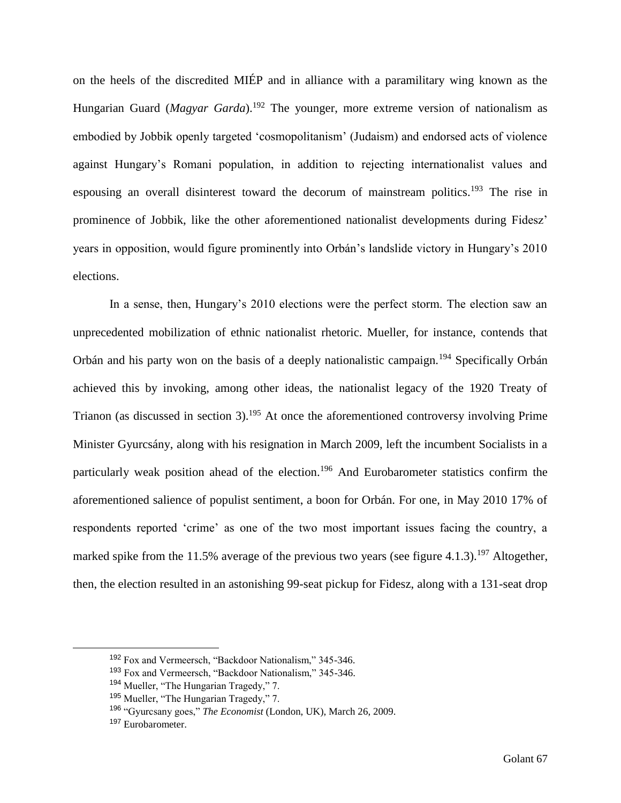on the heels of the discredited MIÉP and in alliance with a paramilitary wing known as the Hungarian Guard (*Magyar Garda*).<sup>192</sup> The younger, more extreme version of nationalism as embodied by Jobbik openly targeted 'cosmopolitanism' (Judaism) and endorsed acts of violence against Hungary's Romani population, in addition to rejecting internationalist values and espousing an overall disinterest toward the decorum of mainstream politics.<sup>193</sup> The rise in prominence of Jobbik, like the other aforementioned nationalist developments during Fidesz' years in opposition, would figure prominently into Orbán's landslide victory in Hungary's 2010 elections.

In a sense, then, Hungary's 2010 elections were the perfect storm. The election saw an unprecedented mobilization of ethnic nationalist rhetoric. Mueller, for instance, contends that Orbán and his party won on the basis of a deeply nationalistic campaign.<sup>194</sup> Specifically Orbán achieved this by invoking, among other ideas, the nationalist legacy of the 1920 Treaty of Trianon (as discussed in section 3).<sup>195</sup> At once the aforementioned controversy involving Prime Minister Gyurcsány, along with his resignation in March 2009, left the incumbent Socialists in a particularly weak position ahead of the election.<sup>196</sup> And Eurobarometer statistics confirm the aforementioned salience of populist sentiment, a boon for Orbán. For one, in May 2010 17% of respondents reported 'crime' as one of the two most important issues facing the country, a marked spike from the 11.5% average of the previous two years (see figure 4.1.3).<sup>197</sup> Altogether, then, the election resulted in an astonishing 99-seat pickup for Fidesz, along with a 131-seat drop

<sup>192</sup> Fox and Vermeersch, "Backdoor Nationalism," 345-346.

<sup>193</sup> Fox and Vermeersch, "Backdoor Nationalism," 345-346.

<sup>194</sup> Mueller, "The Hungarian Tragedy," 7.

<sup>195</sup> Mueller, "The Hungarian Tragedy," 7.

<sup>196</sup> "Gyurcsany goes," *The Economist* (London, UK), March 26, 2009.

<sup>197</sup> Eurobarometer.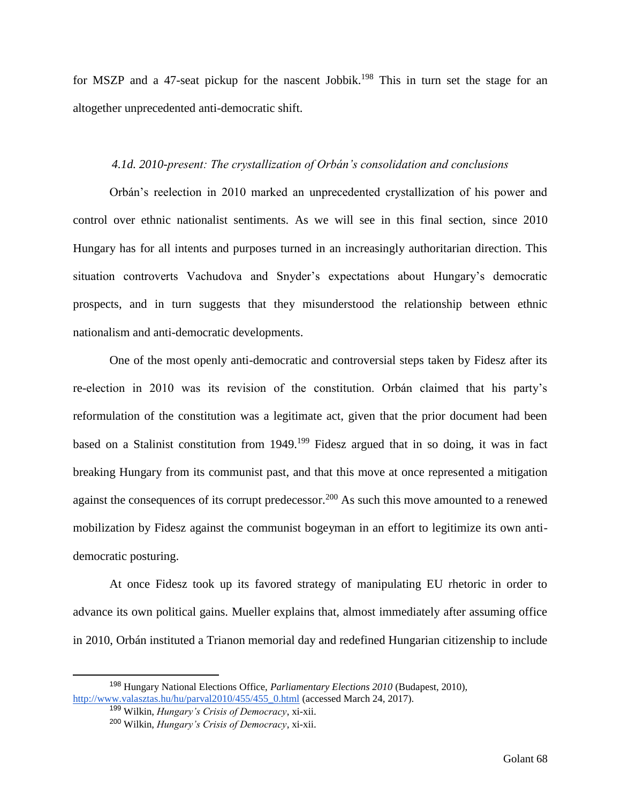for MSZP and a 47-seat pickup for the nascent Jobbik.<sup>198</sup> This in turn set the stage for an altogether unprecedented anti-democratic shift.

# *4.1d. 2010-present: The crystallization of Orbán's consolidation and conclusions*

Orbán's reelection in 2010 marked an unprecedented crystallization of his power and control over ethnic nationalist sentiments. As we will see in this final section, since 2010 Hungary has for all intents and purposes turned in an increasingly authoritarian direction. This situation controverts Vachudova and Snyder's expectations about Hungary's democratic prospects, and in turn suggests that they misunderstood the relationship between ethnic nationalism and anti-democratic developments.

One of the most openly anti-democratic and controversial steps taken by Fidesz after its re-election in 2010 was its revision of the constitution. Orbán claimed that his party's reformulation of the constitution was a legitimate act, given that the prior document had been based on a Stalinist constitution from 1949.<sup>199</sup> Fidesz argued that in so doing, it was in fact breaking Hungary from its communist past, and that this move at once represented a mitigation against the consequences of its corrupt predecessor.<sup>200</sup> As such this move amounted to a renewed mobilization by Fidesz against the communist bogeyman in an effort to legitimize its own antidemocratic posturing.

At once Fidesz took up its favored strategy of manipulating EU rhetoric in order to advance its own political gains. Mueller explains that, almost immediately after assuming office in 2010, Orbán instituted a Trianon memorial day and redefined Hungarian citizenship to include

<sup>198</sup> Hungary National Elections Office, *Parliamentary Elections 2010* (Budapest, 2010), [http://www.valasztas.hu/hu/parval2010/455/455\\_0.html](http://www.valasztas.hu/hu/parval2010/455/455_0.html) (accessed March 24, 2017).

<sup>199</sup> Wilkin, *Hungary's Crisis of Democracy*, xi-xii.

<sup>200</sup> Wilkin, *Hungary's Crisis of Democracy*, xi-xii.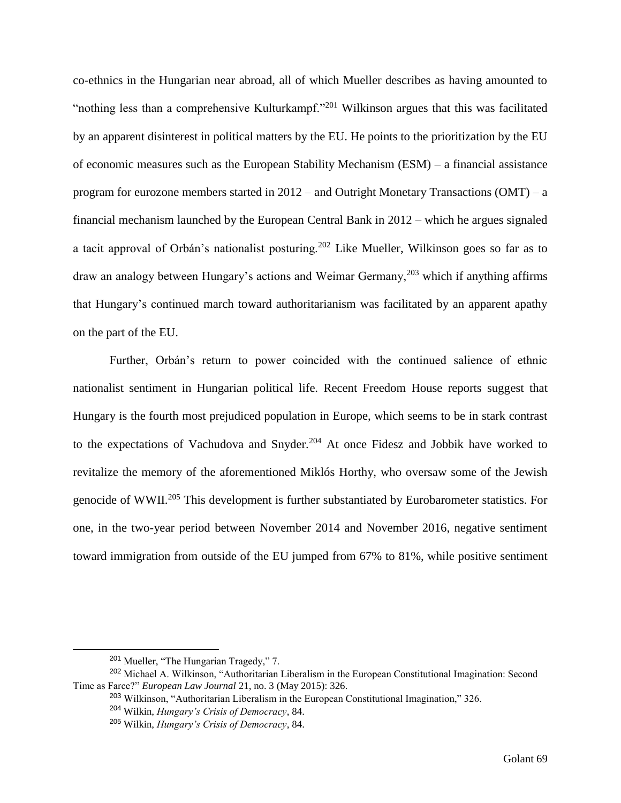co-ethnics in the Hungarian near abroad, all of which Mueller describes as having amounted to "nothing less than a comprehensive Kulturkampf."<sup>201</sup> Wilkinson argues that this was facilitated by an apparent disinterest in political matters by the EU. He points to the prioritization by the EU of economic measures such as the European Stability Mechanism (ESM) – a financial assistance program for eurozone members started in 2012 – and Outright Monetary Transactions (OMT) – a financial mechanism launched by the European Central Bank in 2012 – which he argues signaled a tacit approval of Orbán's nationalist posturing.<sup>202</sup> Like Mueller, Wilkinson goes so far as to draw an analogy between Hungary's actions and Weimar Germany,  $203$  which if anything affirms that Hungary's continued march toward authoritarianism was facilitated by an apparent apathy on the part of the EU.

Further, Orbán's return to power coincided with the continued salience of ethnic nationalist sentiment in Hungarian political life. Recent Freedom House reports suggest that Hungary is the fourth most prejudiced population in Europe, which seems to be in stark contrast to the expectations of Vachudova and Snyder.<sup>204</sup> At once Fidesz and Jobbik have worked to revitalize the memory of the aforementioned Miklós Horthy, who oversaw some of the Jewish genocide of WWII.<sup>205</sup> This development is further substantiated by Eurobarometer statistics. For one, in the two-year period between November 2014 and November 2016, negative sentiment toward immigration from outside of the EU jumped from 67% to 81%, while positive sentiment

<sup>201</sup> Mueller, "The Hungarian Tragedy," 7.

<sup>202</sup> Michael A. Wilkinson, "Authoritarian Liberalism in the European Constitutional Imagination: Second Time as Farce?" *European Law Journal* 21, no. 3 (May 2015): 326.

<sup>203</sup> Wilkinson, "Authoritarian Liberalism in the European Constitutional Imagination," 326. <sup>204</sup> Wilkin, *Hungary's Crisis of Democracy*, 84.

<sup>205</sup> Wilkin, *Hungary's Crisis of Democracy*, 84.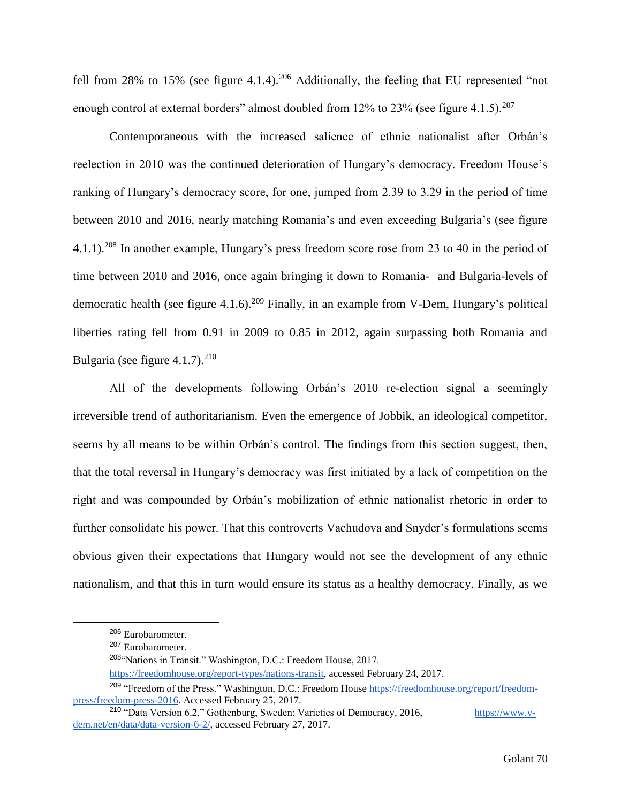fell from 28% to 15% (see figure 4.1.4).<sup>206</sup> Additionally, the feeling that EU represented "not enough control at external borders" almost doubled from 12% to 23% (see figure 4.1.5).<sup>207</sup>

Contemporaneous with the increased salience of ethnic nationalist after Orbán's reelection in 2010 was the continued deterioration of Hungary's democracy. Freedom House's ranking of Hungary's democracy score, for one, jumped from 2.39 to 3.29 in the period of time between 2010 and 2016, nearly matching Romania's and even exceeding Bulgaria's (see figure 4.1.1).<sup>208</sup> In another example, Hungary's press freedom score rose from 23 to 40 in the period of time between 2010 and 2016, once again bringing it down to Romania- and Bulgaria-levels of democratic health (see figure 4.1.6).<sup>209</sup> Finally, in an example from V-Dem, Hungary's political liberties rating fell from 0.91 in 2009 to 0.85 in 2012, again surpassing both Romania and Bulgaria (see figure  $4.1.7$ ).<sup>210</sup>

All of the developments following Orbán's 2010 re-election signal a seemingly irreversible trend of authoritarianism. Even the emergence of Jobbik, an ideological competitor, seems by all means to be within Orbán's control. The findings from this section suggest, then, that the total reversal in Hungary's democracy was first initiated by a lack of competition on the right and was compounded by Orbán's mobilization of ethnic nationalist rhetoric in order to further consolidate his power. That this controverts Vachudova and Snyder's formulations seems obvious given their expectations that Hungary would not see the development of any ethnic nationalism, and that this in turn would ensure its status as a healthy democracy. Finally, as we

<sup>206</sup> Eurobarometer.

<sup>&</sup>lt;sup>207</sup> Eurobarometer.

<sup>208</sup>"Nations in Transit." Washington, D.C.: Freedom House, 2017.

[https://freedomhouse.org/report-types/nations-transit,](https://freedomhouse.org/report-types/nations-transit) accessed February 24, 2017.

<sup>&</sup>lt;sup>209</sup> "Freedom of the Press." Washington, D.C.: Freedom House [https://freedomhouse.org/report/freedom](https://freedomhouse.org/report/freedom-press/freedom-press-2016)[press/freedom-press-2016.](https://freedomhouse.org/report/freedom-press/freedom-press-2016) Accessed February 25, 2017.

<sup>&</sup>lt;sup>210</sup> "Data Version 6.2," Gothenburg, Sweden: Varieties of Democracy, 2016, [https://www.v](https://www.v-dem.net/en/data/data-version-6-2/)[dem.net/en/data/data-version-6-2/,](https://www.v-dem.net/en/data/data-version-6-2/) accessed February 27, 2017.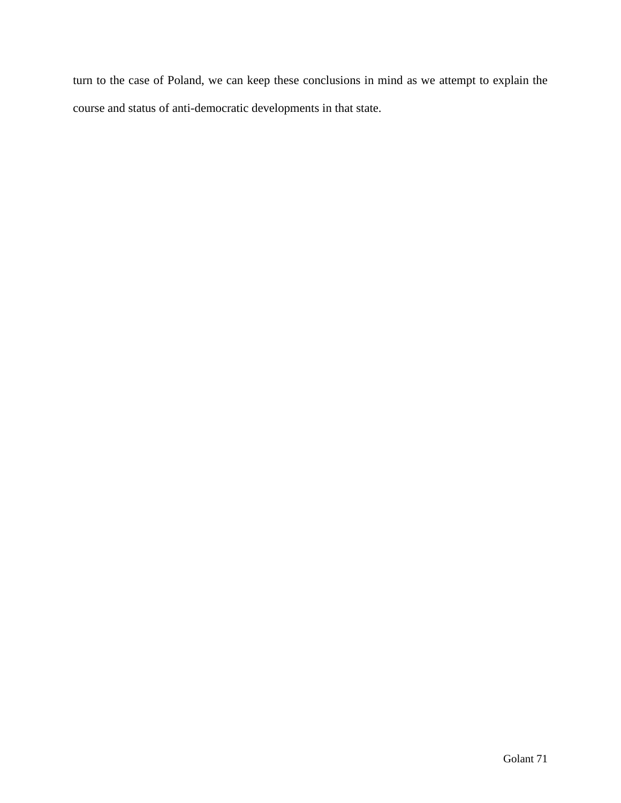turn to the case of Poland, we can keep these conclusions in mind as we attempt to explain the course and status of anti-democratic developments in that state.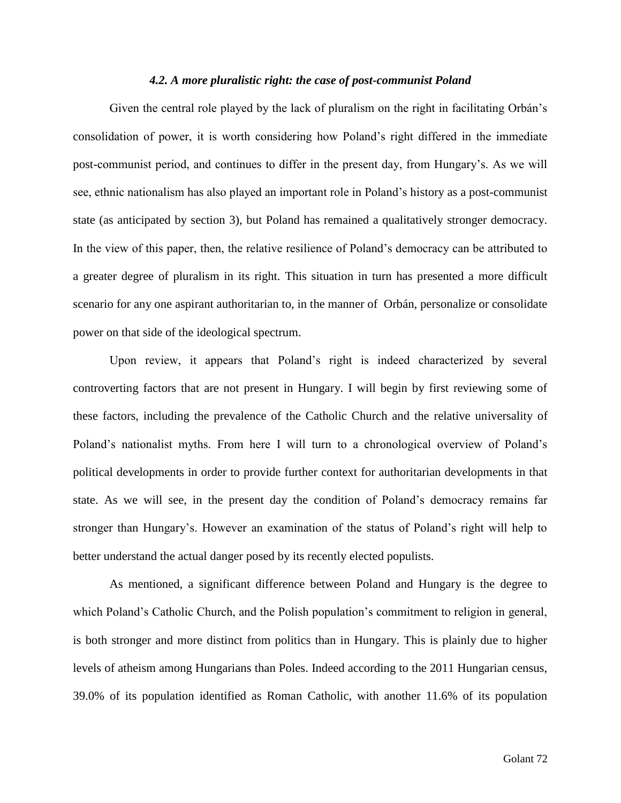## *4.2. A more pluralistic right: the case of post-communist Poland*

Given the central role played by the lack of pluralism on the right in facilitating Orbán's consolidation of power, it is worth considering how Poland's right differed in the immediate post-communist period, and continues to differ in the present day, from Hungary's. As we will see, ethnic nationalism has also played an important role in Poland's history as a post-communist state (as anticipated by section 3), but Poland has remained a qualitatively stronger democracy. In the view of this paper, then, the relative resilience of Poland's democracy can be attributed to a greater degree of pluralism in its right. This situation in turn has presented a more difficult scenario for any one aspirant authoritarian to, in the manner of Orbán, personalize or consolidate power on that side of the ideological spectrum.

Upon review, it appears that Poland's right is indeed characterized by several controverting factors that are not present in Hungary. I will begin by first reviewing some of these factors, including the prevalence of the Catholic Church and the relative universality of Poland's nationalist myths. From here I will turn to a chronological overview of Poland's political developments in order to provide further context for authoritarian developments in that state. As we will see, in the present day the condition of Poland's democracy remains far stronger than Hungary's. However an examination of the status of Poland's right will help to better understand the actual danger posed by its recently elected populists.

As mentioned, a significant difference between Poland and Hungary is the degree to which Poland's Catholic Church, and the Polish population's commitment to religion in general, is both stronger and more distinct from politics than in Hungary. This is plainly due to higher levels of atheism among Hungarians than Poles. Indeed according to the 2011 Hungarian census, 39.0% of its population identified as Roman Catholic, with another 11.6% of its population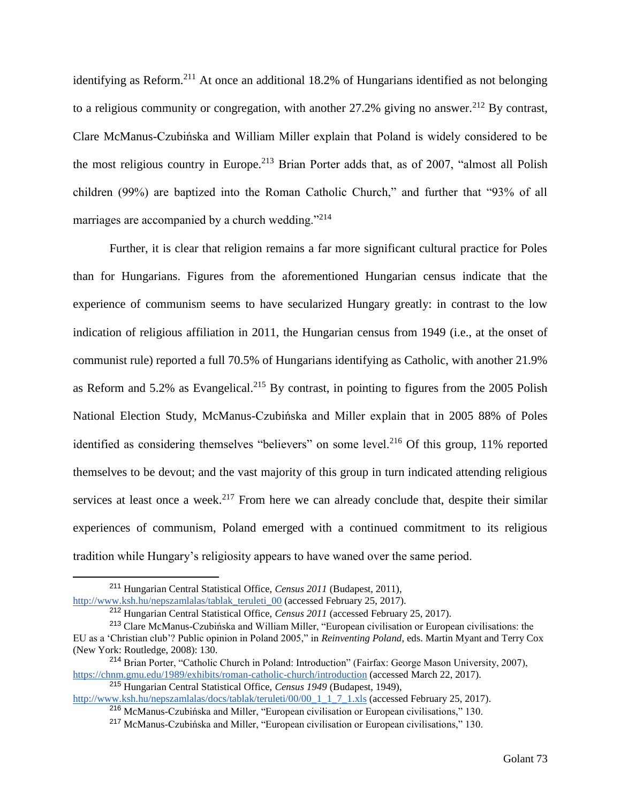identifying as Reform.<sup>211</sup> At once an additional 18.2% of Hungarians identified as not belonging to a religious community or congregation, with another  $27.2\%$  giving no answer.<sup>212</sup> By contrast, Clare McManus-Czubińska and William Miller explain that Poland is widely considered to be the most religious country in Europe.<sup>213</sup> Brian Porter adds that, as of 2007, "almost all Polish children (99%) are baptized into the Roman Catholic Church," and further that "93% of all marriages are accompanied by a church wedding."<sup>214</sup>

Further, it is clear that religion remains a far more significant cultural practice for Poles than for Hungarians. Figures from the aforementioned Hungarian census indicate that the experience of communism seems to have secularized Hungary greatly: in contrast to the low indication of religious affiliation in 2011, the Hungarian census from 1949 (i.e., at the onset of communist rule) reported a full 70.5% of Hungarians identifying as Catholic, with another 21.9% as Reform and 5.2% as Evangelical.<sup>215</sup> By contrast, in pointing to figures from the 2005 Polish National Election Study, McManus-Czubińska and Miller explain that in 2005 88% of Poles identified as considering themselves "believers" on some level.<sup>216</sup> Of this group, 11% reported themselves to be devout; and the vast majority of this group in turn indicated attending religious services at least once a week.<sup>217</sup> From here we can already conclude that, despite their similar experiences of communism, Poland emerged with a continued commitment to its religious tradition while Hungary's religiosity appears to have waned over the same period.

 $\overline{a}$ 

<sup>215</sup> Hungarian Central Statistical Office, *Census 1949* (Budapest, 1949),

<sup>211</sup> Hungarian Central Statistical Office, *Census 2011* (Budapest, 2011),

[http://www.ksh.hu/nepszamlalas/tablak\\_teruleti\\_00](http://www.ksh.hu/nepszamlalas/tablak_teruleti_00) (accessed February 25, 2017).

<sup>212</sup> Hungarian Central Statistical Office, *Census 2011* (accessed February 25, 2017).

<sup>213</sup> Clare McManus-Czubińska and William Miller, "European civilisation or European civilisations: the

EU as a 'Christian club'? Public opinion in Poland 2005," in *Reinventing Poland*, eds. Martin Myant and Terry Cox (New York: Routledge, 2008): 130.

<sup>214</sup> Brian Porter, "Catholic Church in Poland: Introduction" (Fairfax: George Mason University, 2007), <https://chnm.gmu.edu/1989/exhibits/roman-catholic-church/introduction> (accessed March 22, 2017).

[http://www.ksh.hu/nepszamlalas/docs/tablak/teruleti/00/00\\_1\\_1\\_7\\_1.xls](http://www.ksh.hu/nepszamlalas/docs/tablak/teruleti/00/00_1_1_7_1.xls) (accessed February 25, 2017).

<sup>216</sup> McManus-Czubińska and Miller, "European civilisation or European civilisations," 130.

<sup>217</sup> McManus-Czubińska and Miller, "European civilisation or European civilisations," 130.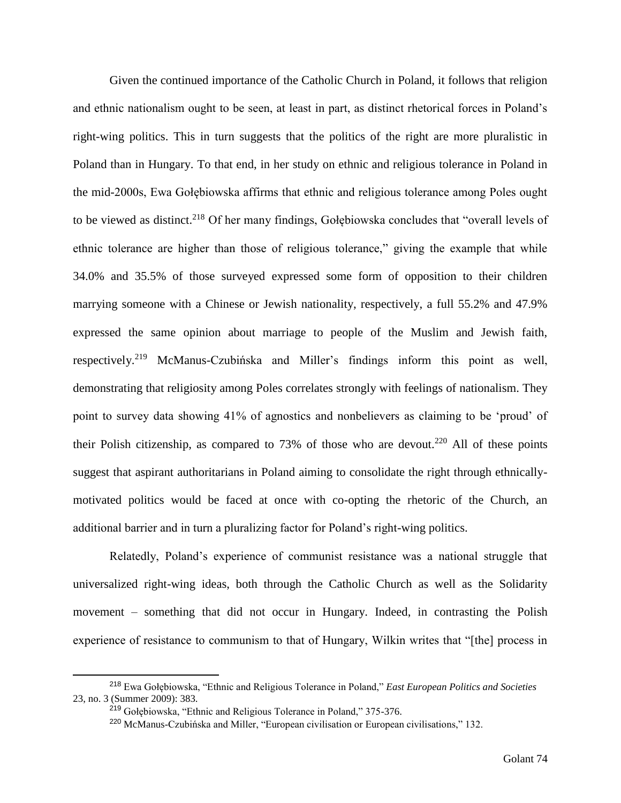Given the continued importance of the Catholic Church in Poland, it follows that religion and ethnic nationalism ought to be seen, at least in part, as distinct rhetorical forces in Poland's right-wing politics. This in turn suggests that the politics of the right are more pluralistic in Poland than in Hungary. To that end, in her study on ethnic and religious tolerance in Poland in the mid-2000s, Ewa Gołębiowska affirms that ethnic and religious tolerance among Poles ought to be viewed as distinct.<sup>218</sup> Of her many findings, Gołębiowska concludes that "overall levels of ethnic tolerance are higher than those of religious tolerance," giving the example that while 34.0% and 35.5% of those surveyed expressed some form of opposition to their children marrying someone with a Chinese or Jewish nationality, respectively, a full 55.2% and 47.9% expressed the same opinion about marriage to people of the Muslim and Jewish faith, respectively.<sup>219</sup> McManus-Czubińska and Miller's findings inform this point as well, demonstrating that religiosity among Poles correlates strongly with feelings of nationalism. They point to survey data showing 41% of agnostics and nonbelievers as claiming to be 'proud' of their Polish citizenship, as compared to 73% of those who are devout.<sup>220</sup> All of these points suggest that aspirant authoritarians in Poland aiming to consolidate the right through ethnicallymotivated politics would be faced at once with co-opting the rhetoric of the Church, an additional barrier and in turn a pluralizing factor for Poland's right-wing politics.

Relatedly, Poland's experience of communist resistance was a national struggle that universalized right-wing ideas, both through the Catholic Church as well as the Solidarity movement – something that did not occur in Hungary. Indeed, in contrasting the Polish experience of resistance to communism to that of Hungary, Wilkin writes that "[the] process in

<sup>218</sup> Ewa Gołębiowska, "Ethnic and Religious Tolerance in Poland," *East European Politics and Societies* 23, no. 3 (Summer 2009): 383.

<sup>219</sup> Gołębiowska, "Ethnic and Religious Tolerance in Poland," 375-376.

<sup>220</sup> McManus-Czubińska and Miller, "European civilisation or European civilisations," 132.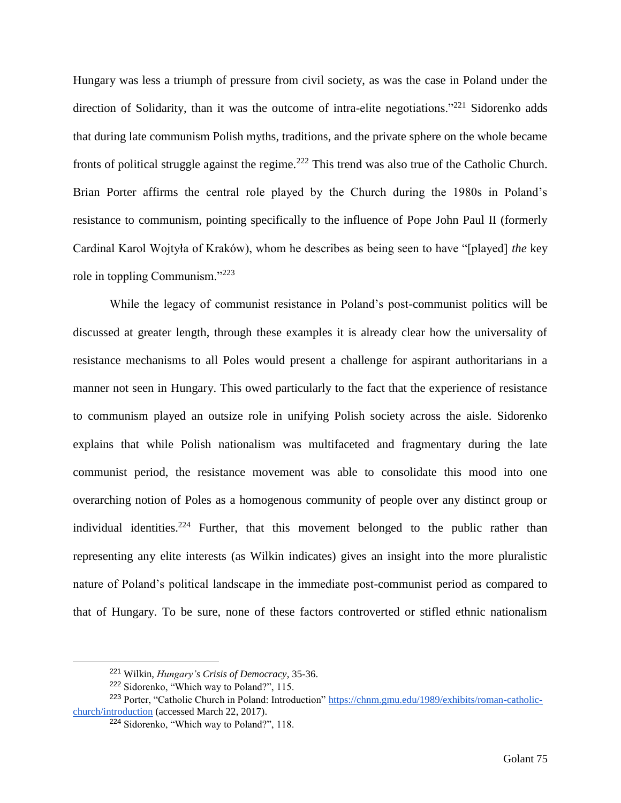Hungary was less a triumph of pressure from civil society, as was the case in Poland under the direction of Solidarity, than it was the outcome of intra-elite negotiations."<sup>221</sup> Sidorenko adds that during late communism Polish myths, traditions, and the private sphere on the whole became fronts of political struggle against the regime.<sup>222</sup> This trend was also true of the Catholic Church. Brian Porter affirms the central role played by the Church during the 1980s in Poland's resistance to communism, pointing specifically to the influence of Pope John Paul II (formerly Cardinal Karol Wojtyła of Kraków), whom he describes as being seen to have "[played] *the* key role in toppling Communism."<sup>223</sup>

While the legacy of communist resistance in Poland's post-communist politics will be discussed at greater length, through these examples it is already clear how the universality of resistance mechanisms to all Poles would present a challenge for aspirant authoritarians in a manner not seen in Hungary. This owed particularly to the fact that the experience of resistance to communism played an outsize role in unifying Polish society across the aisle. Sidorenko explains that while Polish nationalism was multifaceted and fragmentary during the late communist period, the resistance movement was able to consolidate this mood into one overarching notion of Poles as a homogenous community of people over any distinct group or individual identities.<sup>224</sup> Further, that this movement belonged to the public rather than representing any elite interests (as Wilkin indicates) gives an insight into the more pluralistic nature of Poland's political landscape in the immediate post-communist period as compared to that of Hungary. To be sure, none of these factors controverted or stifled ethnic nationalism

<sup>221</sup> Wilkin, *Hungary's Crisis of Democracy*, 35-36.

<sup>&</sup>lt;sup>222</sup> Sidorenko, "Which way to Poland?", 115.

<sup>&</sup>lt;sup>223</sup> Porter, "Catholic Church in Poland: Introduction" [https://chnm.gmu.edu/1989/exhibits/roman-catholic](https://chnm.gmu.edu/1989/exhibits/roman-catholic-church/introduction)[church/introduction](https://chnm.gmu.edu/1989/exhibits/roman-catholic-church/introduction) (accessed March 22, 2017).

<sup>224</sup> Sidorenko, "Which way to Poland?", 118.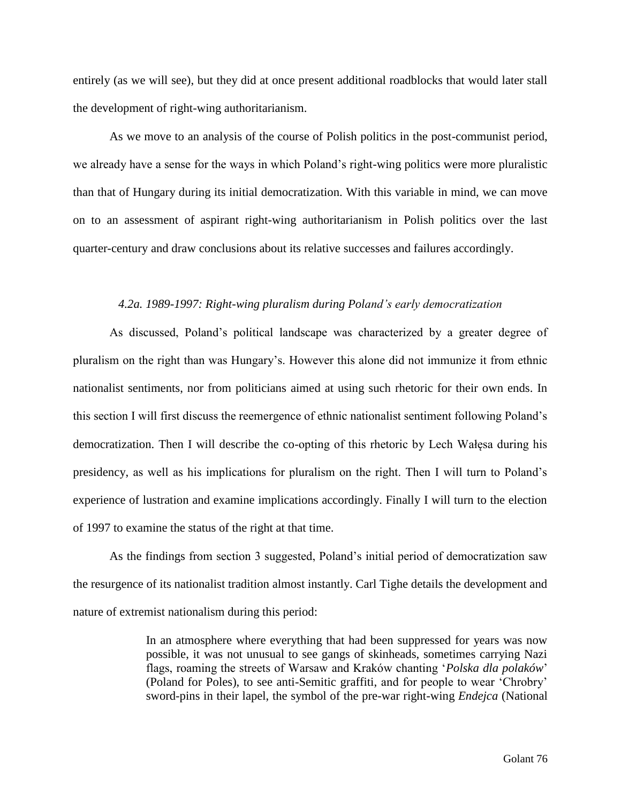entirely (as we will see), but they did at once present additional roadblocks that would later stall the development of right-wing authoritarianism.

As we move to an analysis of the course of Polish politics in the post-communist period, we already have a sense for the ways in which Poland's right-wing politics were more pluralistic than that of Hungary during its initial democratization. With this variable in mind, we can move on to an assessment of aspirant right-wing authoritarianism in Polish politics over the last quarter-century and draw conclusions about its relative successes and failures accordingly.

# *4.2a. 1989-1997: Right-wing pluralism during Poland's early democratization*

As discussed, Poland's political landscape was characterized by a greater degree of pluralism on the right than was Hungary's. However this alone did not immunize it from ethnic nationalist sentiments, nor from politicians aimed at using such rhetoric for their own ends. In this section I will first discuss the reemergence of ethnic nationalist sentiment following Poland's democratization. Then I will describe the co-opting of this rhetoric by Lech Wałęsa during his presidency, as well as his implications for pluralism on the right. Then I will turn to Poland's experience of lustration and examine implications accordingly. Finally I will turn to the election of 1997 to examine the status of the right at that time.

As the findings from section 3 suggested, Poland's initial period of democratization saw the resurgence of its nationalist tradition almost instantly. Carl Tighe details the development and nature of extremist nationalism during this period:

> In an atmosphere where everything that had been suppressed for years was now possible, it was not unusual to see gangs of skinheads, sometimes carrying Nazi flags, roaming the streets of Warsaw and Kraków chanting '*Polska dla polaków*' (Poland for Poles), to see anti-Semitic graffiti, and for people to wear 'Chrobry' sword-pins in their lapel, the symbol of the pre-war right-wing *Endejca* (National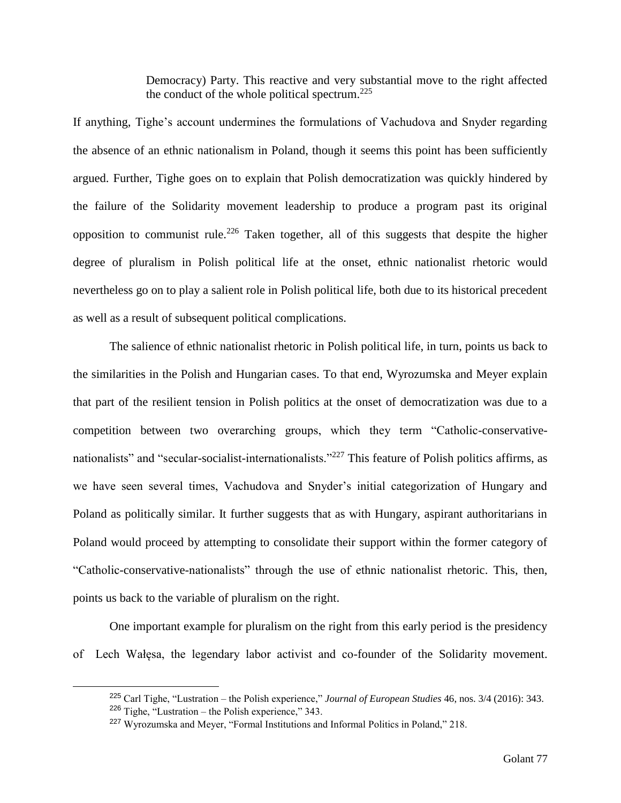Democracy) Party. This reactive and very substantial move to the right affected the conduct of the whole political spectrum.<sup>225</sup>

If anything, Tighe's account undermines the formulations of Vachudova and Snyder regarding the absence of an ethnic nationalism in Poland, though it seems this point has been sufficiently argued. Further, Tighe goes on to explain that Polish democratization was quickly hindered by the failure of the Solidarity movement leadership to produce a program past its original opposition to communist rule.<sup>226</sup> Taken together, all of this suggests that despite the higher degree of pluralism in Polish political life at the onset, ethnic nationalist rhetoric would nevertheless go on to play a salient role in Polish political life, both due to its historical precedent as well as a result of subsequent political complications.

The salience of ethnic nationalist rhetoric in Polish political life, in turn, points us back to the similarities in the Polish and Hungarian cases. To that end, Wyrozumska and Meyer explain that part of the resilient tension in Polish politics at the onset of democratization was due to a competition between two overarching groups, which they term "Catholic-conservativenationalists" and "secular-socialist-internationalists."<sup>227</sup> This feature of Polish politics affirms, as we have seen several times, Vachudova and Snyder's initial categorization of Hungary and Poland as politically similar. It further suggests that as with Hungary, aspirant authoritarians in Poland would proceed by attempting to consolidate their support within the former category of "Catholic-conservative-nationalists" through the use of ethnic nationalist rhetoric. This, then, points us back to the variable of pluralism on the right.

One important example for pluralism on the right from this early period is the presidency of Lech Wałęsa, the legendary labor activist and co-founder of the Solidarity movement.

<sup>225</sup> Carl Tighe, "Lustration – the Polish experience," *Journal of European Studies* 46, nos. 3/4 (2016): 343.  $226$  Tighe, "Lustration – the Polish experience," 343.

<sup>227</sup> Wyrozumska and Meyer, "Formal Institutions and Informal Politics in Poland," 218.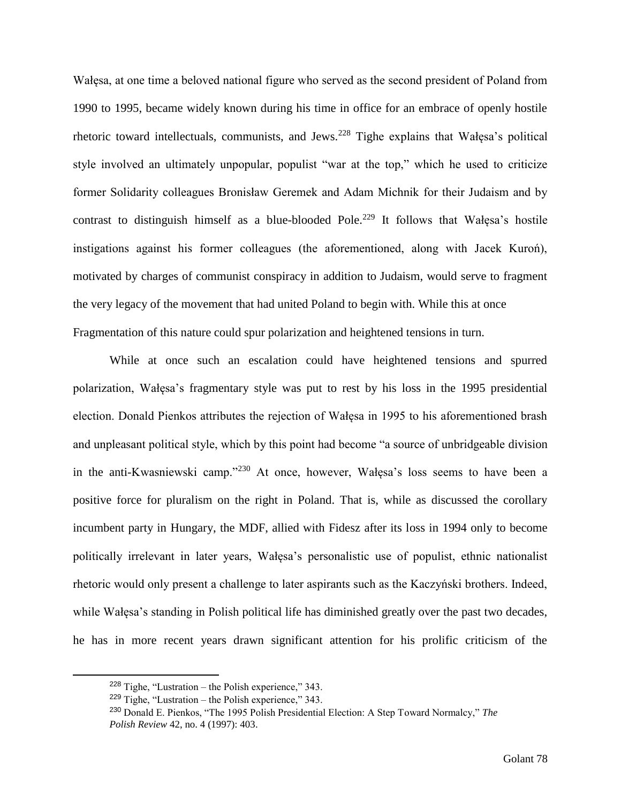Wałęsa, at one time a beloved national figure who served as the second president of Poland from 1990 to 1995, became widely known during his time in office for an embrace of openly hostile rhetoric toward intellectuals, communists, and Jews.<sup>228</sup> Tighe explains that Wałęsa's political style involved an ultimately unpopular, populist "war at the top," which he used to criticize former Solidarity colleagues Bronisław Geremek and Adam Michnik for their Judaism and by contrast to distinguish himself as a blue-blooded Pole.<sup>229</sup> It follows that Wałęsa's hostile instigations against his former colleagues (the aforementioned, along with Jacek Kuroń), motivated by charges of communist conspiracy in addition to Judaism, would serve to fragment the very legacy of the movement that had united Poland to begin with. While this at once Fragmentation of this nature could spur polarization and heightened tensions in turn.

While at once such an escalation could have heightened tensions and spurred polarization, Wałęsa's fragmentary style was put to rest by his loss in the 1995 presidential election. Donald Pienkos attributes the rejection of Wałęsa in 1995 to his aforementioned brash and unpleasant political style, which by this point had become "a source of unbridgeable division in the anti-Kwasniewski camp."<sup>230</sup> At once, however, Wałęsa's loss seems to have been a positive force for pluralism on the right in Poland. That is, while as discussed the corollary incumbent party in Hungary, the MDF, allied with Fidesz after its loss in 1994 only to become politically irrelevant in later years, Wałęsa's personalistic use of populist, ethnic nationalist rhetoric would only present a challenge to later aspirants such as the Kaczyński brothers. Indeed, while Wałęsa's standing in Polish political life has diminished greatly over the past two decades, he has in more recent years drawn significant attention for his prolific criticism of the

 $228$  Tighe, "Lustration – the Polish experience," 343.

 $229$  Tighe, "Lustration – the Polish experience," 343.

<sup>230</sup> Donald E. Pienkos, "The 1995 Polish Presidential Election: A Step Toward Normalcy," *The Polish Review* 42, no. 4 (1997): 403.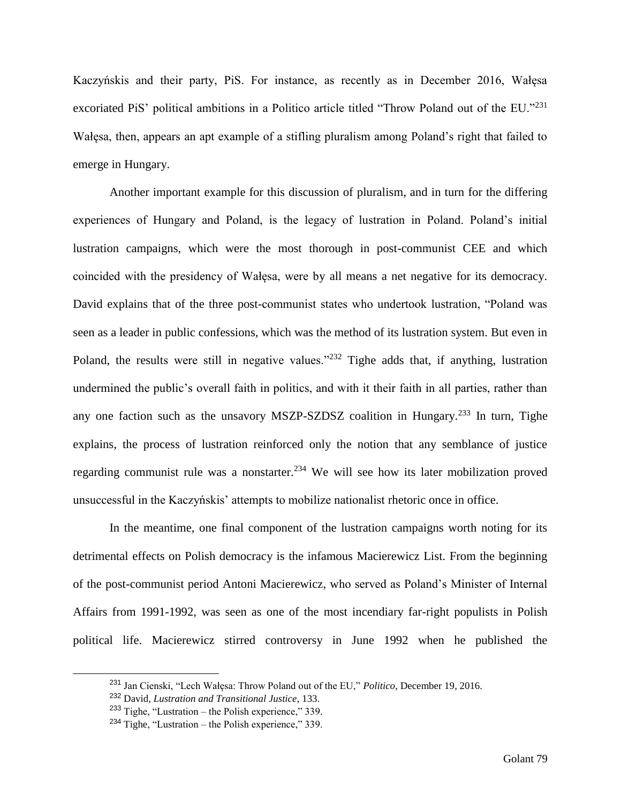Kaczyńskis and their party, PiS. For instance, as recently as in December 2016, Wałęsa excoriated PiS' political ambitions in a Politico article titled "Throw Poland out of the EU."<sup>231</sup> Wałęsa, then, appears an apt example of a stifling pluralism among Poland's right that failed to emerge in Hungary.

Another important example for this discussion of pluralism, and in turn for the differing experiences of Hungary and Poland, is the legacy of lustration in Poland. Poland's initial lustration campaigns, which were the most thorough in post-communist CEE and which coincided with the presidency of Wałęsa, were by all means a net negative for its democracy. David explains that of the three post-communist states who undertook lustration, "Poland was seen as a leader in public confessions, which was the method of its lustration system. But even in Poland, the results were still in negative values."<sup>232</sup> Tighe adds that, if anything, lustration undermined the public's overall faith in politics, and with it their faith in all parties, rather than any one faction such as the unsavory MSZP-SZDSZ coalition in Hungary.<sup>233</sup> In turn, Tighe explains, the process of lustration reinforced only the notion that any semblance of justice regarding communist rule was a nonstarter.<sup>234</sup> We will see how its later mobilization proved unsuccessful in the Kaczyńskis' attempts to mobilize nationalist rhetoric once in office.

In the meantime, one final component of the lustration campaigns worth noting for its detrimental effects on Polish democracy is the infamous Macierewicz List. From the beginning of the post-communist period Antoni Macierewicz, who served as Poland's Minister of Internal Affairs from 1991-1992, was seen as one of the most incendiary far-right populists in Polish political life. Macierewicz stirred controversy in June 1992 when he published the

<sup>231</sup> Jan Cienski, "Lech Wałęsa: Throw Poland out of the EU," *Politico*, December 19, 2016.

<sup>232</sup> David, *Lustration and Transitional Justice*, 133.

 $233$  Tighe, "Lustration – the Polish experience," 339.

 $234$  Tighe, "Lustration – the Polish experience," 339.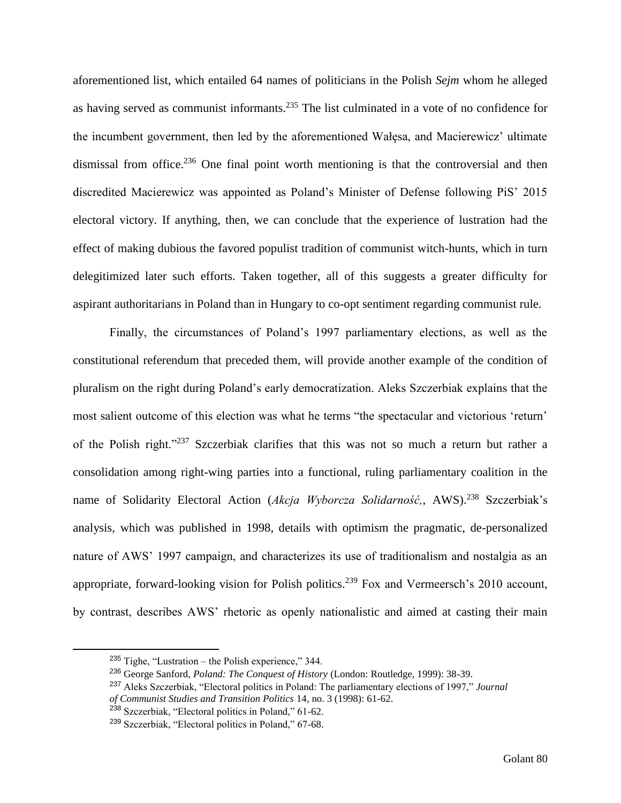aforementioned list, which entailed 64 names of politicians in the Polish *Sejm* whom he alleged as having served as communist informants.<sup>235</sup> The list culminated in a vote of no confidence for the incumbent government, then led by the aforementioned Wałęsa, and Macierewicz' ultimate dismissal from office.<sup>236</sup> One final point worth mentioning is that the controversial and then discredited Macierewicz was appointed as Poland's Minister of Defense following PiS' 2015 electoral victory. If anything, then, we can conclude that the experience of lustration had the effect of making dubious the favored populist tradition of communist witch-hunts, which in turn delegitimized later such efforts. Taken together, all of this suggests a greater difficulty for aspirant authoritarians in Poland than in Hungary to co-opt sentiment regarding communist rule.

Finally, the circumstances of Poland's 1997 parliamentary elections, as well as the constitutional referendum that preceded them, will provide another example of the condition of pluralism on the right during Poland's early democratization. Aleks Szczerbiak explains that the most salient outcome of this election was what he terms "the spectacular and victorious 'return' of the Polish right."<sup>237</sup> Szczerbiak clarifies that this was not so much a return but rather a consolidation among right-wing parties into a functional, ruling parliamentary coalition in the name of Solidarity Electoral Action (*Akcja Wyborcza Solidarność*,, AWS).<sup>238</sup> Szczerbiak's analysis, which was published in 1998, details with optimism the pragmatic, de-personalized nature of AWS' 1997 campaign, and characterizes its use of traditionalism and nostalgia as an appropriate, forward-looking vision for Polish politics.<sup>239</sup> Fox and Vermeersch's 2010 account, by contrast, describes AWS' rhetoric as openly nationalistic and aimed at casting their main

 $235$  Tighe, "Lustration – the Polish experience," 344.

<sup>236</sup> George Sanford, *Poland: The Conquest of History* (London: Routledge, 1999): 38-39.

<sup>237</sup> Aleks Szczerbiak, "Electoral politics in Poland: The parliamentary elections of 1997," *Journal of Communist Studies and Transition Politics* 14, no. 3 (1998): 61-62.

<sup>238</sup> Szczerbiak, "Electoral politics in Poland," 61-62.

<sup>239</sup> Szczerbiak, "Electoral politics in Poland," 67-68.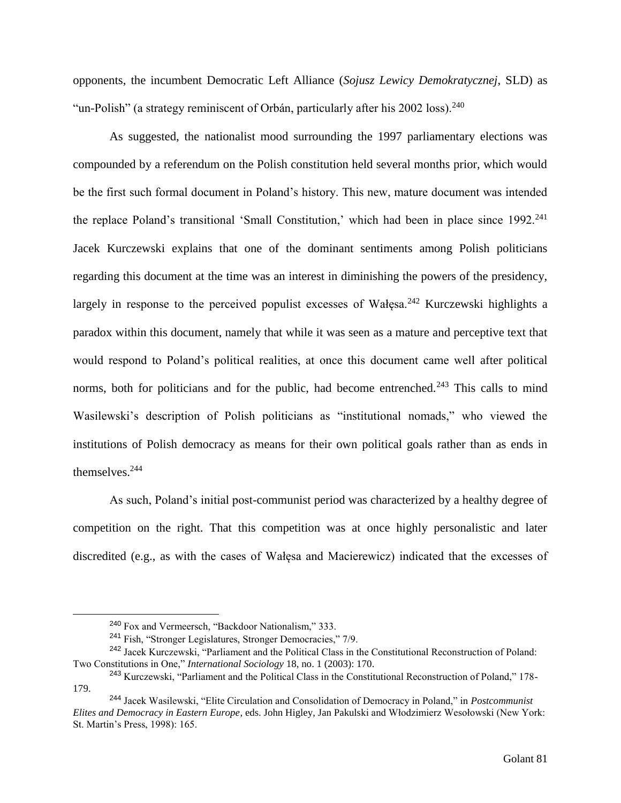opponents, the incumbent Democratic Left Alliance (*Sojusz Lewicy Demokratycznej*, SLD) as "un-Polish" (a strategy reminiscent of Orbán, particularly after his  $2002 \text{ loss}$ ).<sup>240</sup>

As suggested, the nationalist mood surrounding the 1997 parliamentary elections was compounded by a referendum on the Polish constitution held several months prior, which would be the first such formal document in Poland's history. This new, mature document was intended the replace Poland's transitional 'Small Constitution,' which had been in place since 1992.<sup>241</sup> Jacek Kurczewski explains that one of the dominant sentiments among Polish politicians regarding this document at the time was an interest in diminishing the powers of the presidency, largely in response to the perceived populist excesses of Wałęsa.<sup>242</sup> Kurczewski highlights a paradox within this document, namely that while it was seen as a mature and perceptive text that would respond to Poland's political realities, at once this document came well after political norms, both for politicians and for the public, had become entrenched.<sup>243</sup> This calls to mind Wasilewski's description of Polish politicians as "institutional nomads," who viewed the institutions of Polish democracy as means for their own political goals rather than as ends in themselves.<sup>244</sup>

As such, Poland's initial post-communist period was characterized by a healthy degree of competition on the right. That this competition was at once highly personalistic and later discredited (e.g., as with the cases of Wałęsa and Macierewicz) indicated that the excesses of

<sup>240</sup> Fox and Vermeersch, "Backdoor Nationalism," 333.

<sup>241</sup> Fish, "Stronger Legislatures, Stronger Democracies," 7/9.

<sup>&</sup>lt;sup>242</sup> Jacek Kurczewski, "Parliament and the Political Class in the Constitutional Reconstruction of Poland: Two Constitutions in One," *International Sociology* 18, no. 1 (2003): 170.

<sup>243</sup> Kurczewski, "Parliament and the Political Class in the Constitutional Reconstruction of Poland," 178- 179.

<sup>244</sup> Jacek Wasilewski, "Elite Circulation and Consolidation of Democracy in Poland," in *Postcommunist Elites and Democracy in Eastern Europe*, eds. John Higley, Jan Pakulski and Włodzimierz Wesołowski (New York: St. Martin's Press, 1998): 165.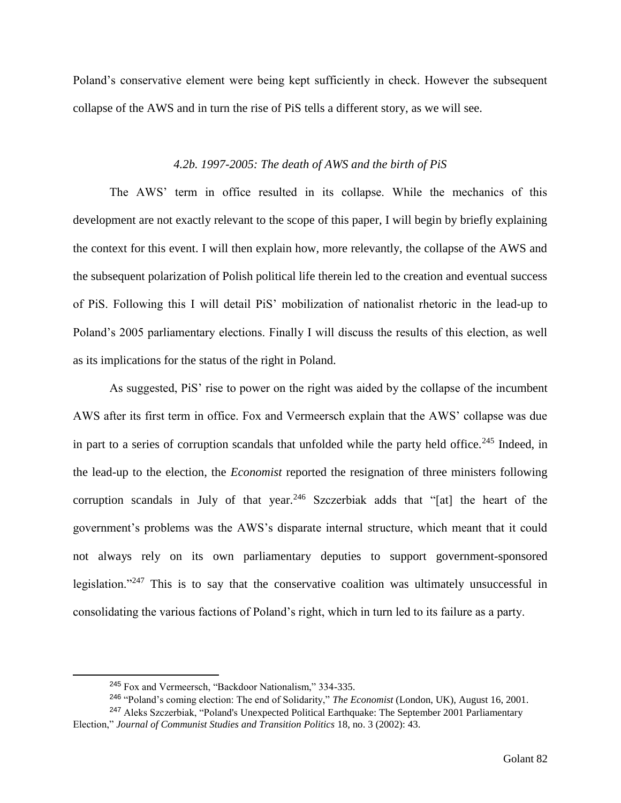Poland's conservative element were being kept sufficiently in check. However the subsequent collapse of the AWS and in turn the rise of PiS tells a different story, as we will see.

# *4.2b. 1997-2005: The death of AWS and the birth of PiS*

The AWS' term in office resulted in its collapse. While the mechanics of this development are not exactly relevant to the scope of this paper, I will begin by briefly explaining the context for this event. I will then explain how, more relevantly, the collapse of the AWS and the subsequent polarization of Polish political life therein led to the creation and eventual success of PiS. Following this I will detail PiS' mobilization of nationalist rhetoric in the lead-up to Poland's 2005 parliamentary elections. Finally I will discuss the results of this election, as well as its implications for the status of the right in Poland.

As suggested, PiS' rise to power on the right was aided by the collapse of the incumbent AWS after its first term in office. Fox and Vermeersch explain that the AWS' collapse was due in part to a series of corruption scandals that unfolded while the party held office.<sup>245</sup> Indeed, in the lead-up to the election, the *Economist* reported the resignation of three ministers following corruption scandals in July of that year.<sup>246</sup> Szczerbiak adds that "[at] the heart of the government's problems was the AWS's disparate internal structure, which meant that it could not always rely on its own parliamentary deputies to support government-sponsored legislation."<sup>247</sup> This is to say that the conservative coalition was ultimately unsuccessful in consolidating the various factions of Poland's right, which in turn led to its failure as a party.

<sup>245</sup> Fox and Vermeersch, "Backdoor Nationalism," 334-335.

<sup>246</sup> "Poland's coming election: The end of Solidarity," *The Economist* (London, UK), August 16, 2001.

<sup>&</sup>lt;sup>247</sup> Aleks Szczerbiak, "Poland's Unexpected Political Earthquake: The September 2001 Parliamentary Election," *Journal of Communist Studies and Transition Politics* 18, no. 3 (2002): 43.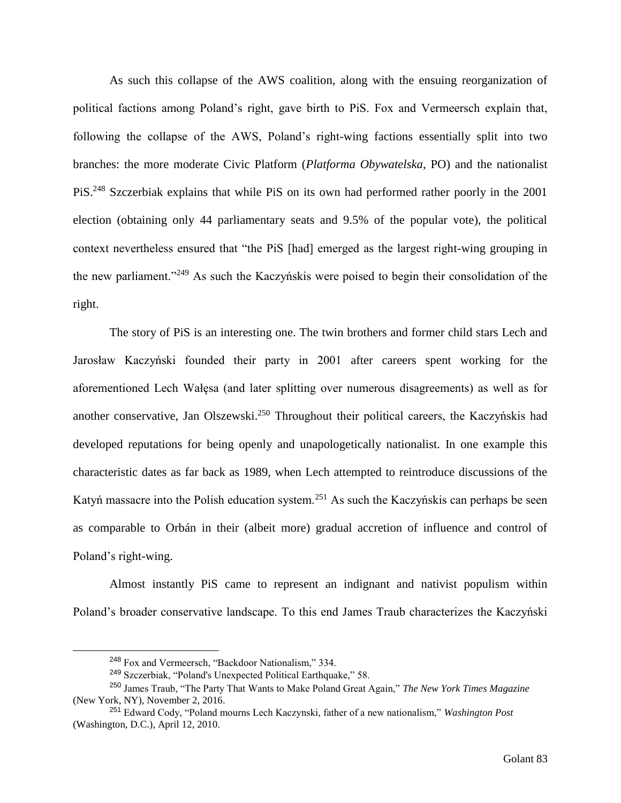As such this collapse of the AWS coalition, along with the ensuing reorganization of political factions among Poland's right, gave birth to PiS. Fox and Vermeersch explain that, following the collapse of the AWS, Poland's right-wing factions essentially split into two branches: the more moderate Civic Platform (*Platforma Obywatelska*, PO) and the nationalist PiS.<sup>248</sup> Szczerbiak explains that while PiS on its own had performed rather poorly in the 2001 election (obtaining only 44 parliamentary seats and 9.5% of the popular vote), the political context nevertheless ensured that "the PiS [had] emerged as the largest right-wing grouping in the new parliament."<sup>249</sup> As such the Kaczyńskis were poised to begin their consolidation of the right.

The story of PiS is an interesting one. The twin brothers and former child stars Lech and Jarosław Kaczyński founded their party in 2001 after careers spent working for the aforementioned Lech Wałęsa (and later splitting over numerous disagreements) as well as for another conservative, Jan Olszewski.<sup>250</sup> Throughout their political careers, the Kaczyńskis had developed reputations for being openly and unapologetically nationalist. In one example this characteristic dates as far back as 1989, when Lech attempted to reintroduce discussions of the Katyń massacre into the Polish education system.<sup>251</sup> As such the Kaczyńskis can perhaps be seen as comparable to Orbán in their (albeit more) gradual accretion of influence and control of Poland's right-wing.

Almost instantly PiS came to represent an indignant and nativist populism within Poland's broader conservative landscape. To this end James Traub characterizes the Kaczyński

<sup>248</sup> Fox and Vermeersch, "Backdoor Nationalism," 334.

<sup>249</sup> Szczerbiak, "Poland's Unexpected Political Earthquake," 58.

<sup>250</sup> James Traub, "The Party That Wants to Make Poland Great Again," *The New York Times Magazine*  (New York, NY), November 2, 2016.

<sup>251</sup> Edward Cody, "Poland mourns Lech Kaczynski, father of a new nationalism," *Washington Post* (Washington, D.C.), April 12, 2010.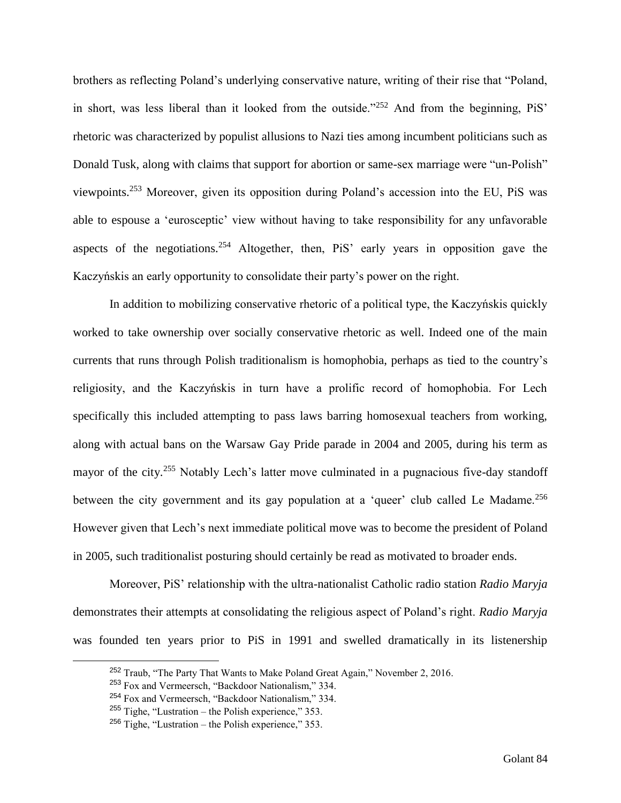brothers as reflecting Poland's underlying conservative nature, writing of their rise that "Poland, in short, was less liberal than it looked from the outside."<sup>252</sup> And from the beginning, PiS' rhetoric was characterized by populist allusions to Nazi ties among incumbent politicians such as Donald Tusk, along with claims that support for abortion or same-sex marriage were "un-Polish" viewpoints.<sup>253</sup> Moreover, given its opposition during Poland's accession into the EU, PiS was able to espouse a 'eurosceptic' view without having to take responsibility for any unfavorable aspects of the negotiations.<sup>254</sup> Altogether, then, PiS' early years in opposition gave the Kaczyńskis an early opportunity to consolidate their party's power on the right.

In addition to mobilizing conservative rhetoric of a political type, the Kaczyńskis quickly worked to take ownership over socially conservative rhetoric as well. Indeed one of the main currents that runs through Polish traditionalism is homophobia, perhaps as tied to the country's religiosity, and the Kaczyńskis in turn have a prolific record of homophobia. For Lech specifically this included attempting to pass laws barring homosexual teachers from working, along with actual bans on the Warsaw Gay Pride parade in 2004 and 2005, during his term as mayor of the city.<sup>255</sup> Notably Lech's latter move culminated in a pugnacious five-day standoff between the city government and its gay population at a 'queer' club called Le Madame.<sup>256</sup> However given that Lech's next immediate political move was to become the president of Poland in 2005, such traditionalist posturing should certainly be read as motivated to broader ends.

Moreover, PiS' relationship with the ultra-nationalist Catholic radio station *Radio Maryja* demonstrates their attempts at consolidating the religious aspect of Poland's right. *Radio Maryja* was founded ten years prior to PiS in 1991 and swelled dramatically in its listenership

<sup>&</sup>lt;sup>252</sup> Traub, "The Party That Wants to Make Poland Great Again," November 2, 2016.

<sup>253</sup> Fox and Vermeersch, "Backdoor Nationalism," 334.

<sup>254</sup> Fox and Vermeersch, "Backdoor Nationalism," 334.

 $255$  Tighe, "Lustration – the Polish experience," 353.

 $256$  Tighe, "Lustration – the Polish experience," 353.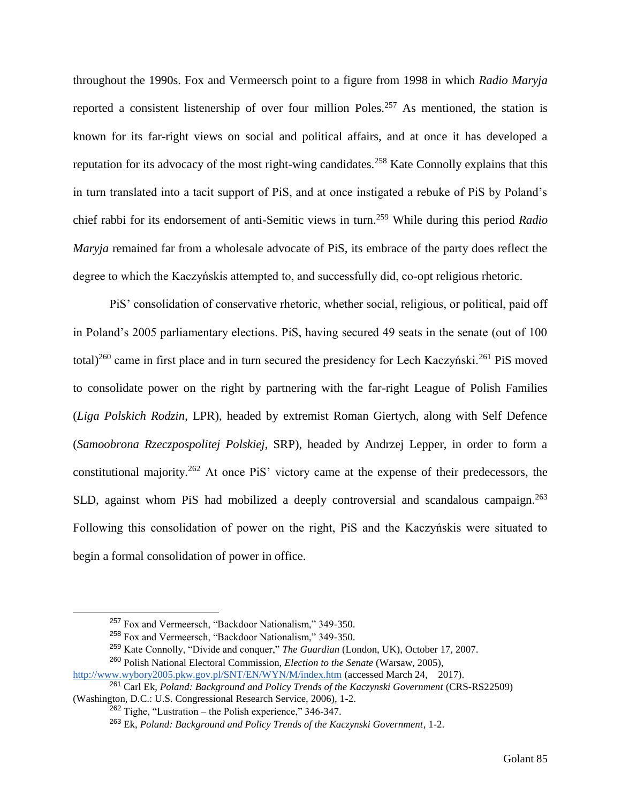throughout the 1990s. Fox and Vermeersch point to a figure from 1998 in which *Radio Maryja*  reported a consistent listenership of over four million Poles.<sup>257</sup> As mentioned, the station is known for its far-right views on social and political affairs, and at once it has developed a reputation for its advocacy of the most right-wing candidates.<sup>258</sup> Kate Connolly explains that this in turn translated into a tacit support of PiS, and at once instigated a rebuke of PiS by Poland's chief rabbi for its endorsement of anti-Semitic views in turn.<sup>259</sup> While during this period *Radio Maryja* remained far from a wholesale advocate of PiS, its embrace of the party does reflect the degree to which the Kaczyńskis attempted to, and successfully did, co-opt religious rhetoric.

PiS' consolidation of conservative rhetoric, whether social, religious, or political, paid off in Poland's 2005 parliamentary elections. PiS, having secured 49 seats in the senate (out of 100 total)<sup>260</sup> came in first place and in turn secured the presidency for Lech Kaczyński.<sup>261</sup> PiS moved to consolidate power on the right by partnering with the far-right League of Polish Families (*Liga Polskich Rodzin*, LPR), headed by extremist Roman Giertych, along with Self Defence (*Samoobrona Rzeczpospolitej Polskiej*, SRP), headed by Andrzej Lepper, in order to form a constitutional majority.<sup>262</sup> At once PiS' victory came at the expense of their predecessors, the SLD, against whom PiS had mobilized a deeply controversial and scandalous campaign.<sup>263</sup> Following this consolidation of power on the right, PiS and the Kaczyńskis were situated to begin a formal consolidation of power in office.

<sup>257</sup> Fox and Vermeersch, "Backdoor Nationalism," 349-350.

<sup>258</sup> Fox and Vermeersch, "Backdoor Nationalism," 349-350.

<sup>259</sup> Kate Connolly, "Divide and conquer," *The Guardian* (London, UK), October 17, 2007.

<sup>260</sup> Polish National Electoral Commission, *Election to the Senate* (Warsaw, 2005),

<http://www.wybory2005.pkw.gov.pl/SNT/EN/WYN/M/index.htm> (accessed March 24, 2017).

<sup>261</sup> Carl Ek, *Poland: Background and Policy Trends of the Kaczynski Government* (CRS-RS22509) (Washington, D.C.: U.S. Congressional Research Service, 2006), 1-2.

 $262$  Tighe, "Lustration – the Polish experience," 346-347.

<sup>263</sup> Ek, *Poland: Background and Policy Trends of the Kaczynski Government*, 1-2.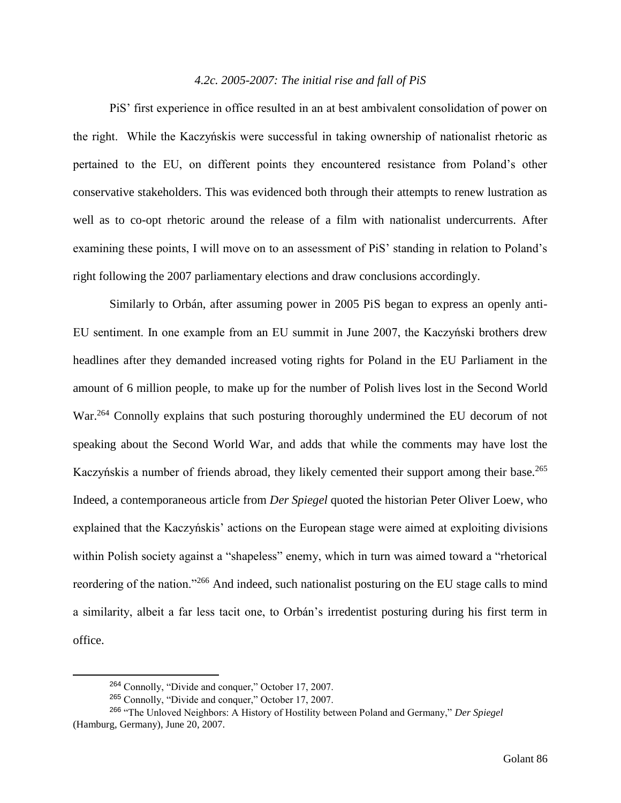## *4.2c. 2005-2007: The initial rise and fall of PiS*

PiS' first experience in office resulted in an at best ambivalent consolidation of power on the right. While the Kaczyńskis were successful in taking ownership of nationalist rhetoric as pertained to the EU, on different points they encountered resistance from Poland's other conservative stakeholders. This was evidenced both through their attempts to renew lustration as well as to co-opt rhetoric around the release of a film with nationalist undercurrents. After examining these points, I will move on to an assessment of PiS' standing in relation to Poland's right following the 2007 parliamentary elections and draw conclusions accordingly.

Similarly to Orbán, after assuming power in 2005 PiS began to express an openly anti-EU sentiment. In one example from an EU summit in June 2007, the Kaczyński brothers drew headlines after they demanded increased voting rights for Poland in the EU Parliament in the amount of 6 million people, to make up for the number of Polish lives lost in the Second World War.<sup>264</sup> Connolly explains that such posturing thoroughly undermined the EU decorum of not speaking about the Second World War, and adds that while the comments may have lost the Kaczyńskis a number of friends abroad, they likely cemented their support among their base.<sup>265</sup> Indeed, a contemporaneous article from *Der Spiegel* quoted the historian Peter Oliver Loew, who explained that the Kaczyńskis' actions on the European stage were aimed at exploiting divisions within Polish society against a "shapeless" enemy, which in turn was aimed toward a "rhetorical reordering of the nation."<sup>266</sup> And indeed, such nationalist posturing on the EU stage calls to mind a similarity, albeit a far less tacit one, to Orbán's irredentist posturing during his first term in office.

<sup>264</sup> Connolly, "Divide and conquer," October 17, 2007.

<sup>265</sup> Connolly, "Divide and conquer," October 17, 2007.

<sup>266</sup> "The Unloved Neighbors: A History of Hostility between Poland and Germany," *Der Spiegel* (Hamburg, Germany), June 20, 2007.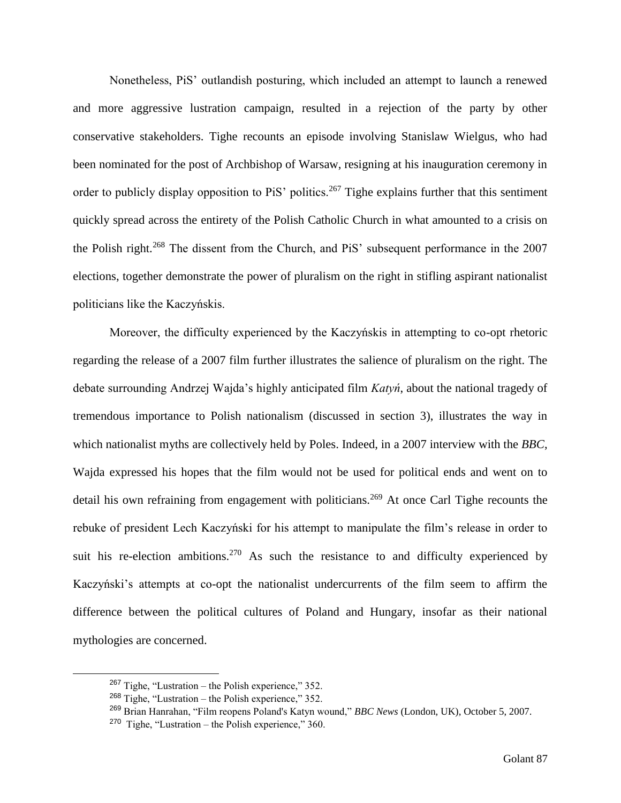Nonetheless, PiS' outlandish posturing, which included an attempt to launch a renewed and more aggressive lustration campaign, resulted in a rejection of the party by other conservative stakeholders. Tighe recounts an episode involving Stanislaw Wielgus, who had been nominated for the post of Archbishop of Warsaw, resigning at his inauguration ceremony in order to publicly display opposition to PiS' politics.<sup>267</sup> Tighe explains further that this sentiment quickly spread across the entirety of the Polish Catholic Church in what amounted to a crisis on the Polish right.<sup>268</sup> The dissent from the Church, and PiS' subsequent performance in the 2007 elections, together demonstrate the power of pluralism on the right in stifling aspirant nationalist politicians like the Kaczyńskis.

Moreover, the difficulty experienced by the Kaczyńskis in attempting to co-opt rhetoric regarding the release of a 2007 film further illustrates the salience of pluralism on the right. The debate surrounding Andrzej Wajda's highly anticipated film *Katyń*, about the national tragedy of tremendous importance to Polish nationalism (discussed in section 3), illustrates the way in which nationalist myths are collectively held by Poles. Indeed, in a 2007 interview with the *BBC*, Wajda expressed his hopes that the film would not be used for political ends and went on to detail his own refraining from engagement with politicians.<sup>269</sup> At once Carl Tighe recounts the rebuke of president Lech Kaczyński for his attempt to manipulate the film's release in order to suit his re-election ambitions.<sup>270</sup> As such the resistance to and difficulty experienced by Kaczyński's attempts at co-opt the nationalist undercurrents of the film seem to affirm the difference between the political cultures of Poland and Hungary, insofar as their national mythologies are concerned.

 $267$  Tighe, "Lustration – the Polish experience," 352.

<sup>268</sup> Tighe, "Lustration – the Polish experience," 352.

<sup>269</sup> Brian Hanrahan, "Film reopens Poland's Katyn wound," *BBC News* (London, UK), October 5, 2007.

 $270$  Tighe, "Lustration – the Polish experience," 360.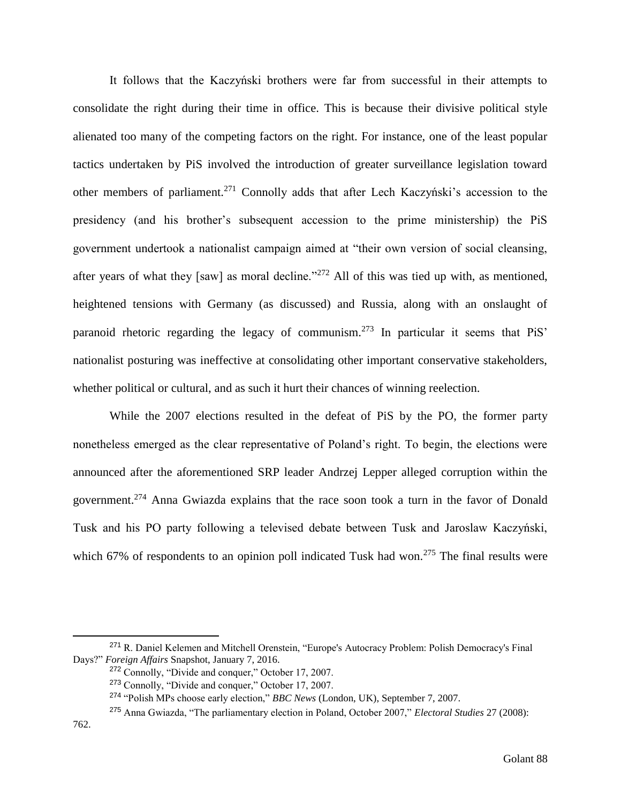It follows that the Kaczyński brothers were far from successful in their attempts to consolidate the right during their time in office. This is because their divisive political style alienated too many of the competing factors on the right. For instance, one of the least popular tactics undertaken by PiS involved the introduction of greater surveillance legislation toward other members of parliament.<sup>271</sup> Connolly adds that after Lech Kaczyński's accession to the presidency (and his brother's subsequent accession to the prime ministership) the PiS government undertook a nationalist campaign aimed at "their own version of social cleansing, after years of what they [saw] as moral decline."<sup>272</sup> All of this was tied up with, as mentioned, heightened tensions with Germany (as discussed) and Russia, along with an onslaught of paranoid rhetoric regarding the legacy of communism.<sup>273</sup> In particular it seems that PiS' nationalist posturing was ineffective at consolidating other important conservative stakeholders, whether political or cultural, and as such it hurt their chances of winning reelection.

While the 2007 elections resulted in the defeat of PiS by the PO, the former party nonetheless emerged as the clear representative of Poland's right. To begin, the elections were announced after the aforementioned SRP leader Andrzej Lepper alleged corruption within the government.<sup>274</sup> Anna Gwiazda explains that the race soon took a turn in the favor of Donald Tusk and his PO party following a televised debate between Tusk and Jaroslaw Kaczyński, which 67% of respondents to an opinion poll indicated Tusk had won.<sup>275</sup> The final results were

<sup>271</sup> R. Daniel Kelemen and Mitchell Orenstein, "Europe's Autocracy Problem: Polish Democracy's Final Days?" *Foreign Affairs* Snapshot, January 7, 2016.

<sup>272</sup> Connolly, "Divide and conquer," October 17, 2007.

<sup>273</sup> Connolly, "Divide and conquer," October 17, 2007.

<sup>274</sup> "Polish MPs choose early election," *BBC News* (London, UK), September 7, 2007.

<sup>275</sup> Anna Gwiazda, "The parliamentary election in Poland, October 2007," *Electoral Studies* 27 (2008):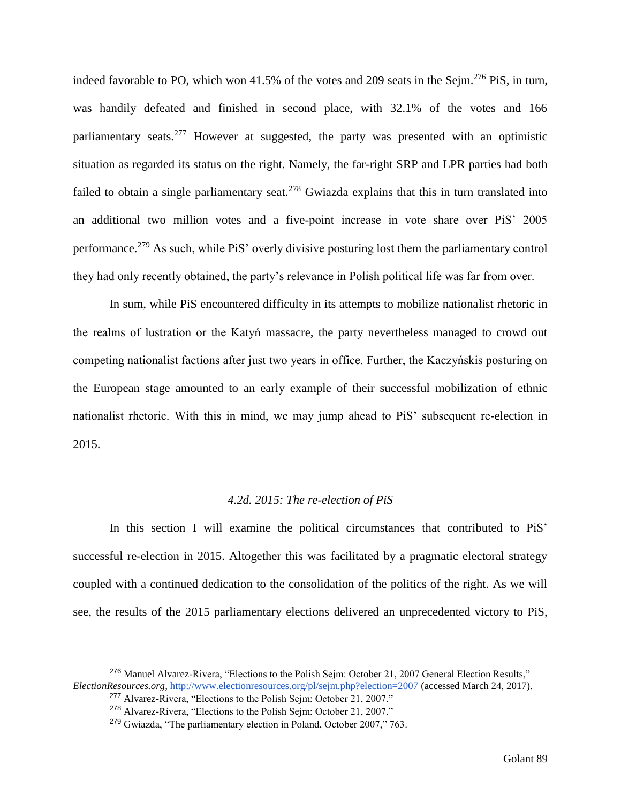indeed favorable to PO, which won  $41.5\%$  of the votes and 209 seats in the Sejm.<sup>276</sup> PiS, in turn, was handily defeated and finished in second place, with 32.1% of the votes and 166 parliamentary seats.<sup>277</sup> However at suggested, the party was presented with an optimistic situation as regarded its status on the right. Namely, the far-right SRP and LPR parties had both failed to obtain a single parliamentary seat.<sup>278</sup> Gwiazda explains that this in turn translated into an additional two million votes and a five-point increase in vote share over PiS' 2005 performance.<sup>279</sup> As such, while PiS' overly divisive posturing lost them the parliamentary control they had only recently obtained, the party's relevance in Polish political life was far from over.

In sum, while PiS encountered difficulty in its attempts to mobilize nationalist rhetoric in the realms of lustration or the Katyń massacre, the party nevertheless managed to crowd out competing nationalist factions after just two years in office. Further, the Kaczyńskis posturing on the European stage amounted to an early example of their successful mobilization of ethnic nationalist rhetoric. With this in mind, we may jump ahead to PiS' subsequent re-election in 2015.

#### *4.2d. 2015: The re-election of PiS*

In this section I will examine the political circumstances that contributed to PiS' successful re-election in 2015. Altogether this was facilitated by a pragmatic electoral strategy coupled with a continued dedication to the consolidation of the politics of the right. As we will see, the results of the 2015 parliamentary elections delivered an unprecedented victory to PiS,

<sup>276</sup> Manuel Alvarez-Rivera, "Elections to the Polish Sejm: October 21, 2007 General Election Results," *ElectionResources.org,* <http://www.electionresources.org/pl/sejm.php?election=2007> (accessed March 24, 2017). <sup>277</sup> Alvarez-Rivera, "Elections to the Polish Sejm: October 21, 2007."

<sup>278</sup> Alvarez-Rivera, "Elections to the Polish Sejm: October 21, 2007."

<sup>279</sup> Gwiazda, "The parliamentary election in Poland, October 2007," 763.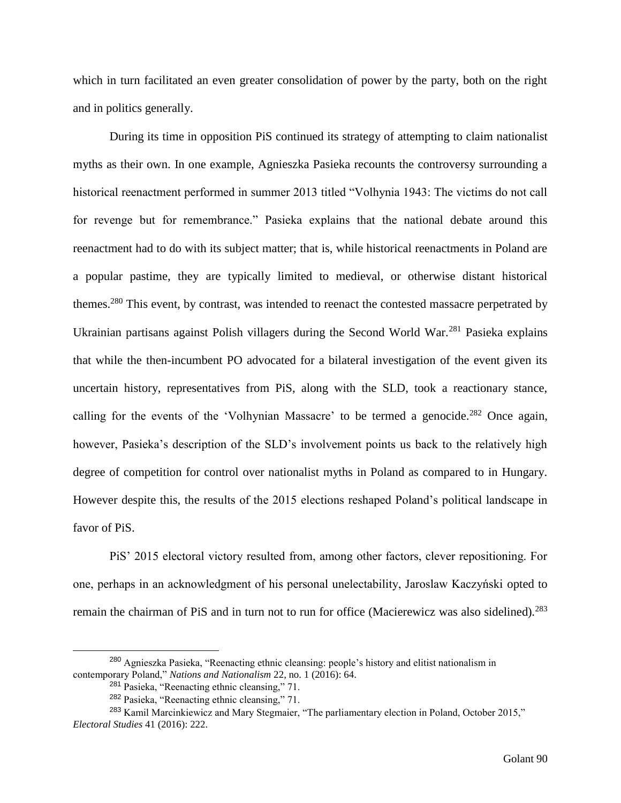which in turn facilitated an even greater consolidation of power by the party, both on the right and in politics generally.

During its time in opposition PiS continued its strategy of attempting to claim nationalist myths as their own. In one example, Agnieszka Pasieka recounts the controversy surrounding a historical reenactment performed in summer 2013 titled "Volhynia 1943: The victims do not call for revenge but for remembrance." Pasieka explains that the national debate around this reenactment had to do with its subject matter; that is, while historical reenactments in Poland are a popular pastime, they are typically limited to medieval, or otherwise distant historical themes.<sup>280</sup> This event, by contrast, was intended to reenact the contested massacre perpetrated by Ukrainian partisans against Polish villagers during the Second World War.<sup>281</sup> Pasieka explains that while the then-incumbent PO advocated for a bilateral investigation of the event given its uncertain history, representatives from PiS, along with the SLD, took a reactionary stance, calling for the events of the 'Volhynian Massacre' to be termed a genocide.<sup>282</sup> Once again, however, Pasieka's description of the SLD's involvement points us back to the relatively high degree of competition for control over nationalist myths in Poland as compared to in Hungary. However despite this, the results of the 2015 elections reshaped Poland's political landscape in favor of PiS.

PiS' 2015 electoral victory resulted from, among other factors, clever repositioning. For one, perhaps in an acknowledgment of his personal unelectability, Jaroslaw Kaczyński opted to remain the chairman of PiS and in turn not to run for office (Macierewicz was also sidelined).<sup>283</sup>

<sup>280</sup> Agnieszka Pasieka, "Reenacting ethnic cleansing: people's history and elitist nationalism in contemporary Poland," *Nations and Nationalism* 22, no. 1 (2016): 64.

<sup>281</sup> Pasieka, "Reenacting ethnic cleansing," 71.

<sup>282</sup> Pasieka, "Reenacting ethnic cleansing," 71.

<sup>283</sup> Kamil Marcinkiewicz and Mary Stegmaier, "The parliamentary election in Poland, October 2015," *Electoral Studies* 41 (2016): 222.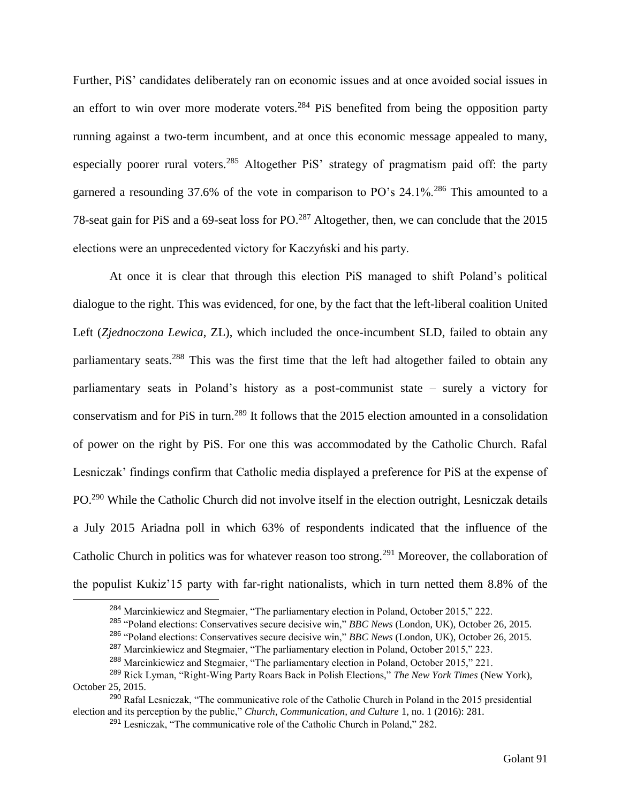Further, PiS' candidates deliberately ran on economic issues and at once avoided social issues in an effort to win over more moderate voters.<sup>284</sup> PiS benefited from being the opposition party running against a two-term incumbent, and at once this economic message appealed to many, especially poorer rural voters.<sup>285</sup> Altogether PiS' strategy of pragmatism paid off: the party garnered a resounding 37.6% of the vote in comparison to PO's 24.1%.<sup>286</sup> This amounted to a 78-seat gain for PiS and a 69-seat loss for PO.<sup>287</sup> Altogether, then, we can conclude that the 2015 elections were an unprecedented victory for Kaczyński and his party.

At once it is clear that through this election PiS managed to shift Poland's political dialogue to the right. This was evidenced, for one, by the fact that the left-liberal coalition United Left (*Zjednoczona Lewica*, ZL), which included the once-incumbent SLD, failed to obtain any parliamentary seats.<sup>288</sup> This was the first time that the left had altogether failed to obtain any parliamentary seats in Poland's history as a post-communist state – surely a victory for conservatism and for PiS in turn.<sup>289</sup> It follows that the 2015 election amounted in a consolidation of power on the right by PiS. For one this was accommodated by the Catholic Church. Rafal Lesniczak' findings confirm that Catholic media displayed a preference for PiS at the expense of PO.<sup>290</sup> While the Catholic Church did not involve itself in the election outright, Lesniczak details a July 2015 Ariadna poll in which 63% of respondents indicated that the influence of the Catholic Church in politics was for whatever reason too strong.<sup>291</sup> Moreover, the collaboration of the populist Kukiz'15 party with far-right nationalists, which in turn netted them 8.8% of the

<sup>&</sup>lt;sup>284</sup> Marcinkiewicz and Stegmaier, "The parliamentary election in Poland, October 2015," 222.

<sup>285</sup> "Poland elections: Conservatives secure decisive win," *BBC News* (London, UK), October 26, 2015.

<sup>286</sup> "Poland elections: Conservatives secure decisive win," *BBC News* (London, UK), October 26, 2015.

<sup>287</sup> Marcinkiewicz and Stegmaier, "The parliamentary election in Poland, October 2015," 223.

<sup>288</sup> Marcinkiewicz and Stegmaier, "The parliamentary election in Poland, October 2015," 221.

<sup>289</sup> Rick Lyman, "Right-Wing Party Roars Back in Polish Elections," *The New York Times* (New York), October 25, 2015.

<sup>290</sup> Rafal Lesniczak, "The communicative role of the Catholic Church in Poland in the 2015 presidential election and its perception by the public," *Church, Communication, and Culture* 1, no. 1 (2016): 281.

<sup>291</sup> Lesniczak, "The communicative role of the Catholic Church in Poland," 282.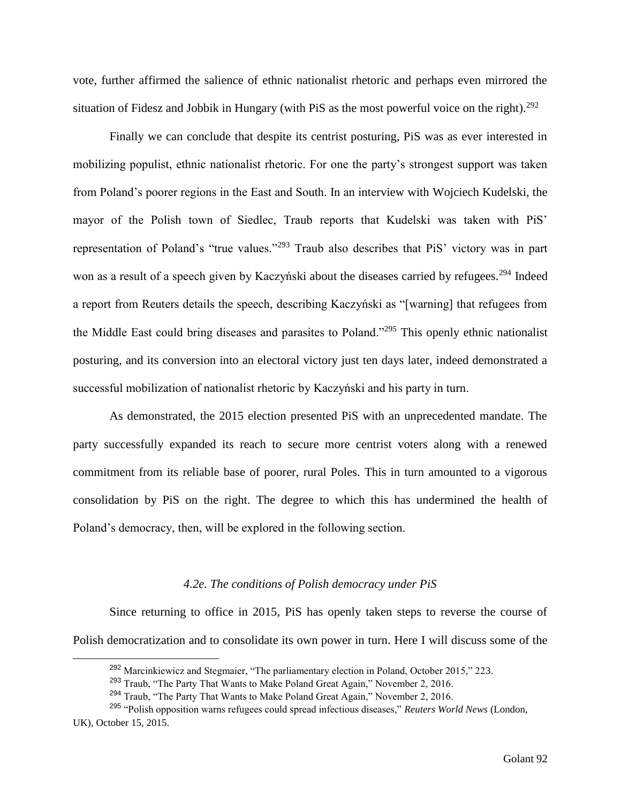vote, further affirmed the salience of ethnic nationalist rhetoric and perhaps even mirrored the situation of Fidesz and Jobbik in Hungary (with PiS as the most powerful voice on the right).<sup>292</sup>

Finally we can conclude that despite its centrist posturing, PiS was as ever interested in mobilizing populist, ethnic nationalist rhetoric. For one the party's strongest support was taken from Poland's poorer regions in the East and South. In an interview with Wojciech Kudelski, the mayor of the Polish town of Siedlec, Traub reports that Kudelski was taken with PiS' representation of Poland's "true values."<sup>293</sup> Traub also describes that PiS' victory was in part won as a result of a speech given by Kaczyński about the diseases carried by refugees.<sup>294</sup> Indeed a report from Reuters details the speech, describing Kaczyński as "[warning] that refugees from the Middle East could bring diseases and parasites to Poland."<sup>295</sup> This openly ethnic nationalist posturing, and its conversion into an electoral victory just ten days later, indeed demonstrated a successful mobilization of nationalist rhetoric by Kaczyński and his party in turn.

As demonstrated, the 2015 election presented PiS with an unprecedented mandate. The party successfully expanded its reach to secure more centrist voters along with a renewed commitment from its reliable base of poorer, rural Poles. This in turn amounted to a vigorous consolidation by PiS on the right. The degree to which this has undermined the health of Poland's democracy, then, will be explored in the following section.

# *4.2e. The conditions of Polish democracy under PiS*

Since returning to office in 2015, PiS has openly taken steps to reverse the course of Polish democratization and to consolidate its own power in turn. Here I will discuss some of the

<sup>&</sup>lt;sup>292</sup> Marcinkiewicz and Stegmaier, "The parliamentary election in Poland, October 2015," 223.

<sup>&</sup>lt;sup>293</sup> Traub, "The Party That Wants to Make Poland Great Again," November 2, 2016.

<sup>&</sup>lt;sup>294</sup> Traub. "The Party That Wants to Make Poland Great Again," November 2, 2016.

<sup>295</sup> "Polish opposition warns refugees could spread infectious diseases," *Reuters World News* (London, UK), October 15, 2015.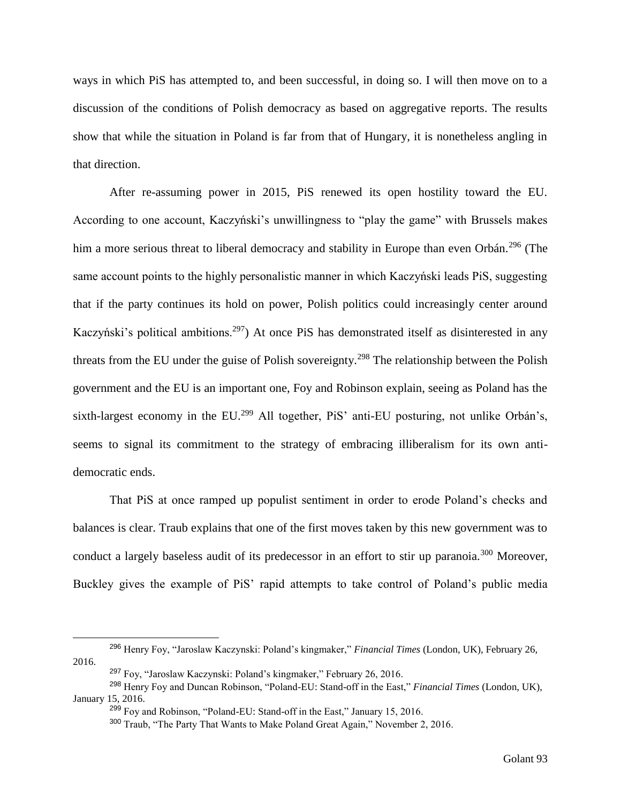ways in which PiS has attempted to, and been successful, in doing so. I will then move on to a discussion of the conditions of Polish democracy as based on aggregative reports. The results show that while the situation in Poland is far from that of Hungary, it is nonetheless angling in that direction.

After re-assuming power in 2015, PiS renewed its open hostility toward the EU. According to one account, Kaczyński's unwillingness to "play the game" with Brussels makes him a more serious threat to liberal democracy and stability in Europe than even Orbán.<sup>296</sup> (The same account points to the highly personalistic manner in which Kaczyński leads PiS, suggesting that if the party continues its hold on power, Polish politics could increasingly center around Kaczyński's political ambitions.<sup>297</sup>) At once PiS has demonstrated itself as disinterested in any threats from the EU under the guise of Polish sovereignty.<sup>298</sup> The relationship between the Polish government and the EU is an important one, Foy and Robinson explain, seeing as Poland has the sixth-largest economy in the EU.<sup>299</sup> All together, PiS' anti-EU posturing, not unlike Orbán's, seems to signal its commitment to the strategy of embracing illiberalism for its own antidemocratic ends.

That PiS at once ramped up populist sentiment in order to erode Poland's checks and balances is clear. Traub explains that one of the first moves taken by this new government was to conduct a largely baseless audit of its predecessor in an effort to stir up paranoia.<sup>300</sup> Moreover, Buckley gives the example of PiS' rapid attempts to take control of Poland's public media

<sup>296</sup> Henry Foy, "Jaroslaw Kaczynski: Poland's kingmaker," *Financial Times* (London, UK), February 26, 2016.

<sup>297</sup> Foy, "Jaroslaw Kaczynski: Poland's kingmaker," February 26, 2016.

<sup>298</sup> Henry Foy and Duncan Robinson, "Poland-EU: Stand-off in the East," *Financial Times* (London, UK), January 15, 2016.

<sup>299</sup> Foy and Robinson, "Poland-EU: Stand-off in the East," January 15, 2016.

<sup>300</sup> Traub, "The Party That Wants to Make Poland Great Again," November 2, 2016.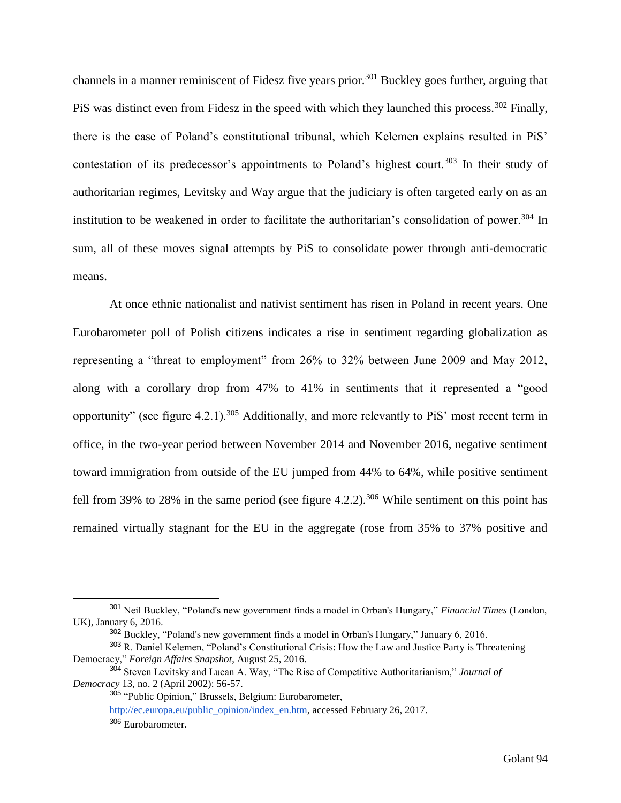channels in a manner reminiscent of Fidesz five years prior.<sup>301</sup> Buckley goes further, arguing that PiS was distinct even from Fidesz in the speed with which they launched this process.<sup>302</sup> Finally, there is the case of Poland's constitutional tribunal, which Kelemen explains resulted in PiS' contestation of its predecessor's appointments to Poland's highest court.<sup>303</sup> In their study of authoritarian regimes, Levitsky and Way argue that the judiciary is often targeted early on as an institution to be weakened in order to facilitate the authoritarian's consolidation of power.<sup>304</sup> In sum, all of these moves signal attempts by PiS to consolidate power through anti-democratic means.

At once ethnic nationalist and nativist sentiment has risen in Poland in recent years. One Eurobarometer poll of Polish citizens indicates a rise in sentiment regarding globalization as representing a "threat to employment" from 26% to 32% between June 2009 and May 2012, along with a corollary drop from 47% to 41% in sentiments that it represented a "good opportunity" (see figure 4.2.1).<sup>305</sup> Additionally, and more relevantly to PiS' most recent term in office, in the two-year period between November 2014 and November 2016, negative sentiment toward immigration from outside of the EU jumped from 44% to 64%, while positive sentiment fell from 39% to 28% in the same period (see figure 4.2.2).<sup>306</sup> While sentiment on this point has remained virtually stagnant for the EU in the aggregate (rose from 35% to 37% positive and

<sup>301</sup> Neil Buckley, "Poland's new government finds a model in Orban's Hungary," *Financial Times* (London, UK), January 6, 2016.

<sup>302</sup> Buckley, "Poland's new government finds a model in Orban's Hungary," January 6, 2016.

<sup>&</sup>lt;sup>303</sup> R. Daniel Kelemen, "Poland's Constitutional Crisis: How the Law and Justice Party is Threatening Democracy," *Foreign Affairs Snapshot*, August 25, 2016.

<sup>304</sup> Steven Levitsky and Lucan A. Way, "The Rise of Competitive Authoritarianism," *Journal of Democracy* 13, no. 2 (April 2002): 56-57.

<sup>305</sup> "Public Opinion," Brussels, Belgium: Eurobarometer,

[http://ec.europa.eu/public\\_opinion/index\\_en.htm,](http://ec.europa.eu/public_opinion/index_en.htm) accessed February 26, 2017.

<sup>306</sup> Eurobarometer.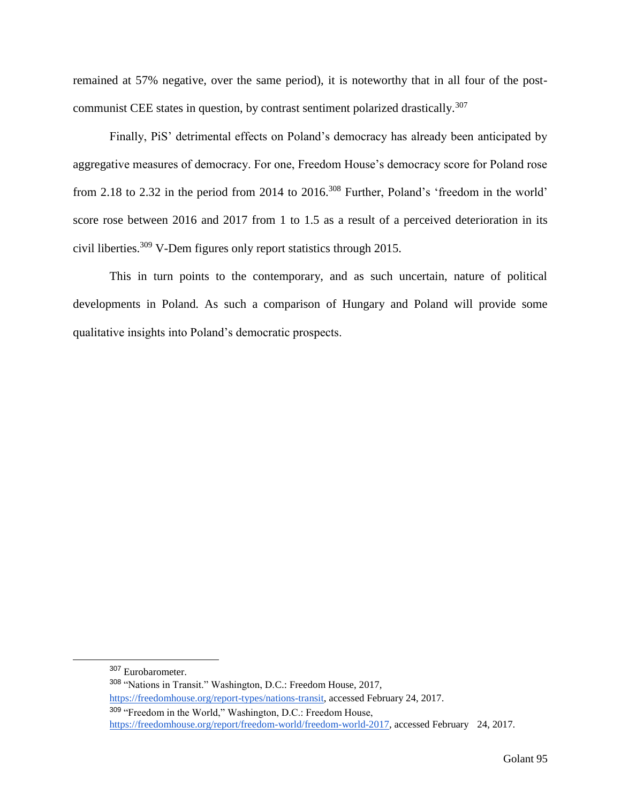remained at 57% negative, over the same period), it is noteworthy that in all four of the postcommunist CEE states in question, by contrast sentiment polarized drastically.<sup>307</sup>

Finally, PiS' detrimental effects on Poland's democracy has already been anticipated by aggregative measures of democracy. For one, Freedom House's democracy score for Poland rose from 2.18 to 2.32 in the period from 2014 to 2016.<sup>308</sup> Further, Poland's 'freedom in the world' score rose between 2016 and 2017 from 1 to 1.5 as a result of a perceived deterioration in its civil liberties.<sup>309</sup> V-Dem figures only report statistics through 2015.

This in turn points to the contemporary, and as such uncertain, nature of political developments in Poland. As such a comparison of Hungary and Poland will provide some qualitative insights into Poland's democratic prospects.

<sup>307</sup> Eurobarometer.

<sup>308</sup> "Nations in Transit." Washington, D.C.: Freedom House, 2017,

[https://freedomhouse.org/report-types/nations-transit,](https://freedomhouse.org/report-types/nations-transit) accessed February 24, 2017.

<sup>309</sup> "Freedom in the World," Washington, D.C.: Freedom House, [https://freedomhouse.org/report/freedom-world/freedom-world-2017,](https://freedomhouse.org/report/freedom-world/freedom-world-2017) accessed February 24, 2017.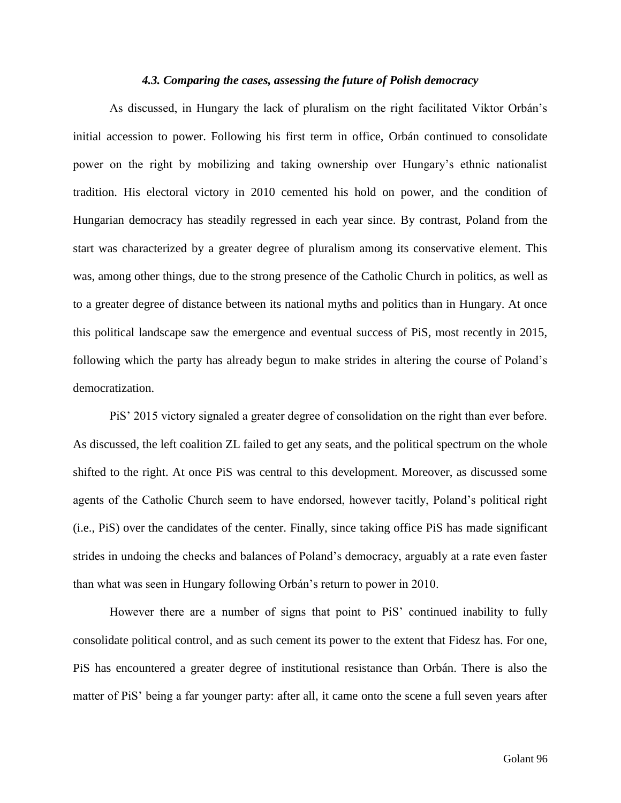#### *4.3. Comparing the cases, assessing the future of Polish democracy*

As discussed, in Hungary the lack of pluralism on the right facilitated Viktor Orbán's initial accession to power. Following his first term in office, Orbán continued to consolidate power on the right by mobilizing and taking ownership over Hungary's ethnic nationalist tradition. His electoral victory in 2010 cemented his hold on power, and the condition of Hungarian democracy has steadily regressed in each year since. By contrast, Poland from the start was characterized by a greater degree of pluralism among its conservative element. This was, among other things, due to the strong presence of the Catholic Church in politics, as well as to a greater degree of distance between its national myths and politics than in Hungary. At once this political landscape saw the emergence and eventual success of PiS, most recently in 2015, following which the party has already begun to make strides in altering the course of Poland's democratization.

PiS' 2015 victory signaled a greater degree of consolidation on the right than ever before. As discussed, the left coalition ZL failed to get any seats, and the political spectrum on the whole shifted to the right. At once PiS was central to this development. Moreover, as discussed some agents of the Catholic Church seem to have endorsed, however tacitly, Poland's political right (i.e., PiS) over the candidates of the center. Finally, since taking office PiS has made significant strides in undoing the checks and balances of Poland's democracy, arguably at a rate even faster than what was seen in Hungary following Orbán's return to power in 2010.

However there are a number of signs that point to PiS' continued inability to fully consolidate political control, and as such cement its power to the extent that Fidesz has. For one, PiS has encountered a greater degree of institutional resistance than Orbán. There is also the matter of PiS' being a far younger party: after all, it came onto the scene a full seven years after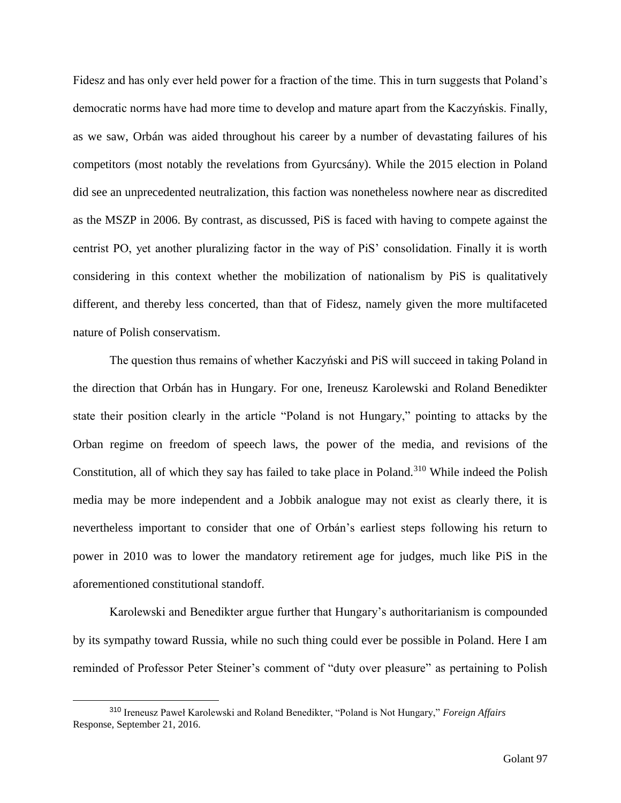Fidesz and has only ever held power for a fraction of the time. This in turn suggests that Poland's democratic norms have had more time to develop and mature apart from the Kaczyńskis. Finally, as we saw, Orbán was aided throughout his career by a number of devastating failures of his competitors (most notably the revelations from Gyurcsány). While the 2015 election in Poland did see an unprecedented neutralization, this faction was nonetheless nowhere near as discredited as the MSZP in 2006. By contrast, as discussed, PiS is faced with having to compete against the centrist PO, yet another pluralizing factor in the way of PiS' consolidation. Finally it is worth considering in this context whether the mobilization of nationalism by PiS is qualitatively different, and thereby less concerted, than that of Fidesz, namely given the more multifaceted nature of Polish conservatism.

The question thus remains of whether Kaczyński and PiS will succeed in taking Poland in the direction that Orbán has in Hungary. For one, Ireneusz Karolewski and Roland Benedikter state their position clearly in the article "Poland is not Hungary," pointing to attacks by the Orban regime on freedom of speech laws, the power of the media, and revisions of the Constitution, all of which they say has failed to take place in Poland.<sup>310</sup> While indeed the Polish media may be more independent and a Jobbik analogue may not exist as clearly there, it is nevertheless important to consider that one of Orbán's earliest steps following his return to power in 2010 was to lower the mandatory retirement age for judges, much like PiS in the aforementioned constitutional standoff.

Karolewski and Benedikter argue further that Hungary's authoritarianism is compounded by its sympathy toward Russia, while no such thing could ever be possible in Poland. Here I am reminded of Professor Peter Steiner's comment of "duty over pleasure" as pertaining to Polish

<sup>310</sup> Ireneusz Paweł Karolewski and Roland Benedikter, "Poland is Not Hungary," *Foreign Affairs*  Response, September 21, 2016.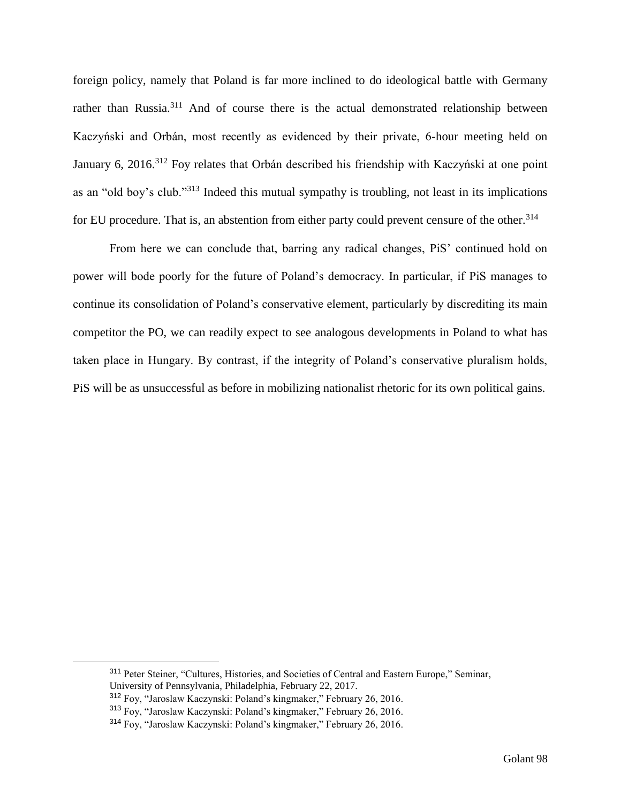foreign policy, namely that Poland is far more inclined to do ideological battle with Germany rather than Russia.<sup>311</sup> And of course there is the actual demonstrated relationship between Kaczyński and Orbán, most recently as evidenced by their private, 6-hour meeting held on January 6, 2016.<sup>312</sup> Foy relates that Orbán described his friendship with Kaczyński at one point as an "old boy's club."<sup>313</sup> Indeed this mutual sympathy is troubling, not least in its implications for EU procedure. That is, an abstention from either party could prevent censure of the other.<sup>314</sup>

From here we can conclude that, barring any radical changes, PiS' continued hold on power will bode poorly for the future of Poland's democracy. In particular, if PiS manages to continue its consolidation of Poland's conservative element, particularly by discrediting its main competitor the PO, we can readily expect to see analogous developments in Poland to what has taken place in Hungary. By contrast, if the integrity of Poland's conservative pluralism holds, PiS will be as unsuccessful as before in mobilizing nationalist rhetoric for its own political gains.

<sup>311</sup> Peter Steiner, "Cultures, Histories, and Societies of Central and Eastern Europe," Seminar, University of Pennsylvania, Philadelphia, February 22, 2017.

<sup>312</sup> Foy, "Jaroslaw Kaczynski: Poland's kingmaker," February 26, 2016.

<sup>313</sup> Foy, "Jaroslaw Kaczynski: Poland's kingmaker," February 26, 2016.

<sup>314</sup> Foy, "Jaroslaw Kaczynski: Poland's kingmaker," February 26, 2016.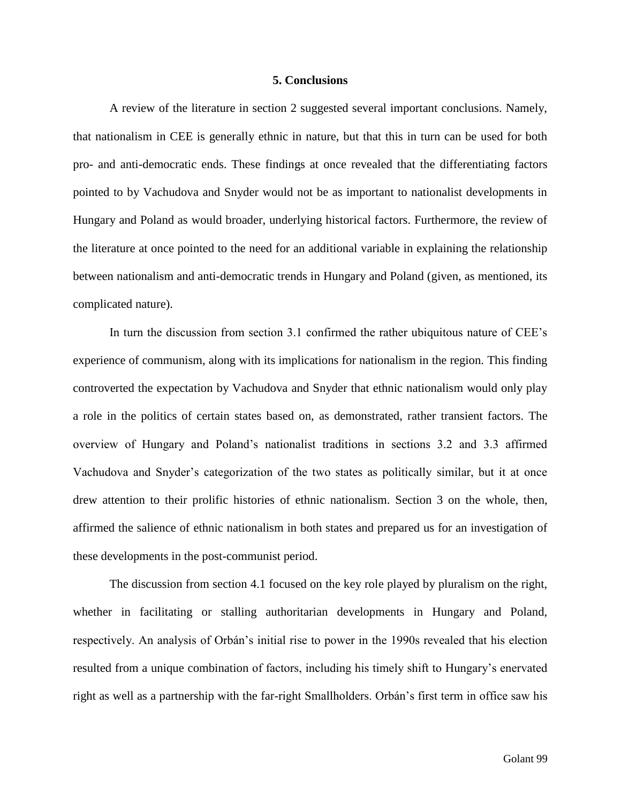#### **5. Conclusions**

A review of the literature in section 2 suggested several important conclusions. Namely, that nationalism in CEE is generally ethnic in nature, but that this in turn can be used for both pro- and anti-democratic ends. These findings at once revealed that the differentiating factors pointed to by Vachudova and Snyder would not be as important to nationalist developments in Hungary and Poland as would broader, underlying historical factors. Furthermore, the review of the literature at once pointed to the need for an additional variable in explaining the relationship between nationalism and anti-democratic trends in Hungary and Poland (given, as mentioned, its complicated nature).

In turn the discussion from section 3.1 confirmed the rather ubiquitous nature of CEE's experience of communism, along with its implications for nationalism in the region. This finding controverted the expectation by Vachudova and Snyder that ethnic nationalism would only play a role in the politics of certain states based on, as demonstrated, rather transient factors. The overview of Hungary and Poland's nationalist traditions in sections 3.2 and 3.3 affirmed Vachudova and Snyder's categorization of the two states as politically similar, but it at once drew attention to their prolific histories of ethnic nationalism. Section 3 on the whole, then, affirmed the salience of ethnic nationalism in both states and prepared us for an investigation of these developments in the post-communist period.

The discussion from section 4.1 focused on the key role played by pluralism on the right, whether in facilitating or stalling authoritarian developments in Hungary and Poland, respectively. An analysis of Orbán's initial rise to power in the 1990s revealed that his election resulted from a unique combination of factors, including his timely shift to Hungary's enervated right as well as a partnership with the far-right Smallholders. Orbán's first term in office saw his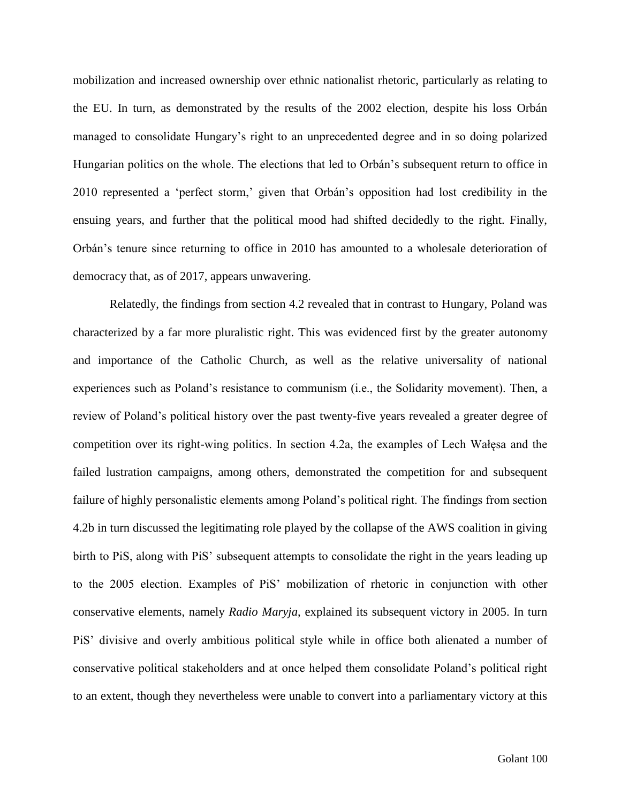mobilization and increased ownership over ethnic nationalist rhetoric, particularly as relating to the EU. In turn, as demonstrated by the results of the 2002 election, despite his loss Orbán managed to consolidate Hungary's right to an unprecedented degree and in so doing polarized Hungarian politics on the whole. The elections that led to Orbán's subsequent return to office in 2010 represented a 'perfect storm,' given that Orbán's opposition had lost credibility in the ensuing years, and further that the political mood had shifted decidedly to the right. Finally, Orbán's tenure since returning to office in 2010 has amounted to a wholesale deterioration of democracy that, as of 2017, appears unwavering.

Relatedly, the findings from section 4.2 revealed that in contrast to Hungary, Poland was characterized by a far more pluralistic right. This was evidenced first by the greater autonomy and importance of the Catholic Church, as well as the relative universality of national experiences such as Poland's resistance to communism (i.e., the Solidarity movement). Then, a review of Poland's political history over the past twenty-five years revealed a greater degree of competition over its right-wing politics. In section 4.2a, the examples of Lech Wałęsa and the failed lustration campaigns, among others, demonstrated the competition for and subsequent failure of highly personalistic elements among Poland's political right. The findings from section 4.2b in turn discussed the legitimating role played by the collapse of the AWS coalition in giving birth to PiS, along with PiS' subsequent attempts to consolidate the right in the years leading up to the 2005 election. Examples of PiS' mobilization of rhetoric in conjunction with other conservative elements, namely *Radio Maryja*, explained its subsequent victory in 2005. In turn PiS' divisive and overly ambitious political style while in office both alienated a number of conservative political stakeholders and at once helped them consolidate Poland's political right to an extent, though they nevertheless were unable to convert into a parliamentary victory at this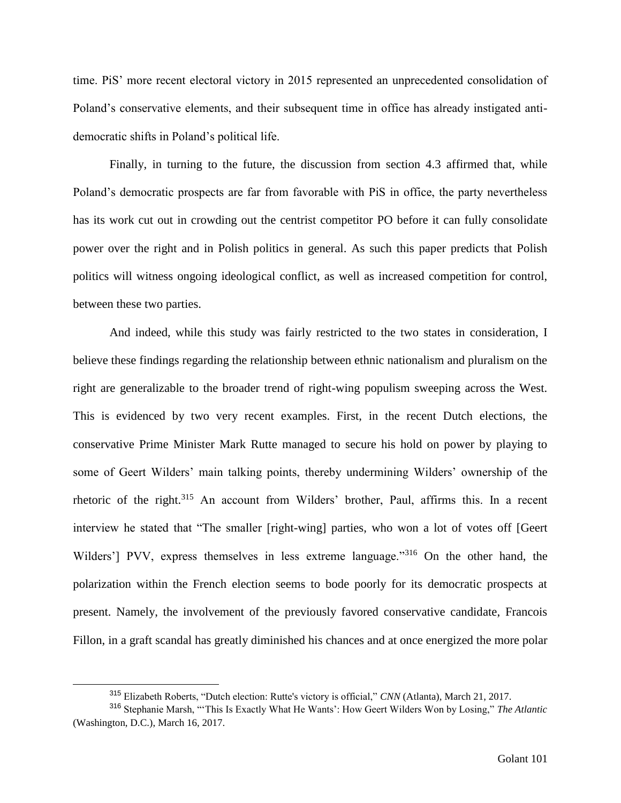time. PiS' more recent electoral victory in 2015 represented an unprecedented consolidation of Poland's conservative elements, and their subsequent time in office has already instigated antidemocratic shifts in Poland's political life.

Finally, in turning to the future, the discussion from section 4.3 affirmed that, while Poland's democratic prospects are far from favorable with PiS in office, the party nevertheless has its work cut out in crowding out the centrist competitor PO before it can fully consolidate power over the right and in Polish politics in general. As such this paper predicts that Polish politics will witness ongoing ideological conflict, as well as increased competition for control, between these two parties.

And indeed, while this study was fairly restricted to the two states in consideration, I believe these findings regarding the relationship between ethnic nationalism and pluralism on the right are generalizable to the broader trend of right-wing populism sweeping across the West. This is evidenced by two very recent examples. First, in the recent Dutch elections, the conservative Prime Minister Mark Rutte managed to secure his hold on power by playing to some of Geert Wilders' main talking points, thereby undermining Wilders' ownership of the rhetoric of the right.<sup>315</sup> An account from Wilders' brother, Paul, affirms this. In a recent interview he stated that "The smaller [right-wing] parties, who won a lot of votes off [Geert Wilders'] PVV, express themselves in less extreme language."<sup>316</sup> On the other hand, the polarization within the French election seems to bode poorly for its democratic prospects at present. Namely, the involvement of the previously favored conservative candidate, Francois Fillon, in a graft scandal has greatly diminished his chances and at once energized the more polar

<sup>315</sup> Elizabeth Roberts, "Dutch election: Rutte's victory is official," *CNN* (Atlanta), March 21, 2017.

<sup>316</sup> Stephanie Marsh, "'This Is Exactly What He Wants': How Geert Wilders Won by Losing," *The Atlantic* (Washington, D.C.), March 16, 2017.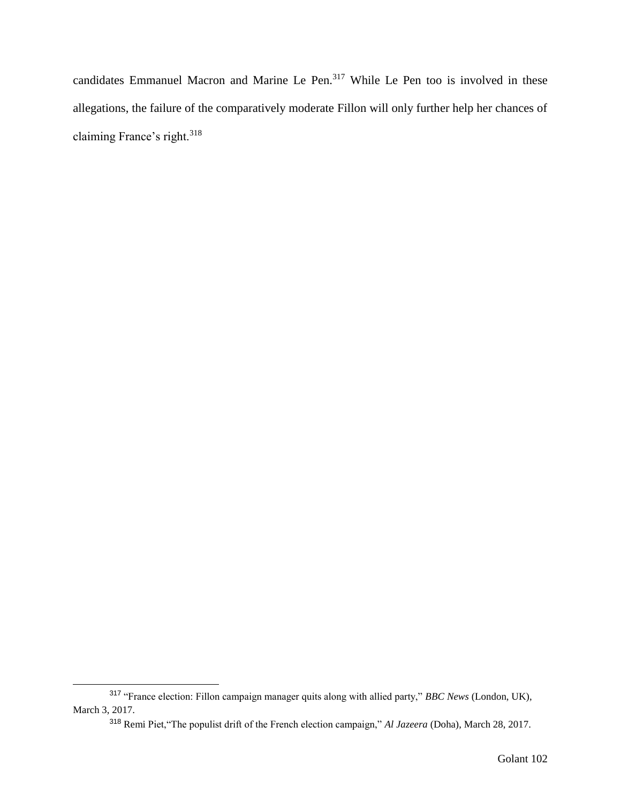candidates Emmanuel Macron and Marine Le Pen.<sup>317</sup> While Le Pen too is involved in these allegations, the failure of the comparatively moderate Fillon will only further help her chances of claiming France's right.<sup>318</sup>

<sup>317</sup> "France election: Fillon campaign manager quits along with allied party," *BBC News* (London, UK), March 3, 2017.

<sup>318</sup> Remi Piet,"The populist drift of the French election campaign," *Al Jazeera* (Doha), March 28, 2017.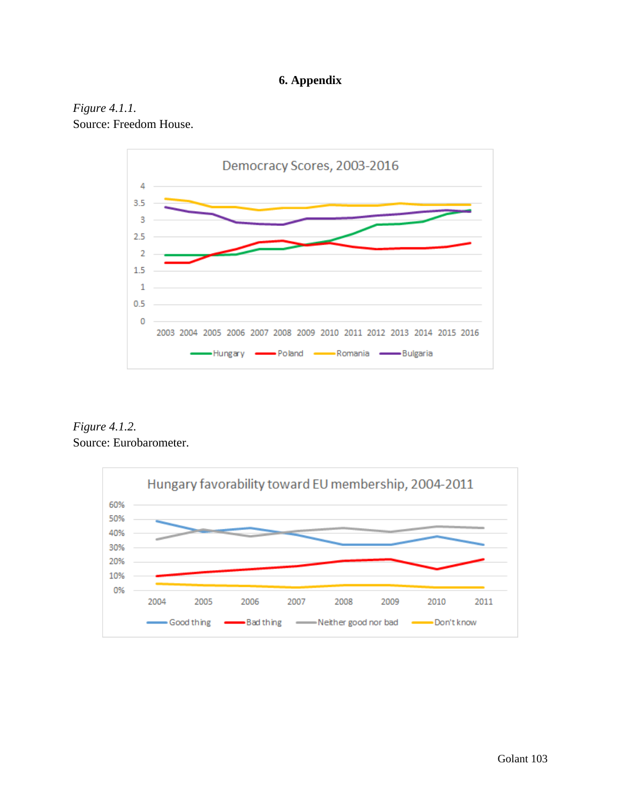# **6. Appendix**





*Figure 4.1.2.* Source: Eurobarometer.

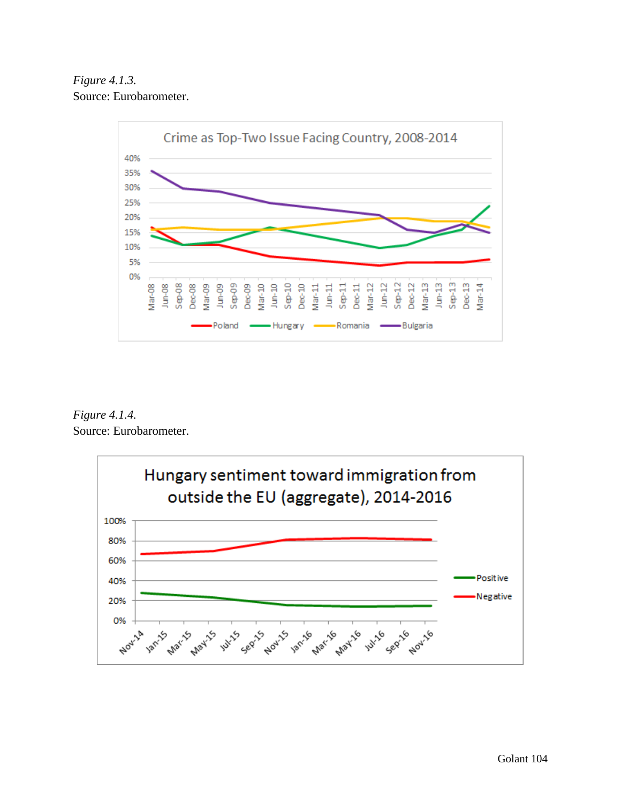*Figure 4.1.3.* Source: Eurobarometer.



*Figure 4.1.4.* Source: Eurobarometer.

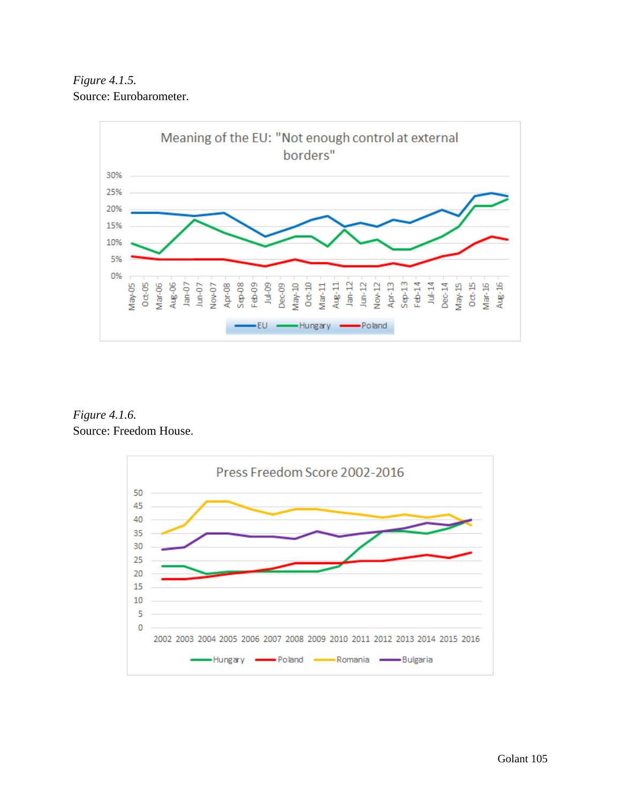*Figure 4.1.5.* Source: Eurobarometer.



*Figure 4.1.6.* Source: Freedom House.

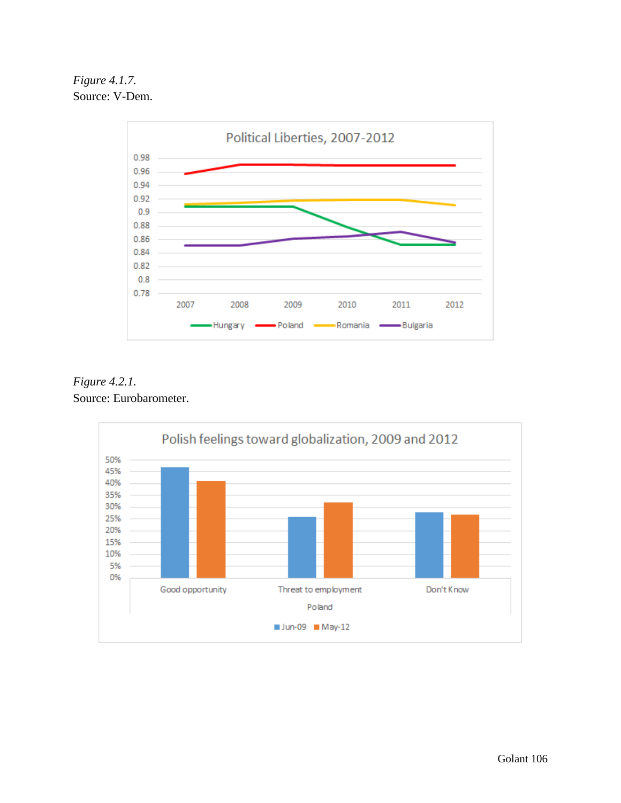*Figure 4.1.7.* Source: V-Dem.



*Figure 4.2.1.* Source: Eurobarometer.

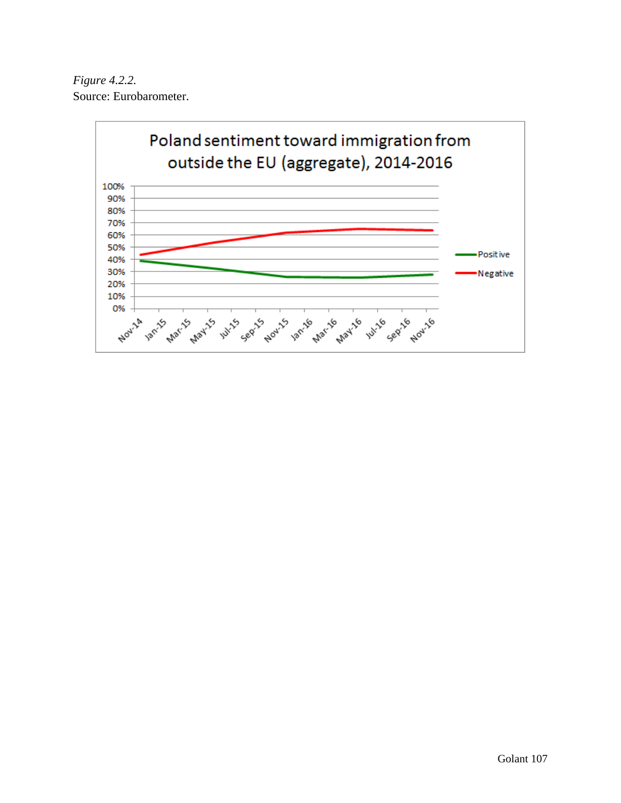*Figure 4.2.2.* Source: Eurobarometer.

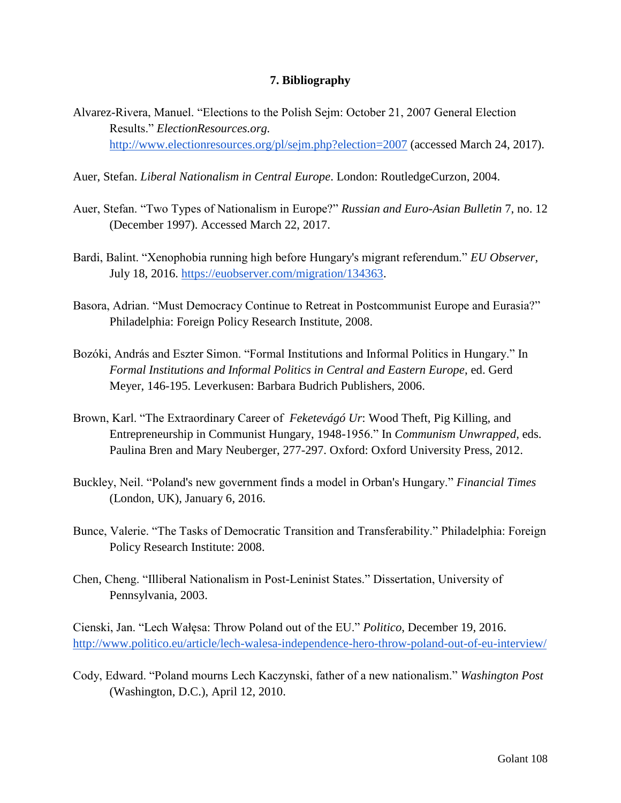## **7. Bibliography**

- Alvarez-Rivera, Manuel. "Elections to the Polish Sejm: October 21, 2007 General Election Results." *ElectionResources.org.* <http://www.electionresources.org/pl/sejm.php?election=2007> (accessed March 24, 2017).
- Auer, Stefan. *Liberal Nationalism in Central Europe*. London: RoutledgeCurzon, 2004.
- Auer, Stefan. "Two Types of Nationalism in Europe?" *Russian and Euro-Asian Bulletin* 7, no. 12 (December 1997). Accessed March 22, 2017.
- Bardi, Balint. "Xenophobia running high before Hungary's migrant referendum." *EU Observer*, July 18, 2016. [https://euobserver.com/migration/134363.](https://euobserver.com/migration/134363)
- Basora, Adrian. "Must Democracy Continue to Retreat in Postcommunist Europe and Eurasia?" Philadelphia: Foreign Policy Research Institute, 2008.
- Bozóki, András and Eszter Simon. "Formal Institutions and Informal Politics in Hungary." In *Formal Institutions and Informal Politics in Central and Eastern Europe*, ed. Gerd Meyer, 146-195. Leverkusen: Barbara Budrich Publishers, 2006.
- Brown, Karl. "The Extraordinary Career of *Feketevágó Ur*: Wood Theft, Pig Killing, and Entrepreneurship in Communist Hungary, 1948-1956." In *Communism Unwrapped*, eds. Paulina Bren and Mary Neuberger, 277-297. Oxford: Oxford University Press, 2012.
- Buckley, Neil. "Poland's new government finds a model in Orban's Hungary." *Financial Times* (London, UK), January 6, 2016.
- Bunce, Valerie. "The Tasks of Democratic Transition and Transferability." Philadelphia: Foreign Policy Research Institute: 2008.
- Chen, Cheng. "Illiberal Nationalism in Post-Leninist States." Dissertation, University of Pennsylvania, 2003.

Cienski, Jan. "Lech Wałęsa: Throw Poland out of the EU." *Politico*, December 19, 2016. <http://www.politico.eu/article/lech-walesa-independence-hero-throw-poland-out-of-eu-interview/>

Cody, Edward. "Poland mourns Lech Kaczynski, father of a new nationalism." *Washington Post* (Washington, D.C.), April 12, 2010.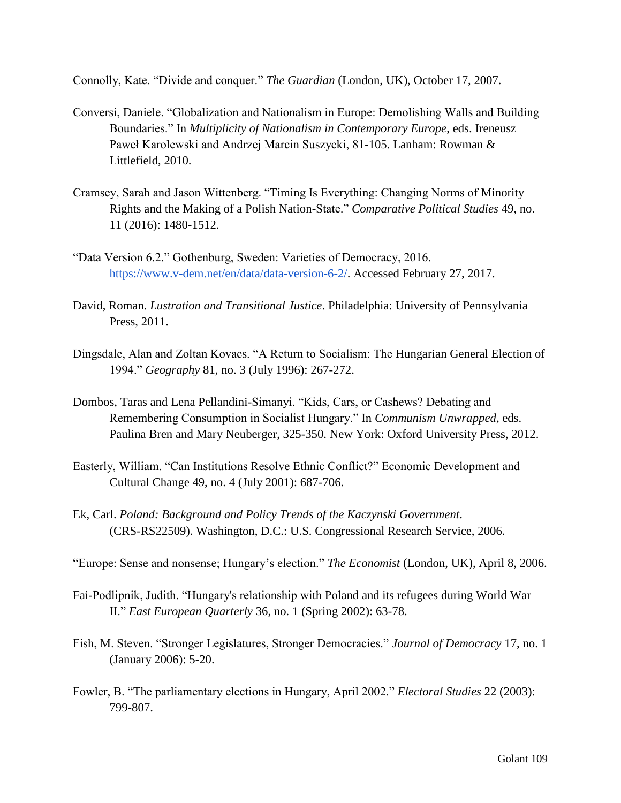Connolly, Kate. "Divide and conquer." *The Guardian* (London, UK), October 17, 2007.

- Conversi, Daniele. "Globalization and Nationalism in Europe: Demolishing Walls and Building Boundaries." In *Multiplicity of Nationalism in Contemporary Europe*, eds. Ireneusz Paweł Karolewski and Andrzej Marcin Suszycki, 81-105. Lanham: Rowman & Littlefield, 2010.
- Cramsey, Sarah and Jason Wittenberg. "Timing Is Everything: Changing Norms of Minority Rights and the Making of a Polish Nation-State." *Comparative Political Studies* 49, no. 11 (2016): 1480-1512.
- "Data Version 6.2." Gothenburg, Sweden: Varieties of Democracy, 2016. [https://www.v-dem.net/en/data/data-version-6-2/.](https://www.v-dem.net/en/data/data-version-6-2/) Accessed February 27, 2017.
- David, Roman. *Lustration and Transitional Justice*. Philadelphia: University of Pennsylvania Press, 2011.
- Dingsdale, Alan and Zoltan Kovacs. "A Return to Socialism: The Hungarian General Election of 1994." *Geography* 81, no. 3 (July 1996): 267-272.
- Dombos, Taras and Lena Pellandini-Simanyi. "Kids, Cars, or Cashews? Debating and Remembering Consumption in Socialist Hungary." In *Communism Unwrapped*, eds. Paulina Bren and Mary Neuberger, 325-350. New York: Oxford University Press, 2012.
- Easterly, William. "Can Institutions Resolve Ethnic Conflict?" Economic Development and Cultural Change 49, no. 4 (July 2001): 687-706.
- Ek, Carl. *Poland: Background and Policy Trends of the Kaczynski Government*. (CRS-RS22509). Washington, D.C.: U.S. Congressional Research Service, 2006.

"Europe: Sense and nonsense; Hungary's election." *The Economist* (London, UK), April 8, 2006.

- Fai-Podlipnik, Judith. "Hungary's relationship with Poland and its refugees during World War II." *East European Quarterly* 36, no. 1 (Spring 2002): 63-78.
- Fish, M. Steven. "Stronger Legislatures, Stronger Democracies." *Journal of Democracy* 17, no. 1 (January 2006): 5-20.
- Fowler, B. "The parliamentary elections in Hungary, April 2002." *Electoral Studies* 22 (2003): 799-807.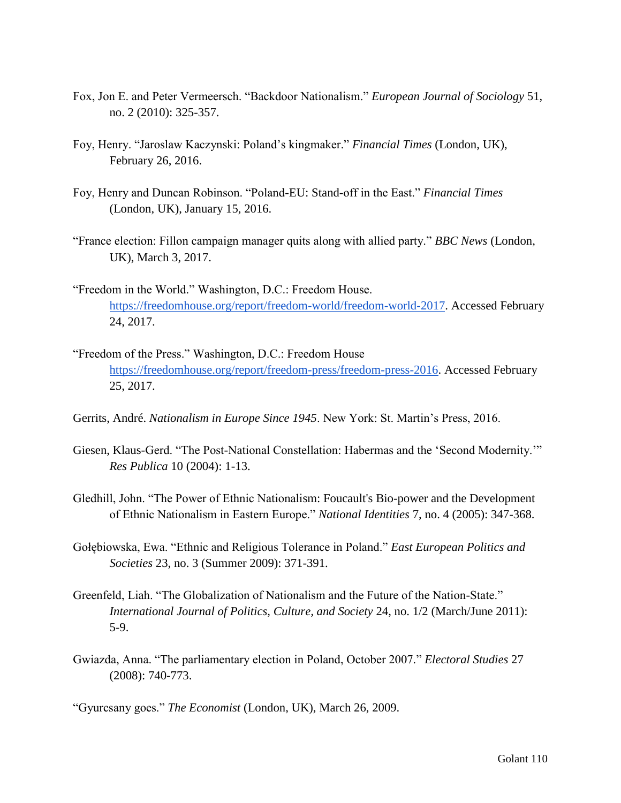- Fox, Jon E. and Peter Vermeersch. "Backdoor Nationalism." *European Journal of Sociology* 51, no. 2 (2010): 325-357.
- Foy, Henry. "Jaroslaw Kaczynski: Poland's kingmaker." *Financial Times* (London, UK), February 26, 2016.
- Foy, Henry and Duncan Robinson. "Poland-EU: Stand-off in the East." *Financial Times* (London, UK), January 15, 2016.
- "France election: Fillon campaign manager quits along with allied party." *BBC News* (London, UK), March 3, 2017.
- "Freedom in the World." Washington, D.C.: Freedom House. [https://freedomhouse.org/report/freedom-world/freedom-world-2017.](https://freedomhouse.org/report/freedom-world/freedom-world-2017) Accessed February 24, 2017.
- "Freedom of the Press." Washington, D.C.: Freedom House [https://freedomhouse.org/report/freedom-press/freedom-press-2016.](https://freedomhouse.org/report/freedom-press/freedom-press-2016) Accessed February 25, 2017.
- Gerrits, André. *Nationalism in Europe Since 1945*. New York: St. Martin's Press, 2016.
- Giesen, Klaus-Gerd. "The Post-National Constellation: Habermas and the 'Second Modernity.'" *Res Publica* 10 (2004): 1-13.
- Gledhill, John. "The Power of Ethnic Nationalism: Foucault's Bio-power and the Development of Ethnic Nationalism in Eastern Europe." *National Identities* 7, no. 4 (2005): 347-368.
- Gołębiowska, Ewa. "Ethnic and Religious Tolerance in Poland." *East European Politics and Societies* 23, no. 3 (Summer 2009): 371-391.
- Greenfeld, Liah. "The Globalization of Nationalism and the Future of the Nation-State." *International Journal of Politics, Culture, and Society* 24, no. 1/2 (March/June 2011): 5-9.
- Gwiazda, Anna. "The parliamentary election in Poland, October 2007." *Electoral Studies* 27 (2008): 740-773.

"Gyurcsany goes." *The Economist* (London, UK), March 26, 2009.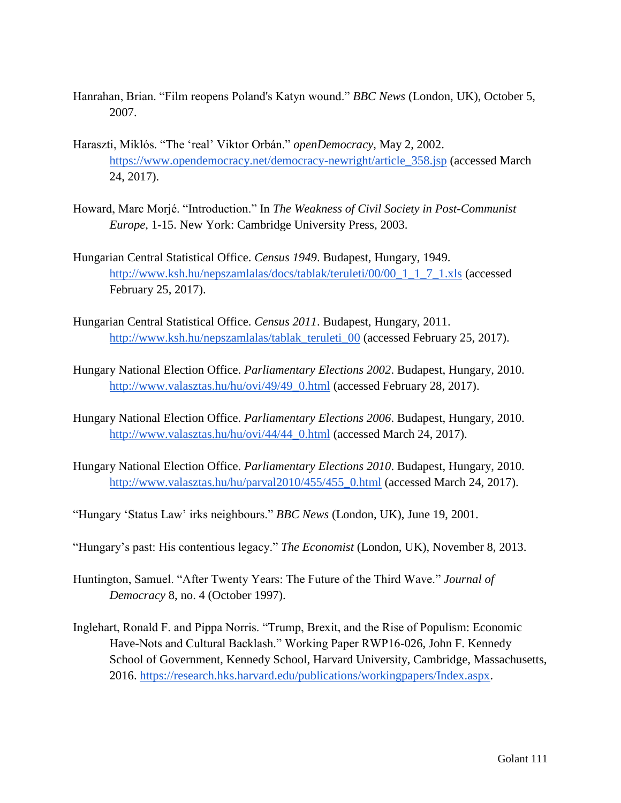- Hanrahan, Brian. "Film reopens Poland's Katyn wound." *BBC News* (London, UK), October 5, 2007.
- Haraszti, Miklós. "The 'real' Viktor Orbán." *openDemocracy*, May 2, 2002. [https://www.opendemocracy.net/democracy-newright/article\\_358.jsp](https://www.opendemocracy.net/democracy-newright/article_358.jsp) (accessed March 24, 2017).
- Howard, Marc Morjé. "Introduction." In *The Weakness of Civil Society in Post-Communist Europe*, 1-15. New York: Cambridge University Press, 2003.
- Hungarian Central Statistical Office. *Census 1949*. Budapest, Hungary, 1949. [http://www.ksh.hu/nepszamlalas/docs/tablak/teruleti/00/00\\_1\\_1\\_7\\_1.xls](http://www.ksh.hu/nepszamlalas/docs/tablak/teruleti/00/00_1_1_7_1.xls) (accessed February 25, 2017).
- Hungarian Central Statistical Office. *Census 2011*. Budapest, Hungary, 2011. [http://www.ksh.hu/nepszamlalas/tablak\\_teruleti\\_00](http://www.ksh.hu/nepszamlalas/tablak_teruleti_00) (accessed February 25, 2017).
- Hungary National Election Office. *Parliamentary Elections 2002*. Budapest, Hungary, 2010. [http://www.valasztas.hu/hu/ovi/49/49\\_0.html](http://www.valasztas.hu/hu/ovi/49/49_0.html) (accessed February 28, 2017).
- Hungary National Election Office. *Parliamentary Elections 2006*. Budapest, Hungary, 2010. [http://www.valasztas.hu/hu/ovi/44/44\\_0.html](http://www.valasztas.hu/hu/ovi/44/44_0.html) (accessed March 24, 2017).
- Hungary National Election Office. *Parliamentary Elections 2010*. Budapest, Hungary, 2010. [http://www.valasztas.hu/hu/parval2010/455/455\\_0.html](http://www.valasztas.hu/hu/parval2010/455/455_0.html) (accessed March 24, 2017).
- "Hungary 'Status Law' irks neighbours." *BBC News* (London, UK), June 19, 2001.
- "Hungary's past: His contentious legacy." *The Economist* (London, UK), November 8, 2013.
- Huntington, Samuel. "After Twenty Years: The Future of the Third Wave." *Journal of Democracy* 8, no. 4 (October 1997).
- Inglehart, Ronald F. and Pippa Norris. "Trump, Brexit, and the Rise of Populism: Economic Have-Nots and Cultural Backlash." Working Paper RWP16-026, John F. Kennedy School of Government, Kennedy School, Harvard University, Cambridge, Massachusetts, 2016. [https://research.hks.harvard.edu/publications/workingpapers/Index.aspx.](https://research.hks.harvard.edu/publications/workingpapers/Index.aspx)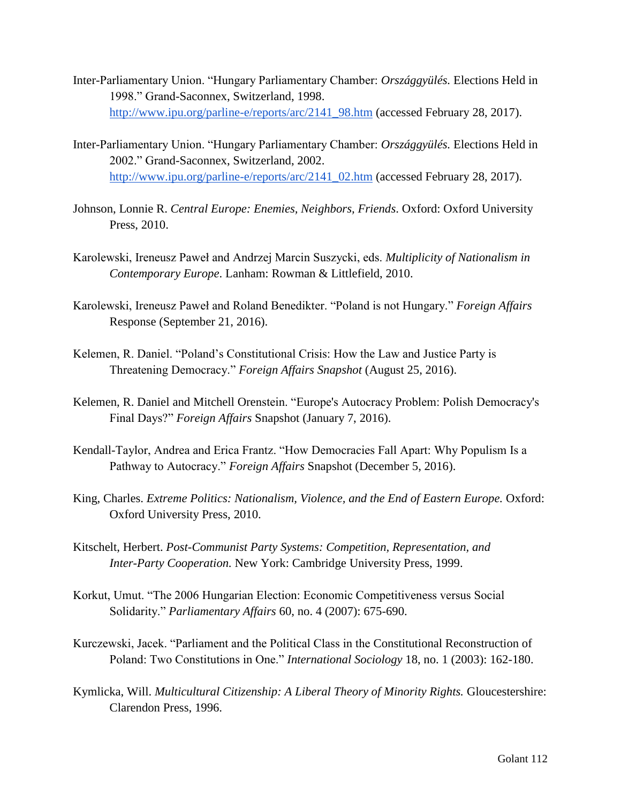- Inter-Parliamentary Union. "Hungary Parliamentary Chamber: *Országgyülés.* Elections Held in 1998." Grand-Saconnex, Switzerland, 1998. [http://www.ipu.org/parline-e/reports/arc/2141\\_98.htm](http://www.ipu.org/parline-e/reports/arc/2141_98.htm) (accessed February 28, 2017).
- Inter-Parliamentary Union. "Hungary Parliamentary Chamber: *Országgyülés.* Elections Held in 2002." Grand-Saconnex, Switzerland, 2002. [http://www.ipu.org/parline-e/reports/arc/2141\\_02.htm](http://www.ipu.org/parline-e/reports/arc/2141_02.htm) (accessed February 28, 2017).
- Johnson, Lonnie R. *Central Europe: Enemies, Neighbors, Friends*. Oxford: Oxford University Press, 2010.
- Karolewski, Ireneusz Paweł and Andrzej Marcin Suszycki, eds. *Multiplicity of Nationalism in Contemporary Europe*. Lanham: Rowman & Littlefield, 2010.
- Karolewski, Ireneusz Paweł and Roland Benedikter. "Poland is not Hungary." *Foreign Affairs* Response (September 21, 2016).
- Kelemen, R. Daniel. "Poland's Constitutional Crisis: How the Law and Justice Party is Threatening Democracy." *Foreign Affairs Snapshot* (August 25, 2016).
- Kelemen, R. Daniel and Mitchell Orenstein. "Europe's Autocracy Problem: Polish Democracy's Final Days?" *Foreign Affairs* Snapshot (January 7, 2016).
- Kendall-Taylor, Andrea and Erica Frantz. "How Democracies Fall Apart: Why Populism Is a Pathway to Autocracy." *Foreign Affairs* Snapshot (December 5, 2016).
- King, Charles. *Extreme Politics: Nationalism, Violence, and the End of Eastern Europe.* Oxford: Oxford University Press, 2010.
- Kitschelt, Herbert. *Post-Communist Party Systems: Competition, Representation, and Inter-Party Cooperation.* New York: Cambridge University Press, 1999.
- Korkut, Umut. "The 2006 Hungarian Election: Economic Competitiveness versus Social Solidarity." *Parliamentary Affairs* 60, no. 4 (2007): 675-690.
- Kurczewski, Jacek. "Parliament and the Political Class in the Constitutional Reconstruction of Poland: Two Constitutions in One." *International Sociology* 18, no. 1 (2003): 162-180.
- Kymlicka, Will. *Multicultural Citizenship: A Liberal Theory of Minority Rights.* Gloucestershire: Clarendon Press, 1996.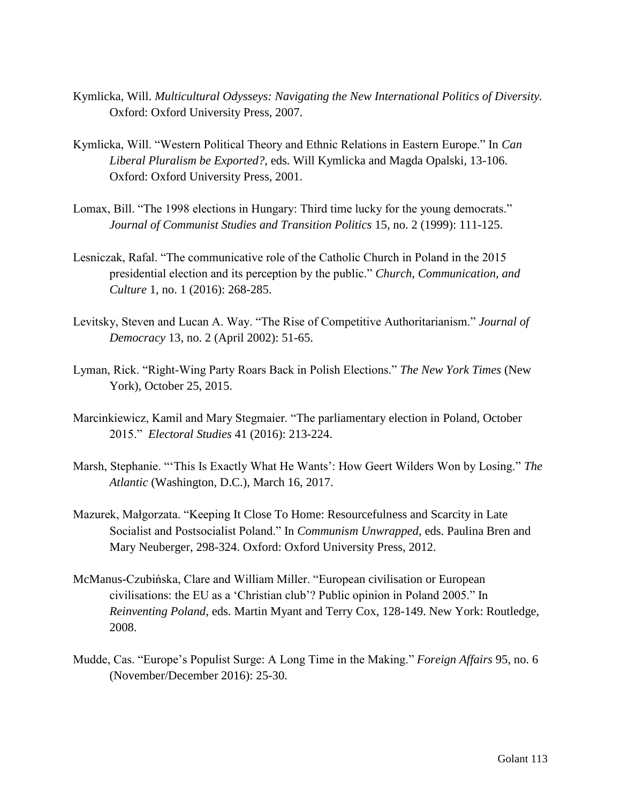- Kymlicka, Will. *Multicultural Odysseys: Navigating the New International Politics of Diversity.* Oxford: Oxford University Press, 2007.
- Kymlicka, Will. "Western Political Theory and Ethnic Relations in Eastern Europe." In *Can Liberal Pluralism be Exported?*, eds. Will Kymlicka and Magda Opalski, 13-106. Oxford: Oxford University Press, 2001.
- Lomax, Bill. "The 1998 elections in Hungary: Third time lucky for the young democrats." *Journal of Communist Studies and Transition Politics* 15, no. 2 (1999): 111-125.
- Lesniczak, Rafal. "The communicative role of the Catholic Church in Poland in the 2015 presidential election and its perception by the public." *Church, Communication, and Culture* 1, no. 1 (2016): 268-285.
- Levitsky, Steven and Lucan A. Way. "The Rise of Competitive Authoritarianism." *Journal of Democracy* 13, no. 2 (April 2002): 51-65.
- Lyman, Rick. "Right-Wing Party Roars Back in Polish Elections." *The New York Times* (New York), October 25, 2015.
- Marcinkiewicz, Kamil and Mary Stegmaier. "The parliamentary election in Poland, October 2015." *Electoral Studies* 41 (2016): 213-224.
- Marsh, Stephanie. "'This Is Exactly What He Wants': How Geert Wilders Won by Losing." *The Atlantic* (Washington, D.C.), March 16, 2017.
- Mazurek, Małgorzata. "Keeping It Close To Home: Resourcefulness and Scarcity in Late Socialist and Postsocialist Poland." In *Communism Unwrapped*, eds. Paulina Bren and Mary Neuberger, 298-324. Oxford: Oxford University Press, 2012.
- McManus-Czubińska, Clare and William Miller. "European civilisation or European civilisations: the EU as a 'Christian club'? Public opinion in Poland 2005." In *Reinventing Poland*, eds. Martin Myant and Terry Cox, 128-149. New York: Routledge, 2008.
- Mudde, Cas. "Europe's Populist Surge: A Long Time in the Making." *Foreign Affairs* 95, no. 6 (November/December 2016): 25-30.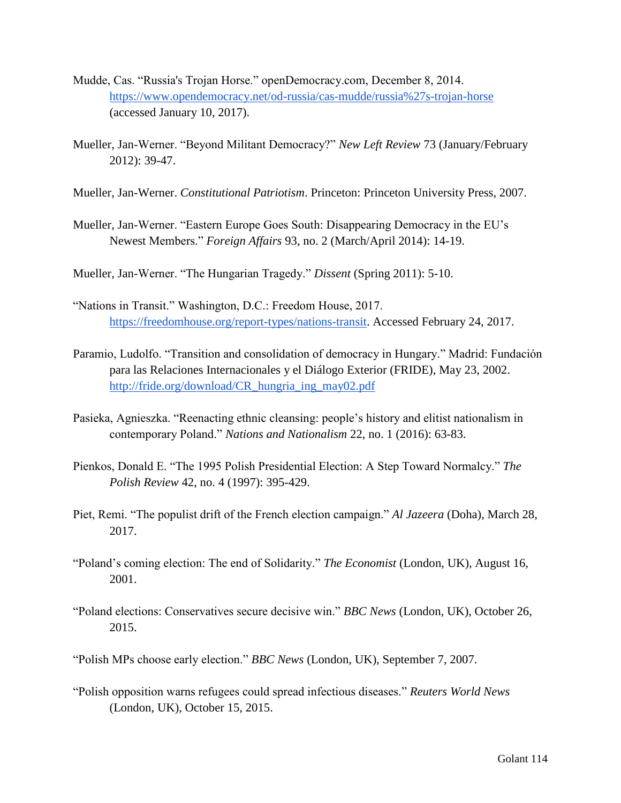- Mudde, Cas. "Russia's Trojan Horse." openDemocracy.com, December 8, 2014. <https://www.opendemocracy.net/od-russia/cas-mudde/russia%27s-trojan-horse> (accessed January 10, 2017).
- Mueller, Jan-Werner. "Beyond Militant Democracy?" *New Left Review* 73 (January/February 2012): 39-47.
- Mueller, Jan-Werner. *Constitutional Patriotism*. Princeton: Princeton University Press, 2007.
- Mueller, Jan-Werner. "Eastern Europe Goes South: Disappearing Democracy in the EU's Newest Members." *Foreign Affairs* 93, no. 2 (March/April 2014): 14-19.
- Mueller, Jan-Werner. "The Hungarian Tragedy." *Dissent* (Spring 2011): 5-10.
- "Nations in Transit." Washington, D.C.: Freedom House, 2017. [https://freedomhouse.org/report-types/nations-transit.](https://freedomhouse.org/report-types/nations-transit) Accessed February 24, 2017.
- Paramio, Ludolfo. "Transition and consolidation of democracy in Hungary." Madrid: Fundación para las Relaciones Internacionales y el Diálogo Exterior (FRIDE), May 23, 2002. [http://fride.org/download/CR\\_hungria\\_ing\\_may02.pdf](http://fride.org/download/CR_hungria_ing_may02.pdf)
- Pasieka, Agnieszka. "Reenacting ethnic cleansing: people's history and elitist nationalism in contemporary Poland." *Nations and Nationalism* 22, no. 1 (2016): 63-83.
- Pienkos, Donald E. "The 1995 Polish Presidential Election: A Step Toward Normalcy." *The Polish Review* 42, no. 4 (1997): 395-429.
- Piet, Remi. "The populist drift of the French election campaign." *Al Jazeera* (Doha), March 28, 2017.
- "Poland's coming election: The end of Solidarity." *The Economist* (London, UK), August 16, 2001.
- "Poland elections: Conservatives secure decisive win." *BBC News* (London, UK), October 26, 2015.
- "Polish MPs choose early election." *BBC News* (London, UK), September 7, 2007.
- "Polish opposition warns refugees could spread infectious diseases." *Reuters World News* (London, UK), October 15, 2015.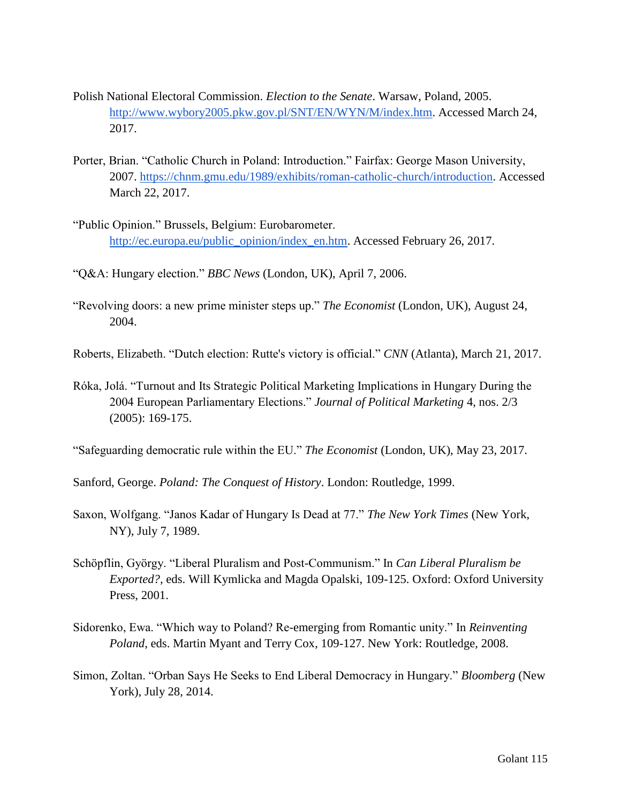- Polish National Electoral Commission. *Election to the Senate*. Warsaw, Poland, 2005. [http://www.wybory2005.pkw.gov.pl/SNT/EN/WYN/M/index.htm.](http://www.wybory2005.pkw.gov.pl/SNT/EN/WYN/M/index.htm) Accessed March 24, 2017.
- Porter, Brian. "Catholic Church in Poland: Introduction." Fairfax: George Mason University, 2007. [https://chnm.gmu.edu/1989/exhibits/roman-catholic-church/introduction.](https://chnm.gmu.edu/1989/exhibits/roman-catholic-church/introduction) Accessed March 22, 2017.
- "Public Opinion." Brussels, Belgium: Eurobarometer. [http://ec.europa.eu/public\\_opinion/index\\_en.htm.](http://ec.europa.eu/public_opinion/index_en.htm) Accessed February 26, 2017.
- "Q&A: Hungary election." *BBC News* (London, UK), April 7, 2006.
- "Revolving doors: a new prime minister steps up." *The Economist* (London, UK), August 24, 2004.

Roberts, Elizabeth. "Dutch election: Rutte's victory is official." *CNN* (Atlanta), March 21, 2017.

Róka, Jolá. "Turnout and Its Strategic Political Marketing Implications in Hungary During the 2004 European Parliamentary Elections." *Journal of Political Marketing* 4, nos. 2/3 (2005): 169-175.

"Safeguarding democratic rule within the EU." *The Economist* (London, UK), May 23, 2017.

Sanford, George. *Poland: The Conquest of History*. London: Routledge, 1999.

- Saxon, Wolfgang. "Janos Kadar of Hungary Is Dead at 77." *The New York Times* (New York, NY), July 7, 1989.
- Schöpflin, György. "Liberal Pluralism and Post-Communism." In *Can Liberal Pluralism be Exported?*, eds. Will Kymlicka and Magda Opalski, 109-125. Oxford: Oxford University Press, 2001.
- Sidorenko, Ewa. "Which way to Poland? Re-emerging from Romantic unity." In *Reinventing Poland*, eds. Martin Myant and Terry Cox, 109-127. New York: Routledge, 2008.
- Simon, Zoltan. "Orban Says He Seeks to End Liberal Democracy in Hungary." *Bloomberg* (New York), July 28, 2014.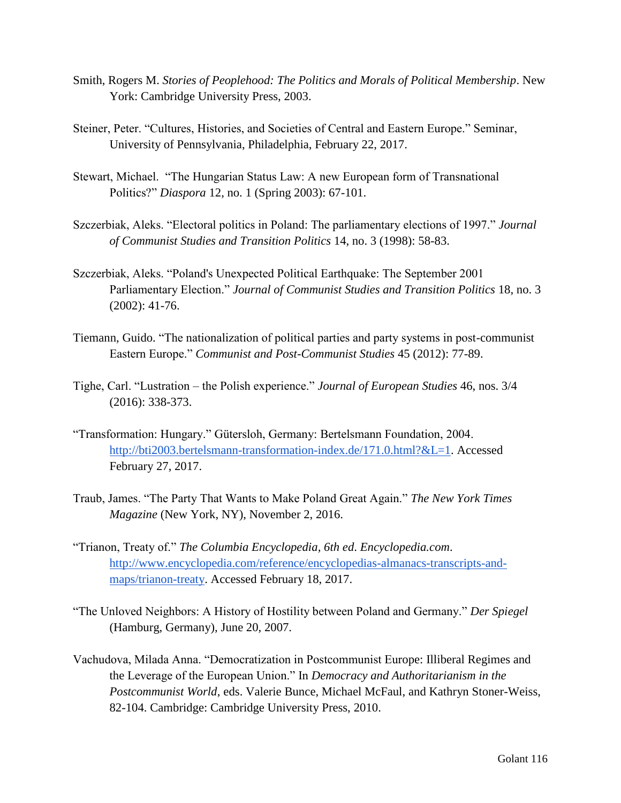- Smith, Rogers M. *Stories of Peoplehood: The Politics and Morals of Political Membership*. New York: Cambridge University Press, 2003.
- Steiner, Peter. "Cultures, Histories, and Societies of Central and Eastern Europe." Seminar, University of Pennsylvania, Philadelphia, February 22, 2017.
- Stewart, Michael. "The Hungarian Status Law: A new European form of Transnational Politics?" *Diaspora* 12, no. 1 (Spring 2003): 67-101.
- Szczerbiak, Aleks. "Electoral politics in Poland: The parliamentary elections of 1997." *Journal of Communist Studies and Transition Politics* 14, no. 3 (1998): 58-83.
- Szczerbiak, Aleks. "Poland's Unexpected Political Earthquake: The September 2001 Parliamentary Election." *Journal of Communist Studies and Transition Politics* 18, no. 3 (2002): 41-76.
- Tiemann, Guido. "The nationalization of political parties and party systems in post-communist Eastern Europe." *Communist and Post-Communist Studies* 45 (2012): 77-89.
- Tighe, Carl. "Lustration the Polish experience." *Journal of European Studies* 46, nos. 3/4 (2016): 338-373.
- "Transformation: Hungary." Gütersloh, Germany: Bertelsmann Foundation, 2004. [http://bti2003.bertelsmann-transformation-index.de/171.0.html?&L=1.](http://bti2003.bertelsmann-transformation-index.de/171.0.html?&L=1) Accessed February 27, 2017.
- Traub, James. "The Party That Wants to Make Poland Great Again." *The New York Times Magazine* (New York, NY), November 2, 2016.
- "Trianon, Treaty of." *The Columbia Encyclopedia, 6th ed*. *Encyclopedia.com*. [http://www.encyclopedia.com/reference/encyclopedias-almanacs-transcripts-and](http://www.encyclopedia.com/reference/encyclopedias-almanacs-transcripts-and-maps/trianon-treaty)[maps/trianon-treaty.](http://www.encyclopedia.com/reference/encyclopedias-almanacs-transcripts-and-maps/trianon-treaty) Accessed February 18, 2017.
- "The Unloved Neighbors: A History of Hostility between Poland and Germany." *Der Spiegel* (Hamburg, Germany), June 20, 2007.
- Vachudova, Milada Anna. "Democratization in Postcommunist Europe: Illiberal Regimes and the Leverage of the European Union." In *Democracy and Authoritarianism in the Postcommunist World*, eds. Valerie Bunce, Michael McFaul, and Kathryn Stoner-Weiss, 82-104. Cambridge: Cambridge University Press, 2010.